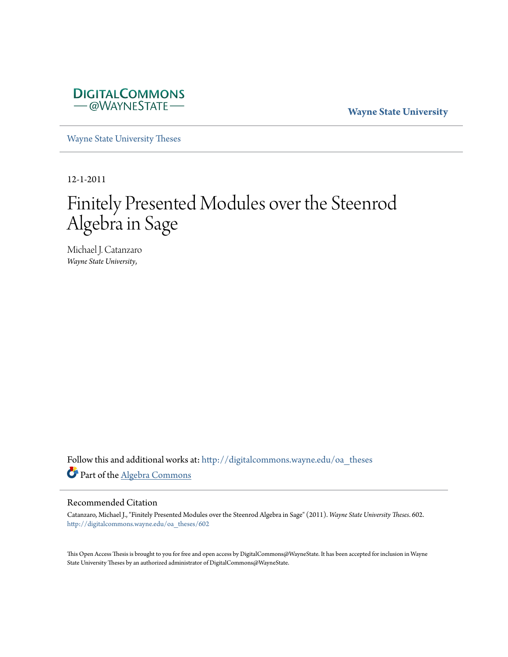

**Wayne State University**

[Wayne State University Theses](http://digitalcommons.wayne.edu/oa_theses?utm_source=digitalcommons.wayne.edu%2Foa_theses%2F602&utm_medium=PDF&utm_campaign=PDFCoverPages)

12-1-2011

# Finitely Presented Modules over the Steenrod Algebra in Sage

Michael J. Catanzaro *Wayne State University*,

Follow this and additional works at: [http://digitalcommons.wayne.edu/oa\\_theses](http://digitalcommons.wayne.edu/oa_theses?utm_source=digitalcommons.wayne.edu%2Foa_theses%2F602&utm_medium=PDF&utm_campaign=PDFCoverPages) Part of the [Algebra Commons](http://network.bepress.com/hgg/discipline/175?utm_source=digitalcommons.wayne.edu%2Foa_theses%2F602&utm_medium=PDF&utm_campaign=PDFCoverPages)

#### Recommended Citation

Catanzaro, Michael J., "Finitely Presented Modules over the Steenrod Algebra in Sage" (2011). *Wayne State University Theses*. 602. [http://digitalcommons.wayne.edu/oa\\_theses/602](http://digitalcommons.wayne.edu/oa_theses/602?utm_source=digitalcommons.wayne.edu%2Foa_theses%2F602&utm_medium=PDF&utm_campaign=PDFCoverPages)

This Open Access Thesis is brought to you for free and open access by DigitalCommons@WayneState. It has been accepted for inclusion in Wayne State University Theses by an authorized administrator of DigitalCommons@WayneState.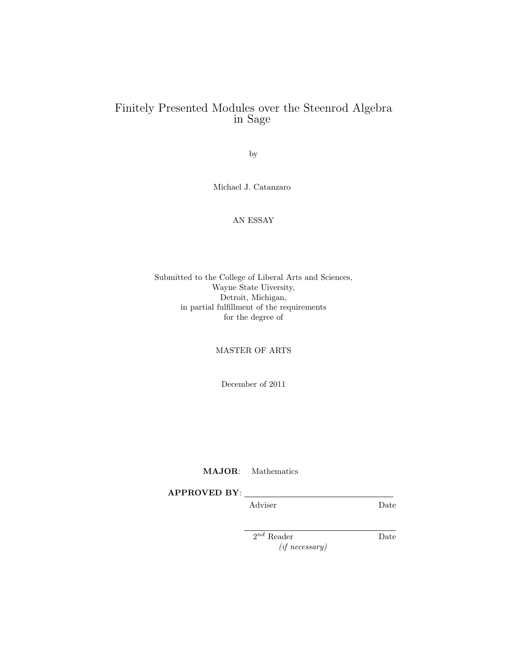## Finitely Presented Modules over the Steenrod Algebra in Sage

by

Michael J. Catanzaro

#### AN ESSAY

#### Submitted to the College of Liberal Arts and Sciences, Wayne State Uiversity, Detroit, Michigan, in partial fulfillment of the requirements for the degree of

#### MASTER OF ARTS

December of 2011

MAJOR: Mathematics

APPROVED BY:

Adviser Date

2 nd Reader Date (if necessary)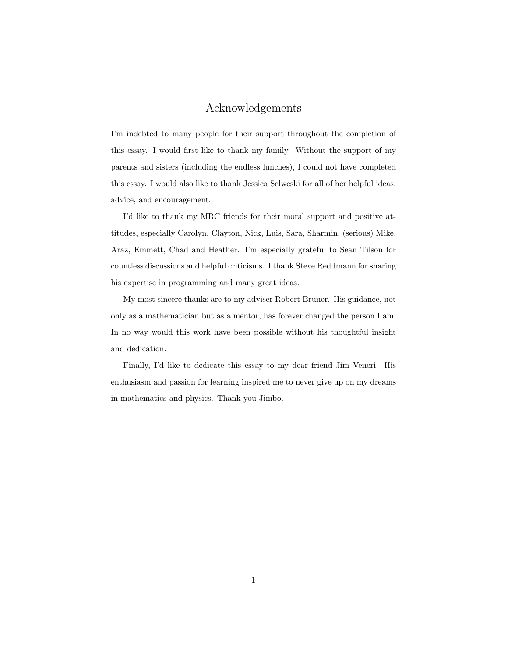## Acknowledgements

I'm indebted to many people for their support throughout the completion of this essay. I would first like to thank my family. Without the support of my parents and sisters (including the endless lunches), I could not have completed this essay. I would also like to thank Jessica Selweski for all of her helpful ideas, advice, and encouragement.

I'd like to thank my MRC friends for their moral support and positive attitudes, especially Carolyn, Clayton, Nick, Luis, Sara, Sharmin, (serious) Mike, Araz, Emmett, Chad and Heather. I'm especially grateful to Sean Tilson for countless discussions and helpful criticisms. I thank Steve Reddmann for sharing his expertise in programming and many great ideas.

My most sincere thanks are to my adviser Robert Bruner. His guidance, not only as a mathematician but as a mentor, has forever changed the person I am. In no way would this work have been possible without his thoughtful insight and dedication.

Finally, I'd like to dedicate this essay to my dear friend Jim Veneri. His enthusiasm and passion for learning inspired me to never give up on my dreams in mathematics and physics. Thank you Jimbo.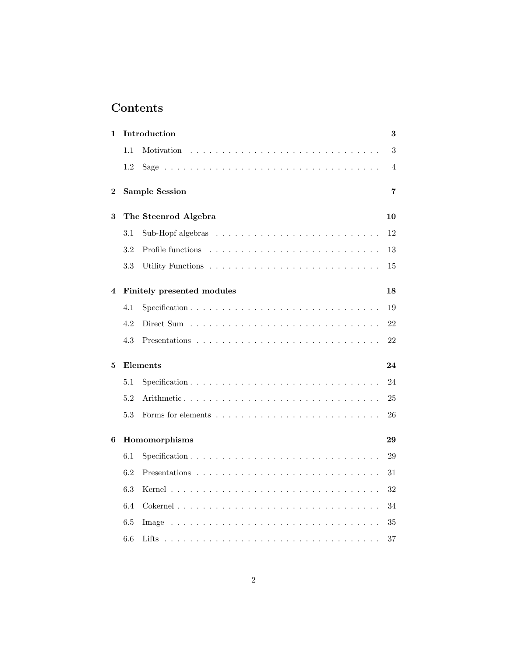## Contents

| 1        | Introduction<br>3    |                            |                |  |  |  |
|----------|----------------------|----------------------------|----------------|--|--|--|
|          | 1.1                  | Motivation                 | 3              |  |  |  |
|          | 1.2                  |                            | $\overline{4}$ |  |  |  |
| $\bf{2}$ |                      | <b>Sample Session</b>      | 7              |  |  |  |
| 3        | The Steenrod Algebra |                            |                |  |  |  |
|          | 3.1                  |                            | 12             |  |  |  |
|          | 3.2                  |                            | 13             |  |  |  |
|          | 3.3                  |                            | 15             |  |  |  |
| 4        |                      | Finitely presented modules | 18             |  |  |  |
|          | 4.1                  | Specification              | 19             |  |  |  |
|          | 4.2                  |                            | 22             |  |  |  |
|          | 4.3                  |                            | 22             |  |  |  |
| 5        |                      | Elements                   | 24             |  |  |  |
|          | 5.1                  |                            | 24             |  |  |  |
|          | 5.2                  | Arithmetic                 | 25             |  |  |  |
|          | 5.3                  |                            | 26             |  |  |  |
| 6        | Homomorphisms<br>29  |                            |                |  |  |  |
|          | 6.1                  |                            | 29             |  |  |  |
|          | 6.2                  |                            | 31             |  |  |  |
|          | 6.3                  |                            | 32             |  |  |  |
|          | 6.4                  |                            | 34             |  |  |  |
|          | 6.5                  |                            | 35             |  |  |  |
|          | 6.6                  |                            | 37             |  |  |  |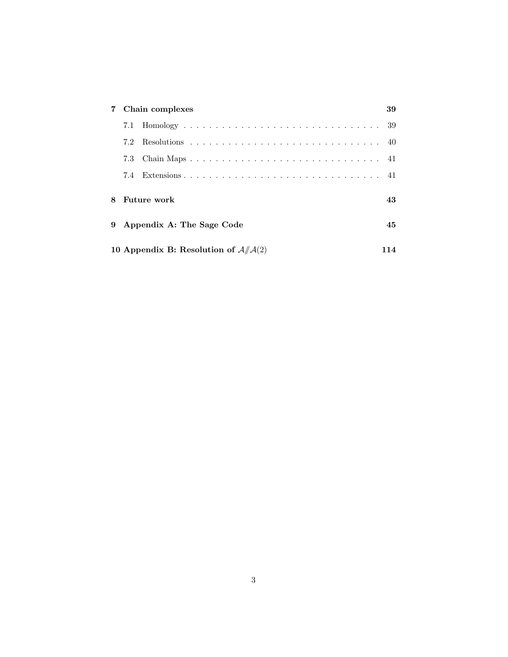| 7 | Chain complexes                            |               |  |  |
|---|--------------------------------------------|---------------|--|--|
|   |                                            |               |  |  |
|   | 7.2                                        |               |  |  |
|   | 7.3                                        |               |  |  |
|   | 7.4                                        | Extensions 41 |  |  |
| 8 | Future work                                |               |  |  |
|   | 9 Appendix A: The Sage Code                |               |  |  |
|   | 10 Appendix B: Resolution of $A/\!\!/A(2)$ |               |  |  |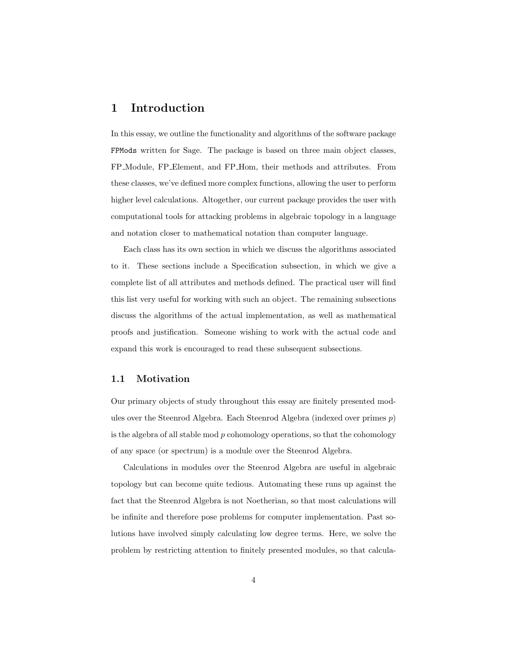## 1 Introduction

In this essay, we outline the functionality and algorithms of the software package FPMods written for Sage. The package is based on three main object classes, FP Module, FP Element, and FP Hom, their methods and attributes. From these classes, we've defined more complex functions, allowing the user to perform higher level calculations. Altogether, our current package provides the user with computational tools for attacking problems in algebraic topology in a language and notation closer to mathematical notation than computer language.

Each class has its own section in which we discuss the algorithms associated to it. These sections include a Specification subsection, in which we give a complete list of all attributes and methods defined. The practical user will find this list very useful for working with such an object. The remaining subsections discuss the algorithms of the actual implementation, as well as mathematical proofs and justification. Someone wishing to work with the actual code and expand this work is encouraged to read these subsequent subsections.

#### 1.1 Motivation

Our primary objects of study throughout this essay are finitely presented modules over the Steenrod Algebra. Each Steenrod Algebra (indexed over primes p) is the algebra of all stable mod  $p$  cohomology operations, so that the cohomology of any space (or spectrum) is a module over the Steenrod Algebra.

Calculations in modules over the Steenrod Algebra are useful in algebraic topology but can become quite tedious. Automating these runs up against the fact that the Steenrod Algebra is not Noetherian, so that most calculations will be infinite and therefore pose problems for computer implementation. Past solutions have involved simply calculating low degree terms. Here, we solve the problem by restricting attention to finitely presented modules, so that calcula-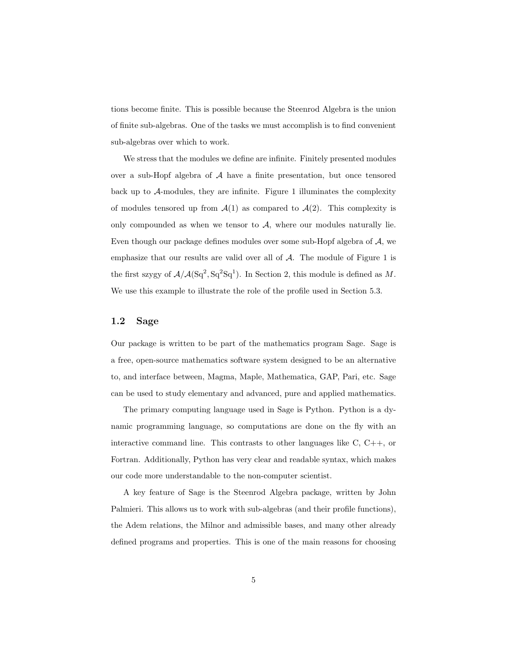tions become finite. This is possible because the Steenrod Algebra is the union of finite sub-algebras. One of the tasks we must accomplish is to find convenient sub-algebras over which to work.

We stress that the modules we define are infinite. Finitely presented modules over a sub-Hopf algebra of A have a finite presentation, but once tensored back up to  $A$ -modules, they are infinite. Figure 1 illuminates the complexity of modules tensored up from  $\mathcal{A}(1)$  as compared to  $\mathcal{A}(2)$ . This complexity is only compounded as when we tensor to  $A$ , where our modules naturally lie. Even though our package defines modules over some sub-Hopf algebra of A, we emphasize that our results are valid over all of  $A$ . The module of Figure 1 is the first szygy of  $A/A(Sq^2, Sq^2Sq^1)$ . In Section 2, this module is defined as M. We use this example to illustrate the role of the profile used in Section 5.3.

#### 1.2 Sage

Our package is written to be part of the mathematics program Sage. Sage is a free, open-source mathematics software system designed to be an alternative to, and interface between, Magma, Maple, Mathematica, GAP, Pari, etc. Sage can be used to study elementary and advanced, pure and applied mathematics.

The primary computing language used in Sage is Python. Python is a dynamic programming language, so computations are done on the fly with an interactive command line. This contrasts to other languages like C, C++, or Fortran. Additionally, Python has very clear and readable syntax, which makes our code more understandable to the non-computer scientist.

A key feature of Sage is the Steenrod Algebra package, written by John Palmieri. This allows us to work with sub-algebras (and their profile functions), the Adem relations, the Milnor and admissible bases, and many other already defined programs and properties. This is one of the main reasons for choosing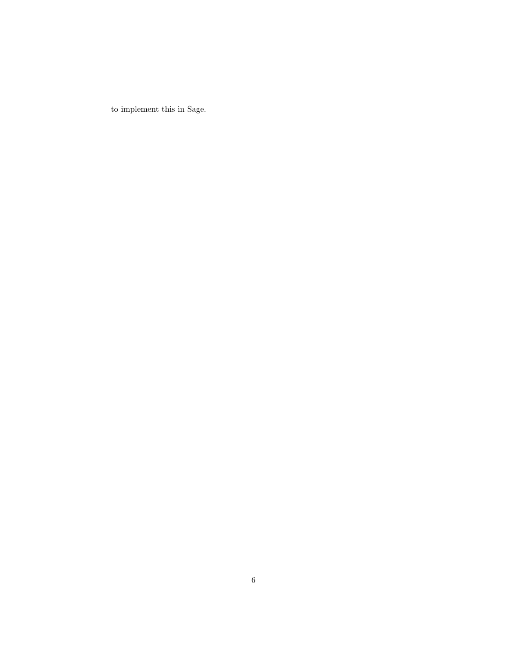to implement this in Sage.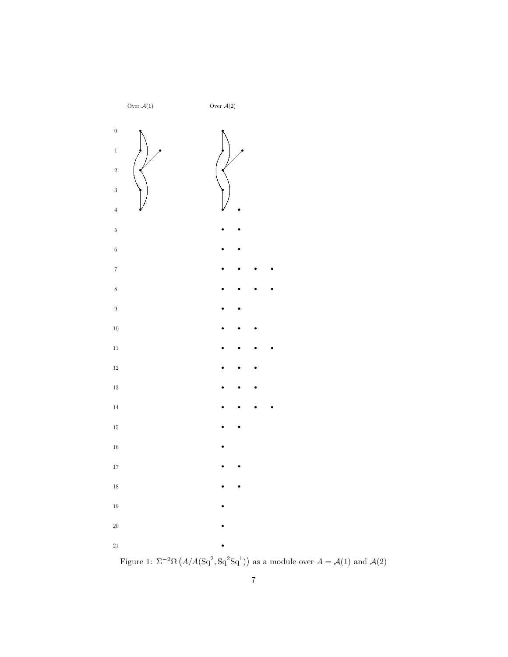

Figure 1:  $\Sigma^{-2}\Omega(A/A(\mathrm{Sq}^2, \mathrm{Sq}^2\mathrm{Sq}^1))$  as a module over  $A = A(1)$  and  $A(2)$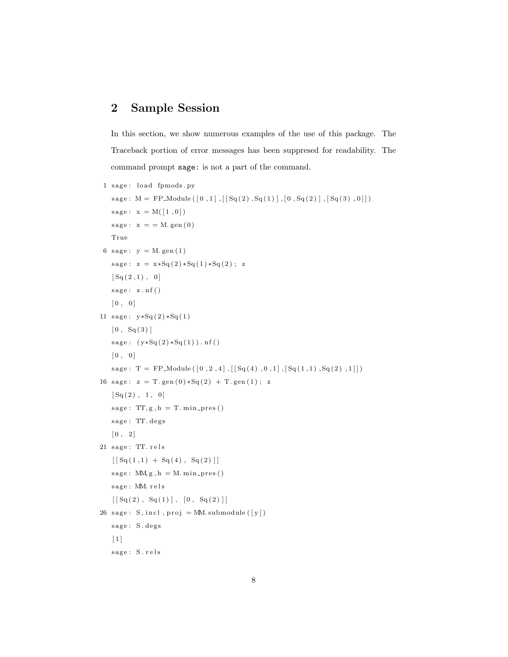## 2 Sample Session

In this section, we show numerous examples of the use of this package. The Traceback portion of error messages has been suppresed for readability. The command prompt sage: is not a part of the command.

```
1 sage: load fpmods.py
    sage: M = FP\_Module([0,1], [[Sq(2), Sq(1)], [0, Sq(2)], [Sq(3), 0]])sage: x = M([1, 0])sage: x = M. gen(0)True
 6 sage: y = M. gen(1)sage: z = x * Sq(2) * Sq(1) * Sq(2); z[Sq(2,1), 0]sage: z.nf()[0, 0]11 sage: y * Sq(2) * Sq(1)[0, S<sub>q</sub>(3)]sage: (y * Sq(2) * Sq(1)) . nf()[0, 0]{\tt sage:} \;\; \mathrm{T} \; = \; \mathrm{FP\_Module}\left(\, \left[\,0\ , 2\ , 4\,\right] \ , \left[\,\left[\,\mathrm{Sq}\left(\,4\,\right)\ , 0\ , 1\,\right] \ , \left[\,\mathrm{Sq}\left(\,1\ , 1\,\right)\ , \mathrm{Sq}\left(\,2\,\right)\ , 1\,\right]\,\right]\,\right)16 sage: z = T. gen (0) * Sq(2) + T. gen (1); z
    [Sq(2), 1, 0]sage: TT, g, h = T. min\_pres()sage: TT. degs
    \begin{bmatrix} 0, 2 \end{bmatrix}21 sage: TT. rels
    [ [Sq(1,1) + Sq(4), Sq(2)]]
    sage: MM, g, h = M. min\_pres()sage: MM. rels
    [[ Sq(2) , Sq(1) ], [ 0 , Sq(2) ]]26 sage: S, incl, proj = MM. submodule ([y])
    sage: S. degs
    [1]sage: S.rels
```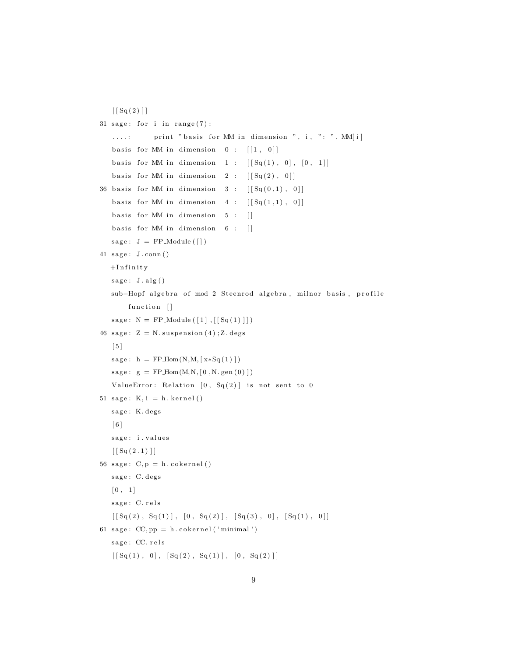```
[[ Sq(2) ]]31 sage: for i in range(7):
   ....: print "basis for MM in dimension ", i, ": ", MM[i]
   basis for MM in dimension 0 : [[1, 0]]basis for MM in dimension 1 : [[Sq(1), 0], [0, 1]]basis for MM in dimension 2 : [[Sq(2), 0]]36 basis for MM in dimension 3 : [[Sq(0,1), 0]]basis for MM in dimension 4 : [[Sq(1,1), 0]]basis for MM in dimension 5 : []
   basis for MM in dimension 6 : []
  sage: J = FP_{\text{Module}}([])41 sage: J.conn()
  +Infinity
  sage: J.alg()sub-Hopf algebra of mod 2 Steenrod algebra, milnor basis, profile
       function []
  sage: N = FP_{model}([1], [[Sq(1)]])46 sage: Z = N. suspension (4); Z. degs
   [5]sage: h = FPHom(N, M, [x*Sq(1)]
  sage: g = FPHom(M, N, [0, N. gen (0) ])ValueError: Relation [0, Sq(2)] is not sent to 0
51 sage: K, i = h. \, kernel()
  sage: K. degs
   [ 6 ]
   sage: i.values
   [ [ Sq(2,1)]]
56 sage: C, p = h. \text{cokernel}()sage: C. degs
   [0, 1]sage: C. rels
   [ [Sq(2), Sq(1)], [0, Sq(2)], [Sq(3), 0], [Sq(1), 0]]
61 sage: CC, pp = h.cokernel('minimal')sage: CC. rels
   [[ Sq(1), 0], [ Sq(2), Sq(1) ], [ 0, Sq(2) ]]
```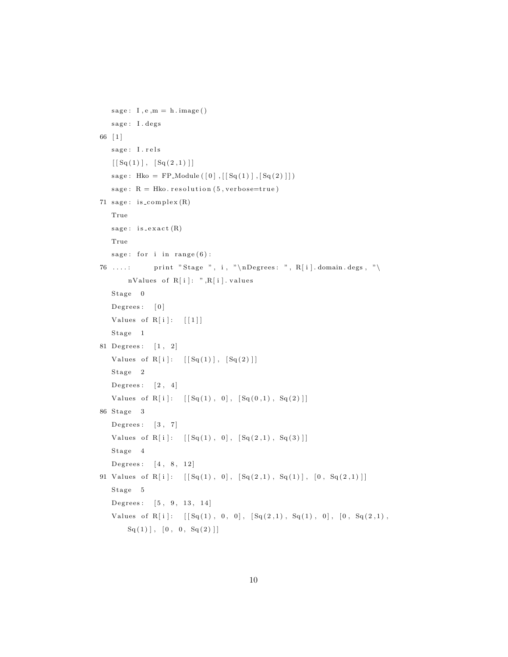```
sage: I, e, m = h. image()sage: I. degs
66 [ 1 ]
   sage: I.rels
   [[Sq(1)], [Sq(2,1)]]
   sage: Hko = FP_Module ([0], [[Sq(1)],[Sq(2)]])sage: R = Hko. resolution (5, verbose=true)
71 sage: is\_complex(R)True
   sage: is\_exact(R)True
   \text{sage:} \ \text{for} \ \text{i in } \ \text{range(6)}:
76 ....: print "Stage ", i, "\nDegrees: ", R[i].domain.degs, "\
       nValues of R[i]: ",R[i]. values
   Stage 0Degrees: [0]
   Values of R[i]: [[1]]Stage 1
81 Degrees: [1, 2]
   Values of R[i]: [[Sq(1)], [Sq(2)]]Stage 2Degrees: \begin{bmatrix} 2, 4 \end{bmatrix}Values of R[i]: [[Sq(1), 0], [Sq(0,1), Sq(2)]]86 Stage 3
   Degrees: [3, 7]Values of R[i]: [[Sq(1), 0], [Sq(2,1), Sq(3)]]Stage 4
   Degrees: [4, 8, 12]91 Values of R[i]: [[Sq(1), 0], [Sq(2,1), Sq(1)], [0, Sq(2,1)]]{\bf Stage ~5}Degrees: [5, 9, 13, 14]Values of R[i]: [[Sq(1), 0, 0], [Sq(2,1), Sq(1), 0], [0, Sq(2,1),Sq(1), [0, 0, Sq(2)]
```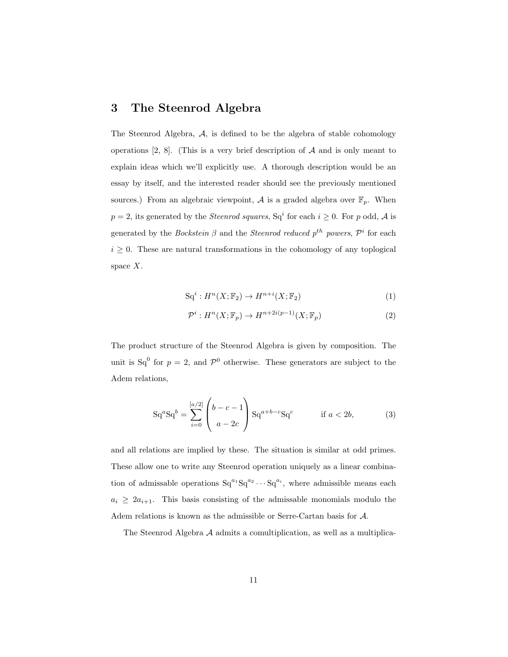## 3 The Steenrod Algebra

The Steenrod Algebra, A, is defined to be the algebra of stable cohomology operations  $[2, 8]$ . (This is a very brief description of  $A$  and is only meant to explain ideas which we'll explicitly use. A thorough description would be an essay by itself, and the interested reader should see the previously mentioned sources.) From an algebraic viewpoint,  $A$  is a graded algebra over  $\mathbb{F}_p$ . When  $p=2$ , its generated by the *Steenrod squares*,  $Sq<sup>i</sup>$  for each  $i \geq 0$ . For p odd, A is generated by the *Bockstein*  $\beta$  and the *Steenrod reduced*  $p^{th}$  powers,  $\mathcal{P}^i$  for each  $i \geq 0$ . These are natural transformations in the cohomology of any toplogical space  $X$ .

$$
\mathrm{Sq}^i: H^n(X; \mathbb{F}_2) \to H^{n+i}(X; \mathbb{F}_2) \tag{1}
$$

$$
\mathcal{P}^i: H^n(X; \mathbb{F}_p) \to H^{n+2i(p-1)}(X; \mathbb{F}_p)
$$
\n<sup>(2)</sup>

The product structure of the Steenrod Algebra is given by composition. The unit is  $Sq^{0}$  for  $p = 2$ , and  $\mathcal{P}^{0}$  otherwise. These generators are subject to the Adem relations,

$$
Sq^{a}Sq^{b} = \sum_{i=0}^{[a/2]} \begin{pmatrix} b-c-1 \\ a-2c \end{pmatrix} Sq^{a+b-c}Sq^{c} \qquad \text{if } a < 2b,
$$
 (3)

and all relations are implied by these. The situation is similar at odd primes. These allow one to write any Steenrod operation uniquely as a linear combination of admissable operations  $Sq^{a_1}Sq^{a_2} \cdots Sq^{a_i}$ , where admissible means each  $a_i \geq 2a_{i+1}$ . This basis consisting of the admissable monomials modulo the Adem relations is known as the admissible or Serre-Cartan basis for A.

The Steenrod Algebra A admits a comultiplication, as well as a multiplica-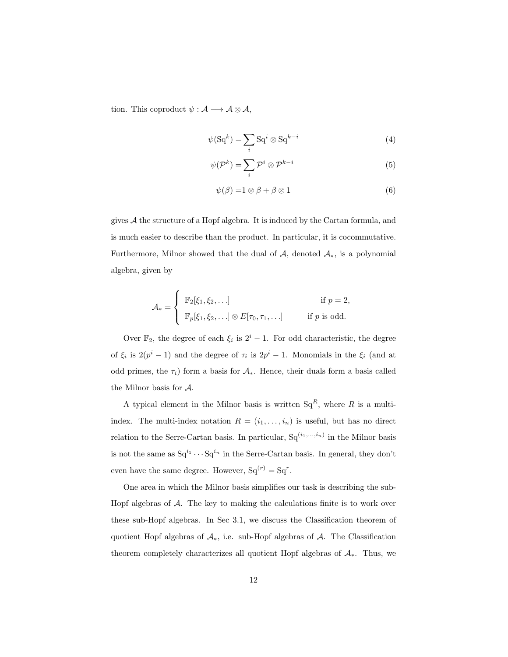tion. This coproduct  $\psi : \mathcal{A} \longrightarrow \mathcal{A} \otimes \mathcal{A}$ ,

$$
\psi(\mathrm{Sq}^{k}) = \sum_{i} \mathrm{Sq}^{i} \otimes \mathrm{Sq}^{k-i} \tag{4}
$$

$$
\psi(\mathcal{P}^k) = \sum_i \mathcal{P}^i \otimes \mathcal{P}^{k-i}
$$
\n(5)

$$
\psi(\beta) = 1 \otimes \beta + \beta \otimes 1 \tag{6}
$$

gives  $A$  the structure of a Hopf algebra. It is induced by the Cartan formula, and is much easier to describe than the product. In particular, it is cocommutative. Furthermore, Milnor showed that the dual of  $A$ , denoted  $A_*$ , is a polynomial algebra, given by

$$
\mathcal{A}_* = \begin{cases} \mathbb{F}_2[\xi_1, \xi_2, \dots] & \text{if } p = 2, \\ \mathbb{F}_p[\xi_1, \xi_2, \dots] \otimes E[\tau_0, \tau_1, \dots] & \text{if } p \text{ is odd.} \end{cases}
$$

Over  $\mathbb{F}_2$ , the degree of each  $\xi_i$  is  $2^i - 1$ . For odd characteristic, the degree of  $\xi_i$  is  $2(p^i-1)$  and the degree of  $\tau_i$  is  $2p^i-1$ . Monomials in the  $\xi_i$  (and at odd primes, the  $\tau_i$ ) form a basis for  $\mathcal{A}_{*}$ . Hence, their duals form a basis called the Milnor basis for A.

A typical element in the Milnor basis is written  $Sq^R$ , where R is a multiindex. The multi-index notation  $R = (i_1, \ldots, i_n)$  is useful, but has no direct relation to the Serre-Cartan basis. In particular,  $Sq^{(i_1,...,i_n)}$  in the Milnor basis is not the same as  $Sq^{i_1} \cdots Sq^{i_n}$  in the Serre-Cartan basis. In general, they don't even have the same degree. However,  $Sq^{(r)} = Sq^{r}$ .

One area in which the Milnor basis simplifies our task is describing the sub-Hopf algebras of  $A$ . The key to making the calculations finite is to work over these sub-Hopf algebras. In Sec 3.1, we discuss the Classification theorem of quotient Hopf algebras of  $\mathcal{A}_{*}$ , i.e. sub-Hopf algebras of  $\mathcal{A}$ . The Classification theorem completely characterizes all quotient Hopf algebras of  $A_{*}$ . Thus, we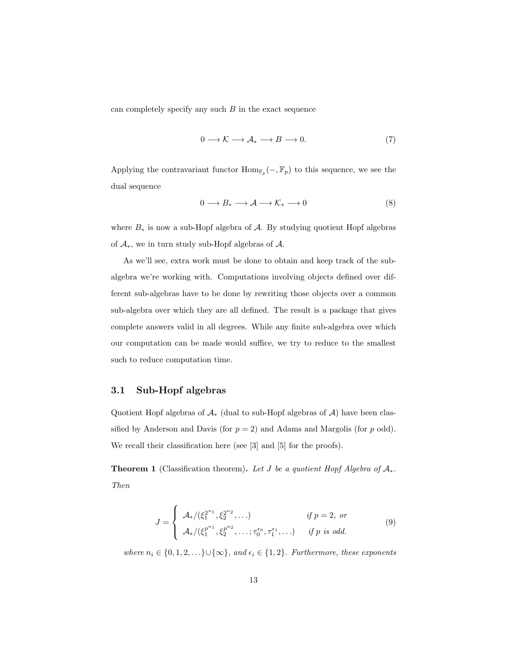can completely specify any such  $B$  in the exact sequence

$$
0 \longrightarrow \mathcal{K} \longrightarrow \mathcal{A}_{*} \longrightarrow B \longrightarrow 0. \tag{7}
$$

Applying the contravariant functor  $\text{Hom}_{\mathbb{F}_p}(-,\mathbb{F}_p)$  to this sequence, we see the dual sequence

$$
0 \longrightarrow B_* \longrightarrow \mathcal{A} \longrightarrow \mathcal{K}_* \longrightarrow 0 \tag{8}
$$

where  $B_*$  is now a sub-Hopf algebra of  $A$ . By studying quotient Hopf algebras of  $\mathcal{A}_{*}$ , we in turn study sub-Hopf algebras of  $\mathcal{A}$ .

As we'll see, extra work must be done to obtain and keep track of the subalgebra we're working with. Computations involving objects defined over different sub-algebras have to be done by rewriting those objects over a common sub-algebra over which they are all defined. The result is a package that gives complete answers valid in all degrees. While any finite sub-algebra over which our computation can be made would suffice, we try to reduce to the smallest such to reduce computation time.

#### 3.1 Sub-Hopf algebras

Quotient Hopf algebras of  $\mathcal{A}_{*}$  (dual to sub-Hopf algebras of  $\mathcal{A}$ ) have been classified by Anderson and Davis (for  $p = 2$ ) and Adams and Margolis (for p odd). We recall their classification here (see [3] and [5] for the proofs).

**Theorem 1** (Classification theorem). Let J be a quotient Hopf Algebra of  $A_*$ . Then

$$
J = \begin{cases} \mathcal{A}_{*}/(\xi_1^{2^{n_1}}, \xi_2^{2^{n_2}}, \dots) & \text{if } p = 2, \text{ or} \\ \mathcal{A}_{*}/(\xi_1^{p^{n_1}}, \xi_2^{p^{n_2}}, \dots; \tau_0^{\epsilon_0}, \tau_1^{\epsilon_1}, \dots) & \text{if } p \text{ is odd.} \end{cases}
$$
(9)

where  $n_i \in \{0, 1, 2, \ldots\} \cup \{\infty\}$ , and  $\epsilon_i \in \{1, 2\}$ . Furthermore, these exponents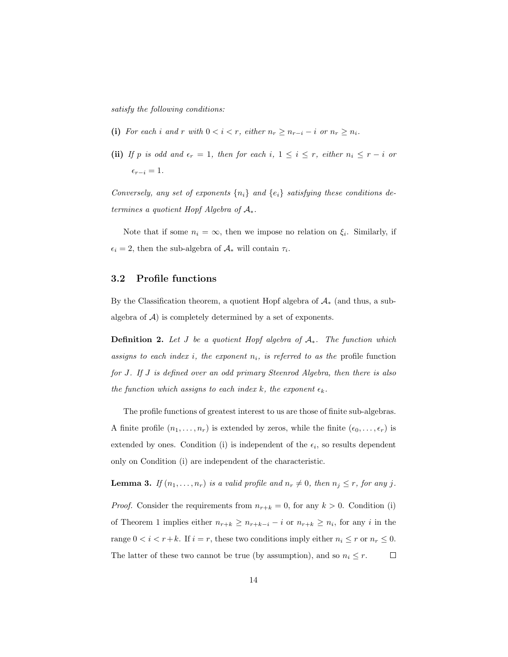satisfy the following conditions:

- (i) For each i and r with  $0 < i < r$ , either  $n_r \geq n_{r-i} i$  or  $n_r \geq n_i$ .
- (ii) If p is odd and  $\epsilon_r = 1$ , then for each i,  $1 \leq i \leq r$ , either  $n_i \leq r i$  or  $\epsilon_{r-i} = 1.$

Conversely, any set of exponents  $\{n_i\}$  and  $\{e_i\}$  satisfying these conditions determines a quotient Hopf Algebra of  $A_*$ .

Note that if some  $n_i = \infty$ , then we impose no relation on  $\xi_i$ . Similarly, if  $\epsilon_i = 2$ , then the sub-algebra of  $\mathcal{A}_{*}$  will contain  $\tau_i$ .

#### 3.2 Profile functions

By the Classification theorem, a quotient Hopf algebra of  $A_*$  (and thus, a subalgebra of  $A$ ) is completely determined by a set of exponents.

**Definition 2.** Let J be a quotient Hopf algebra of  $A_*$ . The function which assigns to each index i, the exponent  $n_i$ , is referred to as the profile function for J. If J is defined over an odd primary Steenrod Algebra, then there is also the function which assigns to each index k, the exponent  $\epsilon_k$ .

The profile functions of greatest interest to us are those of finite sub-algebras. A finite profile  $(n_1, \ldots, n_r)$  is extended by zeros, while the finite  $(\epsilon_0, \ldots, \epsilon_r)$  is extended by ones. Condition (i) is independent of the  $\epsilon_i$ , so results dependent only on Condition (i) are independent of the characteristic.

**Lemma 3.** If  $(n_1, \ldots, n_r)$  is a valid profile and  $n_r \neq 0$ , then  $n_j \leq r$ , for any j. *Proof.* Consider the requirements from  $n_{r+k} = 0$ , for any  $k > 0$ . Condition (i) of Theorem 1 implies either  $n_{r+k} \geq n_{r+k-i} - i$  or  $n_{r+k} \geq n_i$ , for any i in the range  $0 < i < r+k$ . If  $i = r$ , these two conditions imply either  $n_i \le r$  or  $n_r \le 0$ . The latter of these two cannot be true (by assumption), and so  $n_i \leq r$ .  $\Box$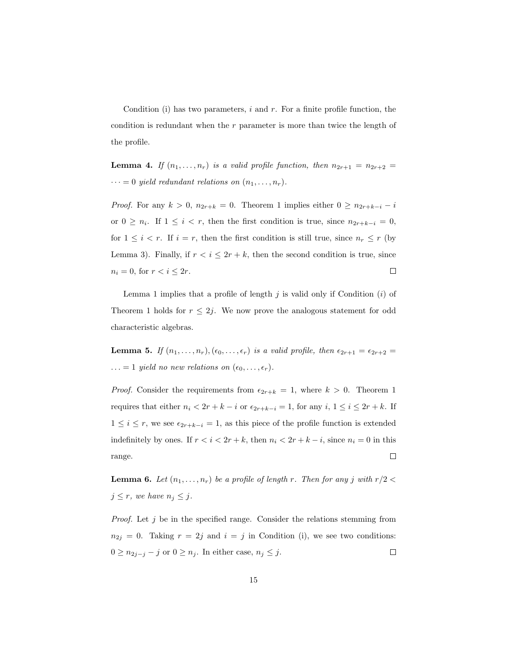Condition (i) has two parameters,  $i$  and  $r$ . For a finite profile function, the condition is redundant when the r parameter is more than twice the length of the profile.

**Lemma 4.** If  $(n_1, \ldots, n_r)$  is a valid profile function, then  $n_{2r+1} = n_{2r+2}$  $\cdots = 0$  yield redundant relations on  $(n_1, \ldots, n_r)$ .

*Proof.* For any  $k > 0$ ,  $n_{2r+k} = 0$ . Theorem 1 implies either  $0 \ge n_{2r+k-i} - i$ or  $0 \geq n_i$ . If  $1 \leq i < r$ , then the first condition is true, since  $n_{2r+k-i} = 0$ , for  $1 \leq i < r$ . If  $i = r$ , then the first condition is still true, since  $n_r \leq r$  (by Lemma 3). Finally, if  $r < i \leq 2r + k$ , then the second condition is true, since  $n_i = 0$ , for  $r < i \leq 2r$ .  $\Box$ 

Lemma 1 implies that a profile of length  $j$  is valid only if Condition  $(i)$  of Theorem 1 holds for  $r \leq 2j$ . We now prove the analogous statement for odd characteristic algebras.

**Lemma 5.** If  $(n_1, \ldots, n_r)$ ,  $(\epsilon_0, \ldots, \epsilon_r)$  is a valid profile, then  $\epsilon_{2r+1} = \epsilon_{2r+2}$  $\ldots = 1$  yield no new relations on  $(\epsilon_0, \ldots, \epsilon_r)$ .

*Proof.* Consider the requirements from  $\epsilon_{2r+k} = 1$ , where  $k > 0$ . Theorem 1 requires that either  $n_i < 2r + k - i$  or  $\epsilon_{2r+k-i} = 1$ , for any  $i, 1 \le i \le 2r + k$ . If  $1 \leq i \leq r$ , we see  $\epsilon_{2r+k-i} = 1$ , as this piece of the profile function is extended indefinitely by ones. If  $r < i < 2r + k$ , then  $n_i < 2r + k - i$ , since  $n_i = 0$  in this  $\Box$ range.

**Lemma 6.** Let  $(n_1, \ldots, n_r)$  be a profile of length r. Then for any j with  $r/2$  <  $j \leq r$ , we have  $n_j \leq j$ .

*Proof.* Let  $j$  be in the specified range. Consider the relations stemming from  $n_{2j} = 0$ . Taking  $r = 2j$  and  $i = j$  in Condition (i), we see two conditions:  $0 \ge n_{2j-j} - j$  or  $0 \ge n_j$ . In either case,  $n_j \le j$ .  $\Box$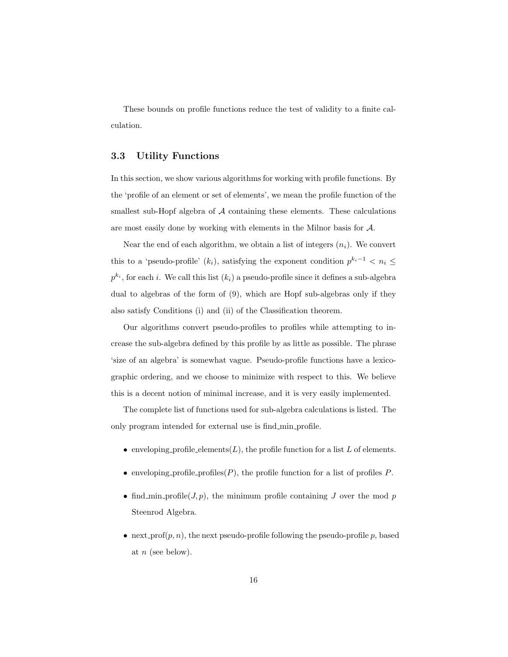These bounds on profile functions reduce the test of validity to a finite calculation.

#### 3.3 Utility Functions

In this section, we show various algorithms for working with profile functions. By the 'profile of an element or set of elements', we mean the profile function of the smallest sub-Hopf algebra of A containing these elements. These calculations are most easily done by working with elements in the Milnor basis for A.

Near the end of each algorithm, we obtain a list of integers  $(n_i)$ . We convert this to a 'pseudo-profile'  $(k_i)$ , satisfying the exponent condition  $p^{k_i-1} < n_i \leq$  $p^{k_i}$ , for each *i*. We call this list  $(k_i)$  a pseudo-profile since it defines a sub-algebra dual to algebras of the form of (9), which are Hopf sub-algebras only if they also satisfy Conditions (i) and (ii) of the Classification theorem.

Our algorithms convert pseudo-profiles to profiles while attempting to increase the sub-algebra defined by this profile by as little as possible. The phrase 'size of an algebra' is somewhat vague. Pseudo-profile functions have a lexicographic ordering, and we choose to minimize with respect to this. We believe this is a decent notion of minimal increase, and it is very easily implemented.

The complete list of functions used for sub-algebra calculations is listed. The only program intended for external use is find min profile.

- enveloping profile elements  $(L)$ , the profile function for a list L of elements.
- enveloping profile profiles  $(P)$ , the profile function for a list of profiles P.
- find min profile  $(J, p)$ , the minimum profile containing J over the mod p Steenrod Algebra.
- next\_prof $(p, n)$ , the next pseudo-profile following the pseudo-profile p, based at  $n$  (see below).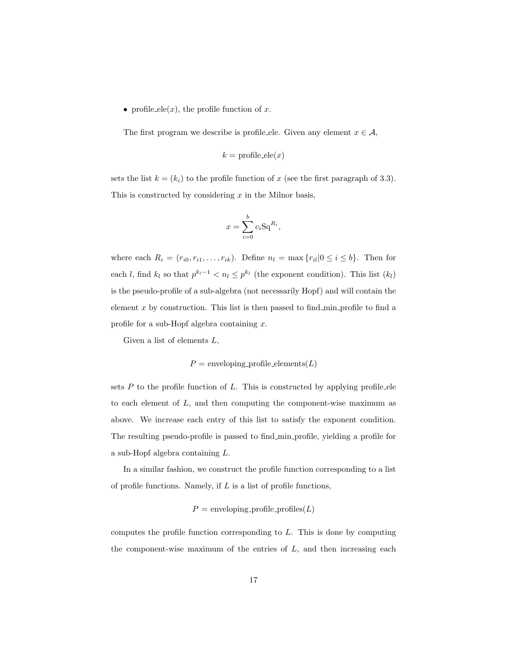• profile\_ele(x), the profile function of x.

The first program we describe is profile ele. Given any element  $x \in \mathcal{A}$ ,

$$
k = \text{profile\_ele}(x)
$$

sets the list  $k = (k_i)$  to the profile function of x (see the first paragraph of 3.3). This is constructed by considering  $x$  in the Milnor basis,

$$
x = \sum_{i=0}^{b} c_i \operatorname{Sq}^{R_i},
$$

where each  $R_i = (r_{i0}, r_{i1}, \ldots, r_{ik})$ . Define  $n_l = \max\{r_{il}|0 \le i \le b\}$ . Then for each l, find  $k_l$  so that  $p^{k_l-1} < n_l \leq p^{k_l}$  (the exponent condition). This list  $(k_l)$ is the pseudo-profile of a sub-algebra (not necessarily Hopf) and will contain the element  $x$  by construction. This list is then passed to find min profile to find a profile for a sub-Hopf algebra containing x.

Given a list of elements  $L$ ,

$$
P =
$$
 enveloping-profitle\_elements $(L)$ 

sets  $P$  to the profile function of  $L$ . This is constructed by applying profile ele to each element of  $L$ , and then computing the component-wise maximum as above. We increase each entry of this list to satisfy the exponent condition. The resulting pseudo-profile is passed to find min profile, yielding a profile for a sub-Hopf algebra containing L.

In a similar fashion, we construct the profile function corresponding to a list of profile functions. Namely, if  $L$  is a list of profile functions,

 $P =$  enveloping\_profile\_profiles( $L$ )

computes the profile function corresponding to L. This is done by computing the component-wise maximum of the entries of  $L$ , and then increasing each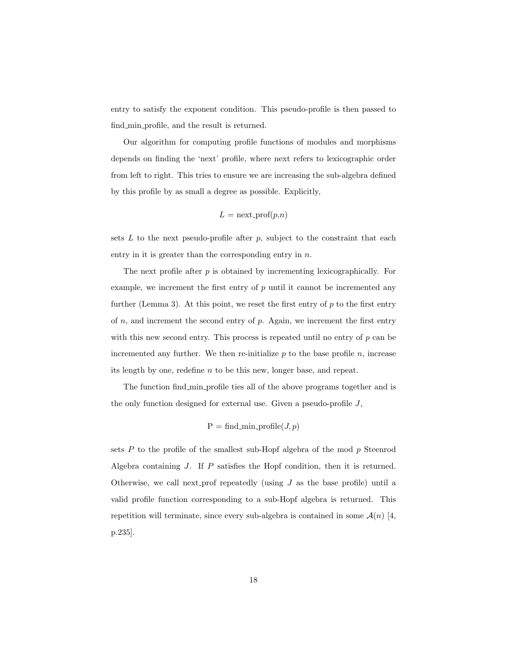entry to satisfy the exponent condition. This pseudo-profile is then passed to find min profile, and the result is returned.

Our algorithm for computing profile functions of modules and morphisms depends on finding the 'next' profile, where next refers to lexicographic order from left to right. This tries to ensure we are increasing the sub-algebra defined by this profile by as small a degree as possible. Explicitly,

$$
L = \text{next\_prof}(p,n)
$$

sets  $L$  to the next pseudo-profile after  $p$ , subject to the constraint that each entry in it is greater than the corresponding entry in  $n$ .

The next profile after p is obtained by incrementing lexicographically. For example, we increment the first entry of  $p$  until it cannot be incremented any further (Lemma 3). At this point, we reset the first entry of  $p$  to the first entry of  $n$ , and increment the second entry of  $p$ . Again, we increment the first entry with this new second entry. This process is repeated until no entry of  $p$  can be incremented any further. We then re-initialize  $p$  to the base profile  $n$ , increase its length by one, redefine n to be this new, longer base, and repeat.

The function find min profile ties all of the above programs together and is the only function designed for external use. Given a pseudo-profile J,

$$
P = find\_min\_profile(J, p)
$$

sets  $P$  to the profile of the smallest sub-Hopf algebra of the mod  $p$  Steenrod Algebra containing J. If P satisfies the Hopf condition, then it is returned. Otherwise, we call next prof repeatedly (using  $J$  as the base profile) until a valid profile function corresponding to a sub-Hopf algebra is returned. This repetition will terminate, since every sub-algebra is contained in some  $\mathcal{A}(n)$  [4, p.235].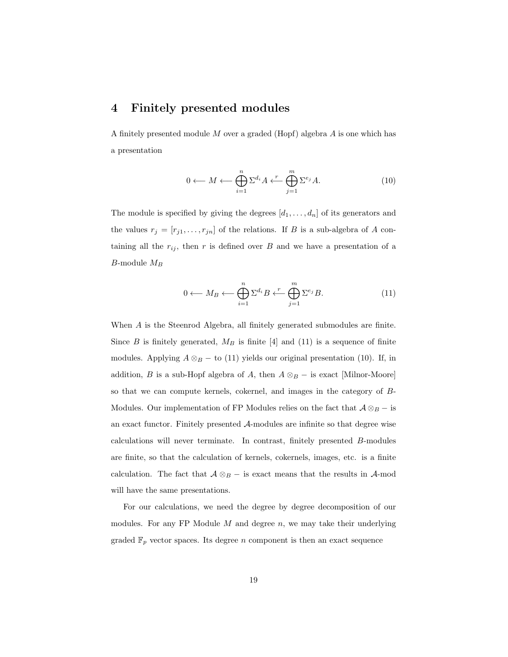## 4 Finitely presented modules

A finitely presented module M over a graded (Hopf) algebra A is one which has a presentation

$$
0 \longleftarrow M \longleftarrow \bigoplus_{i=1}^{n} \Sigma^{d_i} A \stackrel{r}{\longleftarrow} \bigoplus_{j=1}^{m} \Sigma^{e_j} A. \tag{10}
$$

The module is specified by giving the degrees  $[d_1, \ldots, d_n]$  of its generators and the values  $r_j = [r_{j1}, \ldots, r_{jn}]$  of the relations. If B is a sub-algebra of A containing all the  $r_{ij}$ , then r is defined over B and we have a presentation of a *B*-module  $M_B$ 

$$
0 \longleftarrow M_B \longleftarrow \bigoplus_{i=1}^n \Sigma^{d_i} B \longleftarrow^r \bigoplus_{j=1}^m \Sigma^{e_j} B. \tag{11}
$$

When A is the Steenrod Algebra, all finitely generated submodules are finite. Since B is finitely generated,  $M_B$  is finite [4] and (11) is a sequence of finite modules. Applying  $A \otimes_B -$  to (11) yields our original presentation (10). If, in addition, B is a sub-Hopf algebra of A, then  $A \otimes_B -$  is exact [Milnor-Moore] so that we can compute kernels, cokernel, and images in the category of B-Modules. Our implementation of FP Modules relies on the fact that  $A \otimes_B -$  is an exact functor. Finitely presented A-modules are infinite so that degree wise calculations will never terminate. In contrast, finitely presented B-modules are finite, so that the calculation of kernels, cokernels, images, etc. is a finite calculation. The fact that  $A \otimes_B -$  is exact means that the results in A-mod will have the same presentations.

For our calculations, we need the degree by degree decomposition of our modules. For any FP Module  $M$  and degree  $n$ , we may take their underlying graded  $\mathbb{F}_p$  vector spaces. Its degree n component is then an exact sequence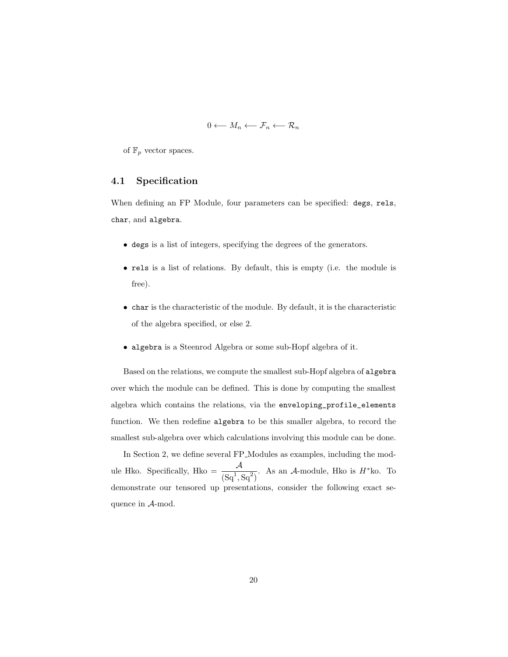$$
0 \longleftarrow M_n \longleftarrow \mathcal{F}_n \longleftarrow \mathcal{R}_n
$$

of  $\mathbb{F}_p$  vector spaces.

#### 4.1 Specification

When defining an FP Module, four parameters can be specified: degs, rels, char, and algebra.

- degs is a list of integers, specifying the degrees of the generators.
- rels is a list of relations. By default, this is empty (i.e. the module is free).
- char is the characteristic of the module. By default, it is the characteristic of the algebra specified, or else 2.
- algebra is a Steenrod Algebra or some sub-Hopf algebra of it.

Based on the relations, we compute the smallest sub-Hopf algebra of algebra over which the module can be defined. This is done by computing the smallest algebra which contains the relations, via the enveloping\_profile\_elements function. We then redefine algebra to be this smaller algebra, to record the smallest sub-algebra over which calculations involving this module can be done.

In Section 2, we define several FP Modules as examples, including the module Hko. Specifically, Hko =  $\frac{\mathcal{A}}{(Sq^1, Sq^2)}$ . As an  $\mathcal{A}$ -module, Hko is  $H^*$ ko. To demonstrate our tensored up presentations, consider the following exact sequence in A-mod.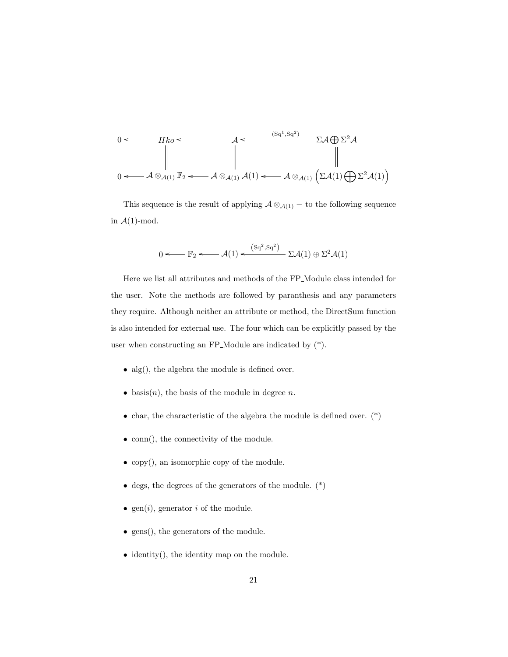$$
0 \leftarrow Hko \leftarrow Hko \leftarrow \mathcal{A} \leftarrow \text{Sq}^{1,Sq^{2}} \sum \mathcal{A} \bigoplus \Sigma^{2} \mathcal{A}
$$
\n
$$
\parallel \qquad \qquad \parallel \qquad \qquad \parallel
$$
\n
$$
0 \leftarrow \mathcal{A} \otimes_{\mathcal{A}(1)} \mathbb{F}_{2} \leftarrow \mathcal{A} \otimes_{\mathcal{A}(1)} \mathcal{A}(1) \leftarrow \mathcal{A} \otimes_{\mathcal{A}(1)} \left( \Sigma \mathcal{A}(1) \bigoplus \Sigma^{2} \mathcal{A}(1) \right)
$$

This sequence is the result of applying  $\mathcal{A} \otimes_{\mathcal{A}(1)} -$  to the following sequence in  $\mathcal{A}(1)$ -mod.

$$
0 \leftarrow \mathbb{F}_2 \leftarrow \mathcal{A}(1) \leftarrow \frac{(sq^2, sq^2)}{\sum \mathcal{A}(1) \oplus \sum^2 \mathcal{A}(1)}
$$

Here we list all attributes and methods of the FP Module class intended for the user. Note the methods are followed by paranthesis and any parameters they require. Although neither an attribute or method, the DirectSum function is also intended for external use. The four which can be explicitly passed by the user when constructing an FP Module are indicated by (\*).

- alg(), the algebra the module is defined over.
- basis $(n)$ , the basis of the module in degree n.
- char, the characteristic of the algebra the module is defined over.  $(*)$
- conn(), the connectivity of the module.
- copy(), an isomorphic copy of the module.
- degs, the degrees of the generators of the module.  $(*)$
- gen(i), generator i of the module.
- gens(), the generators of the module.
- identity(), the identity map on the module.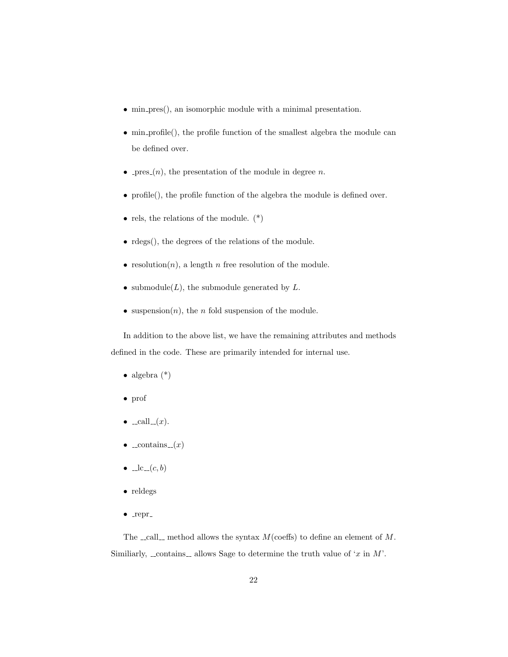- min pres(), an isomorphic module with a minimal presentation.
- min profile(), the profile function of the smallest algebra the module can be defined over.
- pres $(n)$ , the presentation of the module in degree n.
- profile(), the profile function of the algebra the module is defined over.
- rels, the relations of the module.  $(*)$
- rdegs(), the degrees of the relations of the module.
- resolution $(n)$ , a length n free resolution of the module.
- submodule $(L)$ , the submodule generated by  $L$ .
- suspension $(n)$ , the *n* fold suspension of the module.

In addition to the above list, we have the remaining attributes and methods defined in the code. These are primarily intended for internal use.

- algebra  $(*)$
- prof
- $\bullet$  \_call\_ $(x)$ .
- $\bullet$  \_contains  $(x)$
- $\bullet$   $\Box$ c $\Box$ c $, b)$
- reldegs
- $\bullet$  \_repr\_

The  $\text{\_call}\_$  method allows the syntax  $M(\text{coeffs})$  to define an element of M. Similiarly, contains allows Sage to determine the truth value of 'x in  $M'$ .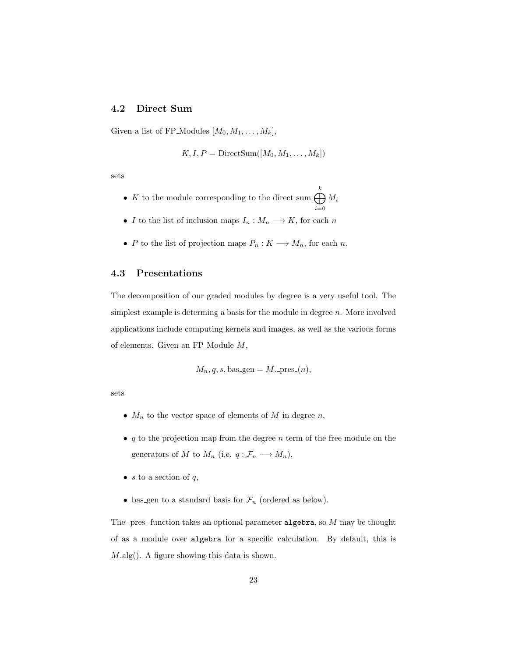### 4.2 Direct Sum

Given a list of FP\_Modules  $[M_0, M_1, \ldots, M_k],$ 

$$
K, I, P = \text{DirectSum}([M_0, M_1, \ldots, M_k])
$$

sets

- K to the module corresponding to the direct sum  $\bigoplus^k$  $i=0$  $M_i$
- $\bullet$   $I$  to the list of inclusion maps  $I_n: M_n \longrightarrow K,$  for each  $n$
- P to the list of projection maps  $P_n: K \longrightarrow M_n$ , for each n.

#### 4.3 Presentations

The decomposition of our graded modules by degree is a very useful tool. The simplest example is determing a basis for the module in degree  $n$ . More involved applications include computing kernels and images, as well as the various forms of elements. Given an  $FP\_Module M$ ,

$$
M_n, q, s, bas\text{-gen} = M.\text{-pres}_-(n),
$$

sets

- $M_n$  to the vector space of elements of M in degree n,
- $q$  to the projection map from the degree n term of the free module on the generators of M to  $M_n$  (i.e.  $q: \mathcal{F}_n \longrightarrow M_n$ ),
- s to a section of  $q$ ,
- bas gen to a standard basis for  $\mathcal{F}_n$  (ordered as below).

The pres function takes an optional parameter algebra, so  $M$  may be thought of as a module over algebra for a specific calculation. By default, this is M.alg(). A figure showing this data is shown.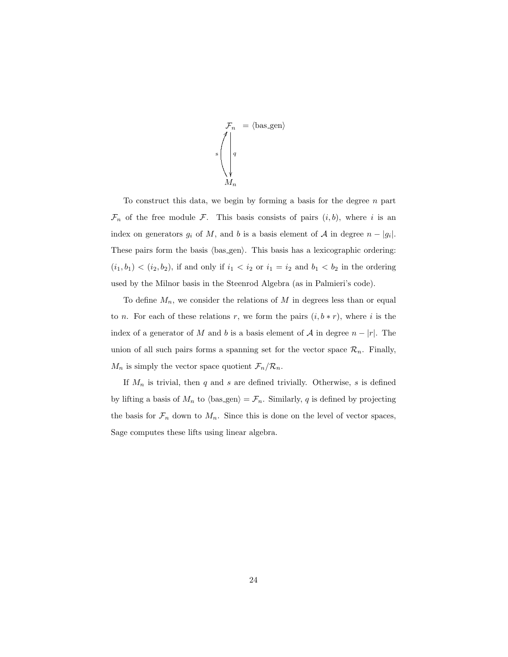$$
\mathcal{F}_n = \langle \text{bas-gen} \rangle
$$

$$
\begin{pmatrix} | & & \\ | & q & \\ & & \\ \sqrt{q} & & \\ & & M_n & \end{pmatrix}
$$

To construct this data, we begin by forming a basis for the degree  $n$  part  $\mathcal{F}_n$  of the free module  $\mathcal{F}_n$ . This basis consists of pairs  $(i, b)$ , where i is an index on generators  $g_i$  of M, and b is a basis element of A in degree  $n - |g_i|$ . These pairs form the basis  $\langle$ bas\_gen $\rangle$ . This basis has a lexicographic ordering:  $(i_1, b_1) < (i_2, b_2)$ , if and only if  $i_1 < i_2$  or  $i_1 = i_2$  and  $b_1 < b_2$  in the ordering used by the Milnor basis in the Steenrod Algebra (as in Palmieri's code).

To define  $M_n$ , we consider the relations of M in degrees less than or equal to *n*. For each of these relations *r*, we form the pairs  $(i, b * r)$ , where *i* is the index of a generator of M and b is a basis element of A in degree  $n - |r|$ . The union of all such pairs forms a spanning set for the vector space  $\mathcal{R}_n$ . Finally,  $M_n$  is simply the vector space quotient  $\mathcal{F}_n/\mathcal{R}_n$ .

If  $M_n$  is trivial, then  $q$  and  $s$  are defined trivially. Otherwise,  $s$  is defined by lifting a basis of  $M_n$  to  $\langle$ bas gen $\rangle = \mathcal{F}_n$ . Similarly, q is defined by projecting the basis for  $\mathcal{F}_n$  down to  $M_n$ . Since this is done on the level of vector spaces, Sage computes these lifts using linear algebra.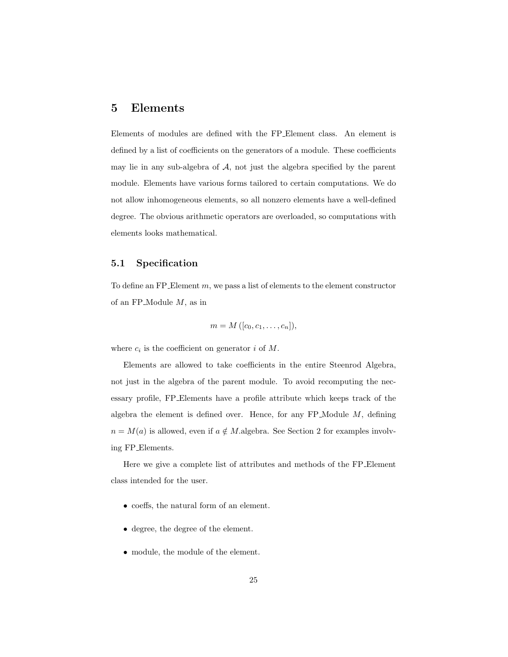## 5 Elements

Elements of modules are defined with the FP Element class. An element is defined by a list of coefficients on the generators of a module. These coefficients may lie in any sub-algebra of  $A$ , not just the algebra specified by the parent module. Elements have various forms tailored to certain computations. We do not allow inhomogeneous elements, so all nonzero elements have a well-defined degree. The obvious arithmetic operators are overloaded, so computations with elements looks mathematical.

#### 5.1 Specification

To define an FP Element  $m$ , we pass a list of elements to the element constructor of an FP Module M, as in

$$
m = M([c_0, c_1, \ldots, c_n]),
$$

where  $c_i$  is the coefficient on generator i of M.

Elements are allowed to take coefficients in the entire Steenrod Algebra, not just in the algebra of the parent module. To avoid recomputing the necessary profile, FP Elements have a profile attribute which keeps track of the algebra the element is defined over. Hence, for any  $FP$ -Module  $M$ , defining  $n = M(a)$  is allowed, even if  $a \notin M$ .algebra. See Section 2 for examples involving FP Elements.

Here we give a complete list of attributes and methods of the FP Element class intended for the user.

- coeffs, the natural form of an element.
- degree, the degree of the element.
- module, the module of the element.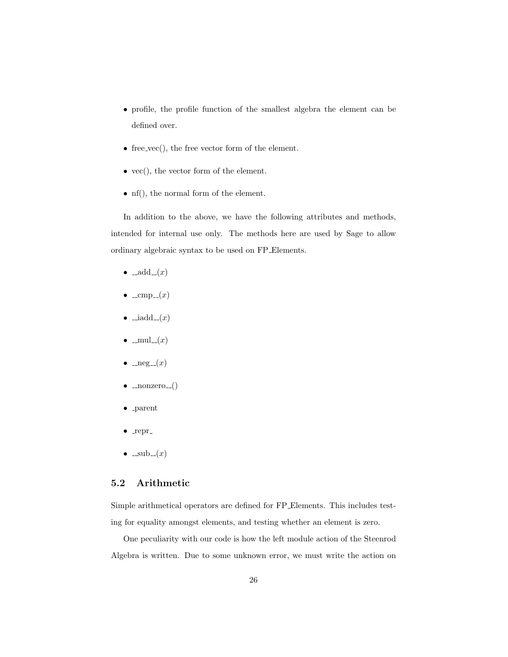- profile, the profile function of the smallest algebra the element can be defined over.
- free\_vec $()$ , the free vector form of the element.
- vec(), the vector form of the element.
- nf(), the normal form of the element.

In addition to the above, we have the following attributes and methods, intended for internal use only. The methods here are used by Sage to allow ordinary algebraic syntax to be used on FP Elements.

- $\bullet$   $\text{--add} \, (x)$
- $\bullet$  \_cmp\_(x)
- $\bullet$   $\_\text{indd}\_\text{-}(x)$
- $\bullet$  \_mul\_ $(x)$
- $\bullet$   $\text{__neg}_-(x)$
- $\bullet$  \_nonzero  $_{-}()$
- parent
- $\bullet$  repr.
- $\bullet$  \_sub\_ $(x)$

#### 5.2 Arithmetic

Simple arithmetical operators are defined for FP Elements. This includes testing for equality amongst elements, and testing whether an element is zero.

One peculiarity with our code is how the left module action of the Steenrod Algebra is written. Due to some unknown error, we must write the action on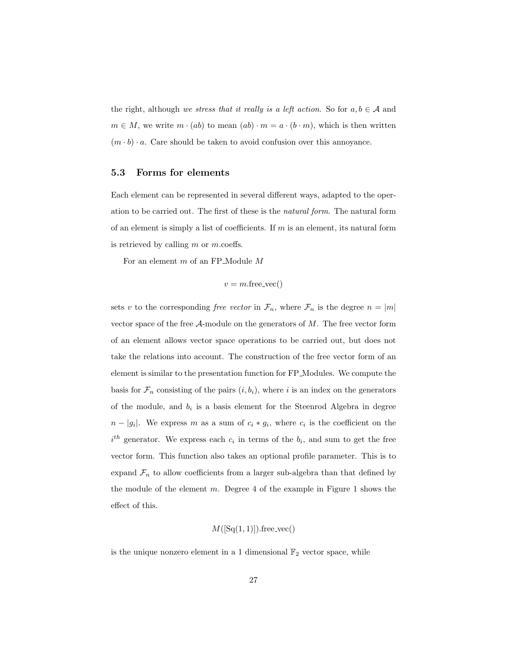the right, although we stress that it really is a left action. So for  $a, b \in A$  and  $m \in M$ , we write  $m \cdot (ab)$  to mean  $(ab) \cdot m = a \cdot (b \cdot m)$ , which is then written  $(m \cdot b) \cdot a$ . Care should be taken to avoid confusion over this annoyance.

#### 5.3 Forms for elements

Each element can be represented in several different ways, adapted to the operation to be carried out. The first of these is the natural form. The natural form of an element is simply a list of coefficients. If  $m$  is an element, its natural form is retrieved by calling  $m$  or  $m$ .coeffs.

For an element m of an FP Module M

$$
v = m \cdot \text{free\_vec}()
$$

sets v to the corresponding free vector in  $\mathcal{F}_n$ , where  $\mathcal{F}_n$  is the degree  $n = |m|$ vector space of the free  $A$ -module on the generators of  $M$ . The free vector form of an element allows vector space operations to be carried out, but does not take the relations into account. The construction of the free vector form of an element is similar to the presentation function for FP Modules. We compute the basis for  $\mathcal{F}_n$  consisting of the pairs  $(i, b_i)$ , where i is an index on the generators of the module, and  $b_i$  is a basis element for the Steenrod Algebra in degree  $n - |g_i|$ . We express m as a sum of  $c_i * g_i$ , where  $c_i$  is the coefficient on the  $i<sup>th</sup>$  generator. We express each  $c_i$  in terms of the  $b_i$ , and sum to get the free vector form. This function also takes an optional profile parameter. This is to expand  $\mathcal{F}_n$  to allow coefficients from a larger sub-algebra than that defined by the module of the element  $m$ . Degree 4 of the example in Figure 1 shows the effect of this.

$$
M([Sq(1,1)]).
$$
free<sub>-vec()</sub>

is the unique nonzero element in a 1 dimensional  $\mathbb{F}_2$  vector space, while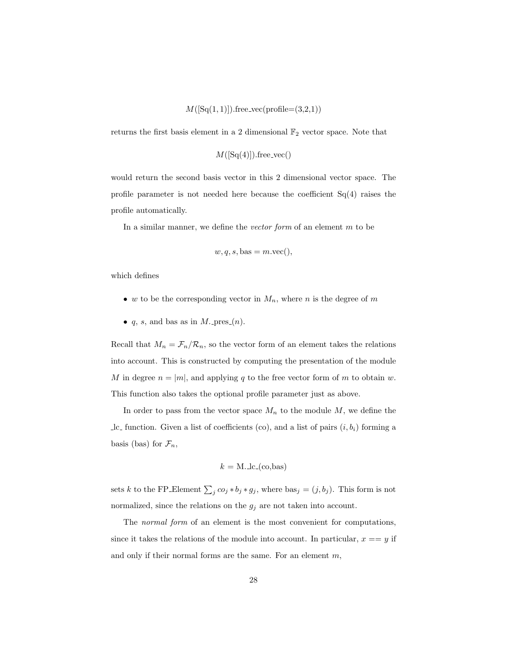$M([Sq(1, 1)])$ .free\_vec(profile=(3,2,1))

returns the first basis element in a 2 dimensional  $\mathbb{F}_2$  vector space. Note that

$$
M([Sq(4)]).free\_vec()
$$

would return the second basis vector in this 2 dimensional vector space. The profile parameter is not needed here because the coefficient  $Sq(4)$  raises the profile automatically.

In a similar manner, we define the vector form of an element  $m$  to be

$$
w, q, s, bas = m \cdot vec()
$$

which defines

- w to be the corresponding vector in  $M_n$ , where n is the degree of m
- $q$ ,  $s$ , and bas as in  $M$ . pres  $(n)$ .

Recall that  $M_n = \mathcal{F}_n/\mathcal{R}_n$ , so the vector form of an element takes the relations into account. This is constructed by computing the presentation of the module M in degree  $n = |m|$ , and applying q to the free vector form of m to obtain w. This function also takes the optional profile parameter just as above.

In order to pass from the vector space  $M_n$  to the module  $M$ , we define the lc function. Given a list of coefficients (co), and a list of pairs  $(i, b_i)$  forming a basis (bas) for  $\mathcal{F}_n$ ,

$$
k = \text{M.Lc}_{\text{-}}(\text{co}, \text{bas})
$$

sets k to the FP\_Element  $\sum_j c_{0j} * b_j * g_j$ , where  $bas_j = (j, b_j)$ . This form is not normalized, since the relations on the  $g_j$  are not taken into account.

The normal form of an element is the most convenient for computations, since it takes the relations of the module into account. In particular,  $x == y$  if and only if their normal forms are the same. For an element  $m$ ,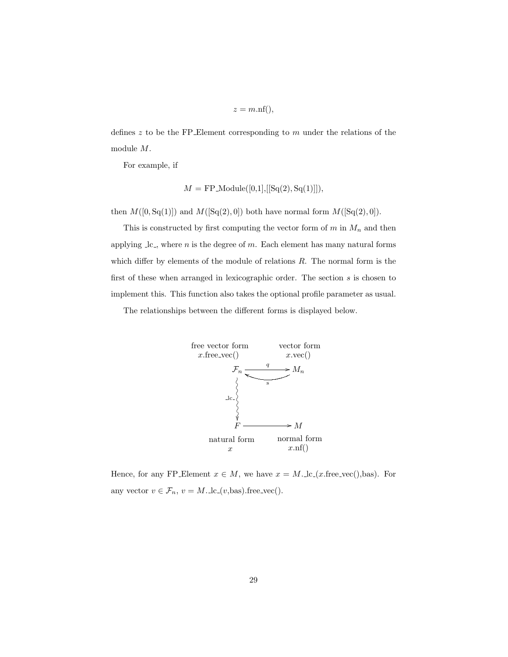$z = m.nf(),$ 

defines  $z$  to be the FP Element corresponding to  $m$  under the relations of the module M.

For example, if

$$
M = FP\_Module([0,1], [[Sq(2), Sq(1)]]),
$$

then  $M([0, Sq(1)])$  and  $M([Sq(2), 0])$  both have normal form  $M([Sq(2), 0])$ .

This is constructed by first computing the vector form of  $m$  in  $M_n$  and then applying  $\lrcorner$  lc., where *n* is the degree of *m*. Each element has many natural forms which differ by elements of the module of relations  $R$ . The normal form is the first of these when arranged in lexicographic order. The section  $s$  is chosen to implement this. This function also takes the optional profile parameter as usual.

The relationships between the different forms is displayed below.



Hence, for any FP Element  $x \in M$ , we have  $x = M \cdot \text{lc}(x \cdot \text{free}\text{-}vec(),\text{bas}).$  For any vector  $v \in \mathcal{F}_n$ ,  $v = M \ldots \log(v, \text{bas})$ . free\_vec().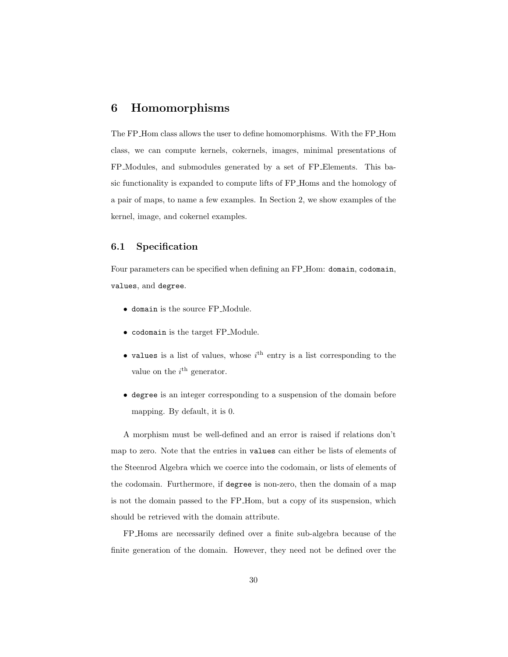## 6 Homomorphisms

The FP Hom class allows the user to define homomorphisms. With the FP Hom class, we can compute kernels, cokernels, images, minimal presentations of FP Modules, and submodules generated by a set of FP Elements. This basic functionality is expanded to compute lifts of FP Homs and the homology of a pair of maps, to name a few examples. In Section 2, we show examples of the kernel, image, and cokernel examples.

#### 6.1 Specification

Four parameters can be specified when defining an FP Hom: domain, codomain, values, and degree.

- domain is the source FP Module.
- codomain is the target FP Module.
- values is a list of values, whose  $i<sup>th</sup>$  entry is a list corresponding to the value on the  $i<sup>th</sup>$  generator.
- degree is an integer corresponding to a suspension of the domain before mapping. By default, it is 0.

A morphism must be well-defined and an error is raised if relations don't map to zero. Note that the entries in values can either be lists of elements of the Steenrod Algebra which we coerce into the codomain, or lists of elements of the codomain. Furthermore, if degree is non-zero, then the domain of a map is not the domain passed to the FP Hom, but a copy of its suspension, which should be retrieved with the domain attribute.

FP Homs are necessarily defined over a finite sub-algebra because of the finite generation of the domain. However, they need not be defined over the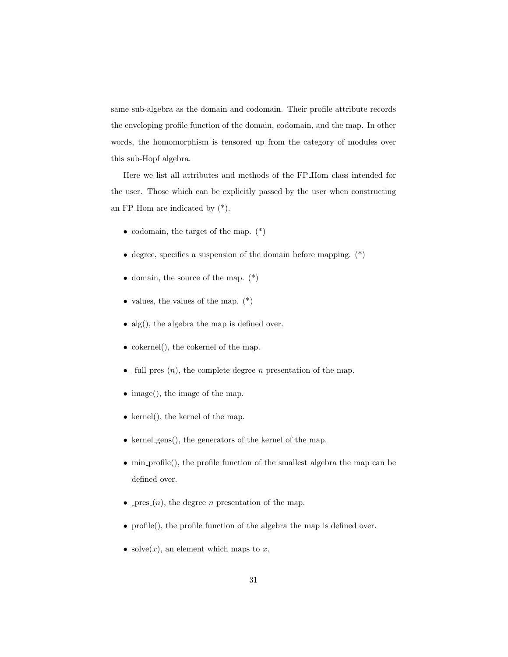same sub-algebra as the domain and codomain. Their profile attribute records the enveloping profile function of the domain, codomain, and the map. In other words, the homomorphism is tensored up from the category of modules over this sub-Hopf algebra.

Here we list all attributes and methods of the FP Hom class intended for the user. Those which can be explicitly passed by the user when constructing an FP Hom are indicated by (\*).

- codomain, the target of the map.  $(*)$
- degree, specifies a suspension of the domain before mapping. (\*)
- domain, the source of the map.  $(*)$
- values, the values of the map.  $(*)$
- alg(), the algebra the map is defined over.
- cokernel(), the cokernel of the map.
- full-pres $(n)$ , the complete degree *n* presentation of the map.
- image(), the image of the map.
- $\bullet$  kernel(), the kernel of the map.
- kernel gens $($ ), the generators of the kernel of the map.
- min profile(), the profile function of the smallest algebra the map can be defined over.
- pres  $(n)$ , the degree *n* presentation of the map.
- profile(), the profile function of the algebra the map is defined over.
- solve $(x)$ , an element which maps to x.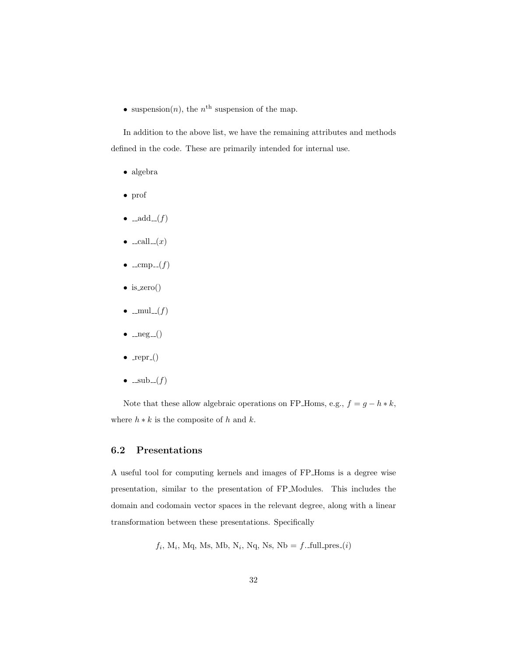• suspension $(n)$ , the  $n<sup>th</sup>$  suspension of the map.

In addition to the above list, we have the remaining attributes and methods defined in the code. These are primarily intended for internal use.

- algebra
- prof
- $\bullet$   $\text{--add} \text{--}(f)$
- $\bullet$  \_call\_ $(x)$
- $\bullet$  \_cmp\_(f)
- is\_zero()
- $\bullet$  \_mul\_(f)
- $\bullet$   $\text{__neg\_()}$
- $\bullet$  \_repr<sub>-</sub>()
- $\bullet$  \_sub\_(f)

Note that these allow algebraic operations on FP\_Homs, e.g.,  $f=g-h\ast k,$ where  $h * k$  is the composite of h and k.

#### 6.2 Presentations

A useful tool for computing kernels and images of FP Homs is a degree wise presentation, similar to the presentation of FP Modules. This includes the domain and codomain vector spaces in the relevant degree, along with a linear transformation between these presentations. Specifically

 $f_i$ , M<sub>i</sub>, Mq, Ms, Mb, N<sub>i</sub>, Nq, Ns, Nb = f. full pres (i)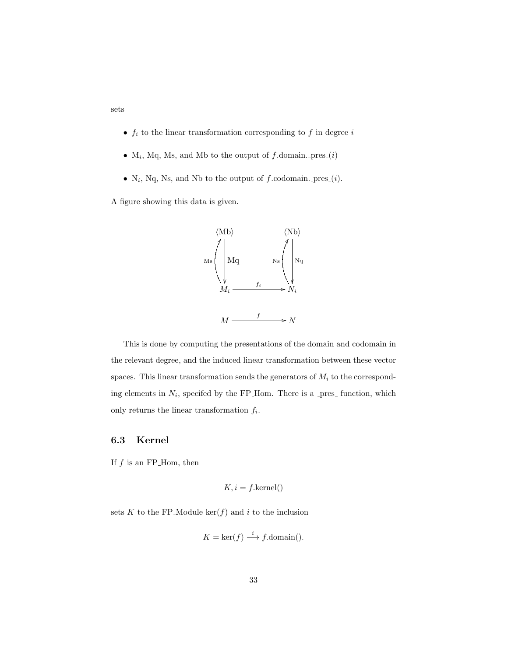- $\bullet$   $\ f_i$  to the linear transformation corresponding to  $f$  in degree  $i$
- $M_i$ , Mq, Ms, and Mb to the output of f.domain. pres $(i)$
- $N_i$ , Nq, Ns, and Nb to the output of f.codomain. pres $(i)$ .

A figure showing this data is given.

sets



This is done by computing the presentations of the domain and codomain in the relevant degree, and the induced linear transformation between these vector spaces. This linear transformation sends the generators of  $M_i$  to the corresponding elements in  $N_i$ , specifed by the FP\_Hom. There is a \_pres\_ function, which only returns the linear transformation  $f_i$ .

#### 6.3 Kernel

If  $f$  is an FP\_Hom, then

$$
K, i = f.\text{kernel}()
$$

sets K to the FP\_Module  $\ker(f)$  and i to the inclusion

$$
K = \ker(f) \xrightarrow{i} f.\text{domain}()
$$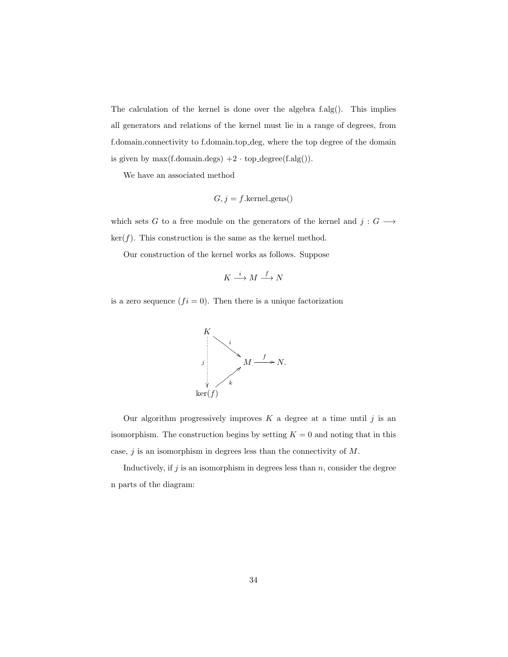The calculation of the kernel is done over the algebra f.alg(). This implies all generators and relations of the kernel must lie in a range of degrees, from f.domain.connectivity to f.domain.top deg, where the top degree of the domain is given by max(f.domain.degs)  $+2 \cdot$  top\_degree(f.alg()).

We have an associated method

$$
G, j = f. \text{kernel\_gens}()
$$

which sets G to a free module on the generators of the kernel and  $j: G \longrightarrow$  $\ker(f)$ . This construction is the same as the kernel method.

Our construction of the kernel works as follows. Suppose

$$
K \stackrel{i}{\longrightarrow} M \stackrel{f}{\longrightarrow} N
$$

is a zero sequence  $(f_i = 0)$ . Then there is a unique factorization



Our algorithm progressively improves  $K$  a degree at a time until  $j$  is an isomorphism. The construction begins by setting  $K = 0$  and noting that in this case,  $j$  is an isomorphism in degrees less than the connectivity of  $M$ .

Inductively, if  $j$  is an isomorphism in degrees less than  $n$ , consider the degree n parts of the diagram: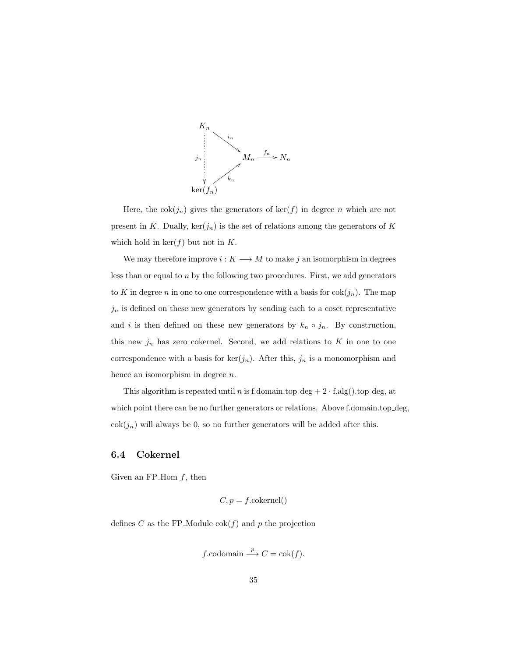

Here, the cok $(j_n)$  gives the generators of ker $(f)$  in degree n which are not present in K. Dually,  $\ker(j_n)$  is the set of relations among the generators of K which hold in  $\ker(f)$  but not in K.

We may therefore improve  $i: K \longrightarrow M$  to make j an isomorphism in degrees less than or equal to n by the following two procedures. First, we add generators to K in degree n in one to one correspondence with a basis for  $\cosh(j_n)$ . The map  $j_n$  is defined on these new generators by sending each to a coset representative and i is then defined on these new generators by  $k_n \circ j_n$ . By construction, this new  $j_n$  has zero cokernel. Second, we add relations to K in one to one correspondence with a basis for  $\ker(j_n)$ . After this,  $j_n$  is a monomorphism and hence an isomorphism in degree n.

This algorithm is repeated until n is f.domain.top\_deg +  $2 \cdot$  f.alg().top\_deg, at which point there can be no further generators or relations. Above f.domain.top deg,  $\cosh(j_n)$  will always be 0, so no further generators will be added after this.

### 6.4 Cokernel

Given an FP-Hom  $f$ , then

$$
C, p = f \text{.cokernel}()
$$

defines C as the FP\_Module  $\operatorname{cok}(f)$  and p the projection

$$
f
$$
.codomain  $\xrightarrow{p} C = \text{cok}(f)$ .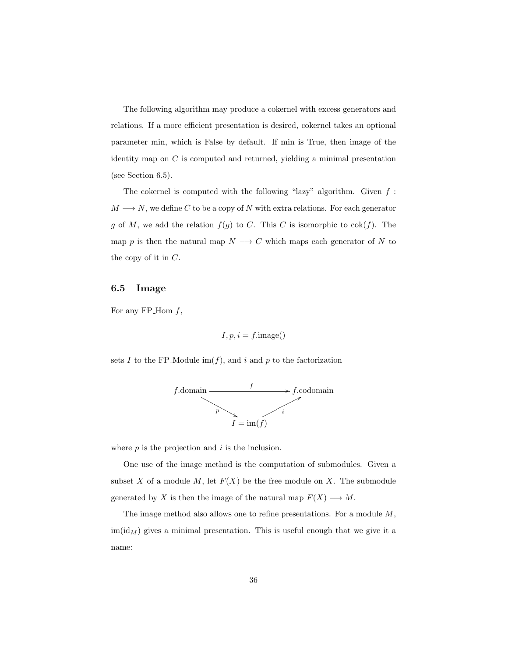The following algorithm may produce a cokernel with excess generators and relations. If a more efficient presentation is desired, cokernel takes an optional parameter min, which is False by default. If min is True, then image of the identity map on  $C$  is computed and returned, yielding a minimal presentation (see Section 6.5).

The cokernel is computed with the following "lazy" algorithm. Given  $f$ :  $M \longrightarrow N$ , we define C to be a copy of N with extra relations. For each generator g of M, we add the relation  $f(g)$  to C. This C is isomorphic to  $cok(f)$ . The map p is then the natural map  $N \longrightarrow C$  which maps each generator of N to the copy of it in C.

## 6.5 Image

For any FP\_Hom  $f$ ,

$$
I, p, i = f.\text{image}()
$$

sets I to the FP\_Module  $\text{im}(f)$ , and i and p to the factorization



where  $p$  is the projection and  $i$  is the inclusion.

One use of the image method is the computation of submodules. Given a subset X of a module M, let  $F(X)$  be the free module on X. The submodule generated by X is then the image of the natural map  $F(X) \longrightarrow M$ .

The image method also allows one to refine presentations. For a module  $M$ ,  $\text{im}(\text{id}_M)$  gives a minimal presentation. This is useful enough that we give it a name: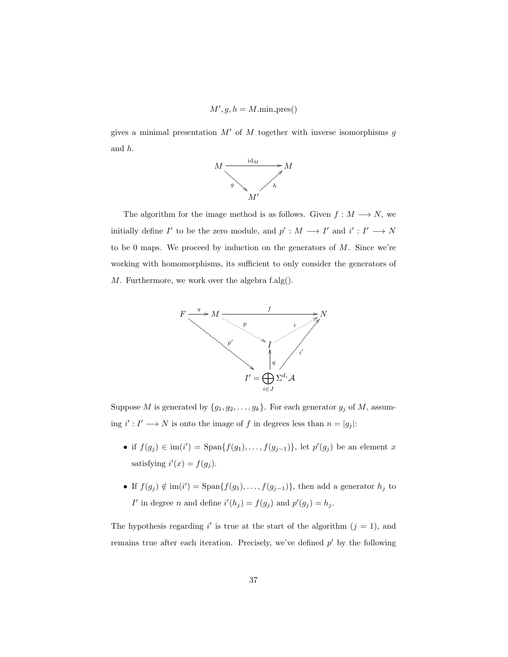$$
M', g, h = M.\text{min\_pres}()
$$

gives a minimal presentation  $M'$  of  $M$  together with inverse isomorphisms  $g$ and h.



The algorithm for the image method is as follows. Given  $f : M \longrightarrow N$ , we initially define  $I'$  to be the zero module, and  $p' : M \longrightarrow I'$  and  $i' : I' \longrightarrow N$ to be 0 maps. We proceed by induction on the generators of  $M$ . Since we're working with homomorphisms, its sufficient to only consider the generators of M. Furthermore, we work over the algebra f.alg().



Suppose M is generated by  $\{g_1, g_2, \ldots, g_k\}$ . For each generator  $g_j$  of M, assuming  $i': I' \longrightarrow N$  is onto the image of f in degrees less than  $n = |g_j|$ :

- if  $f(g_j) \in \text{im}(i') = \text{Span}\{f(g_1), \ldots, f(g_{j-1})\}\$ , let  $p'(g_j)$  be an element x satisfying  $i'(x) = f(g_j)$ .
- If  $f(g_j) \notin \text{im}(i') = \text{Span}\{f(g_1), \ldots, f(g_{j-1})\}$ , then add a generator  $h_j$  to I' in degree n and define  $i'(h_j) = f(g_j)$  and  $p'(g_j) = h_j$ .

The hypothesis regarding i' is true at the start of the algorithm  $(j = 1)$ , and remains true after each iteration. Precisely, we've defined  $p'$  by the following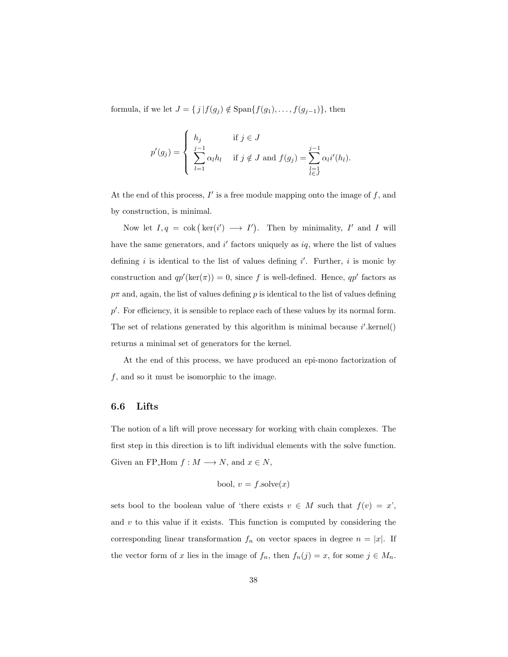formula, if we let  $J = \{ j | f(g_j) \notin \text{Span}\{f(g_1), \ldots, f(g_{j-1})\},\$  then

$$
p'(g_j) = \begin{cases} h_j & \text{if } j \in J \\ \sum_{l=1}^{j-1} \alpha_l h_l & \text{if } j \notin J \text{ and } f(g_j) = \sum_{\substack{l=1 \\ l \in J}}^{j-1} \alpha_l i'(h_l). \end{cases}
$$

At the end of this process,  $I'$  is a free module mapping onto the image of  $f$ , and by construction, is minimal.

Now let  $I, q = \text{cok } (\text{ker}(i') \longrightarrow I')$ . Then by minimality, I' and I will have the same generators, and  $i'$  factors uniquely as  $iq$ , where the list of values defining i is identical to the list of values defining  $i'$ . Further, i is monic by construction and  $qp'(\ker(\pi)) = 0$ , since f is well-defined. Hence,  $qp'$  factors as  $p\pi$  and, again, the list of values defining p is identical to the list of values defining  $p'$ . For efficiency, it is sensible to replace each of these values by its normal form. The set of relations generated by this algorithm is minimal because  $i'$  kernel() returns a minimal set of generators for the kernel.

At the end of this process, we have produced an epi-mono factorization of f, and so it must be isomorphic to the image.

## 6.6 Lifts

The notion of a lift will prove necessary for working with chain complexes. The first step in this direction is to lift individual elements with the solve function. Given an FP\_Hom  $f : M \longrightarrow N$ , and  $x \in N$ ,

$$
bool, v = f.solve(x)
$$

sets bool to the boolean value of 'there exists  $v \in M$  such that  $f(v) = x'$ , and  $v$  to this value if it exists. This function is computed by considering the corresponding linear transformation  $f_n$  on vector spaces in degree  $n = |x|$ . If the vector form of x lies in the image of  $f_n$ , then  $f_n(j) = x$ , for some  $j \in M_n$ .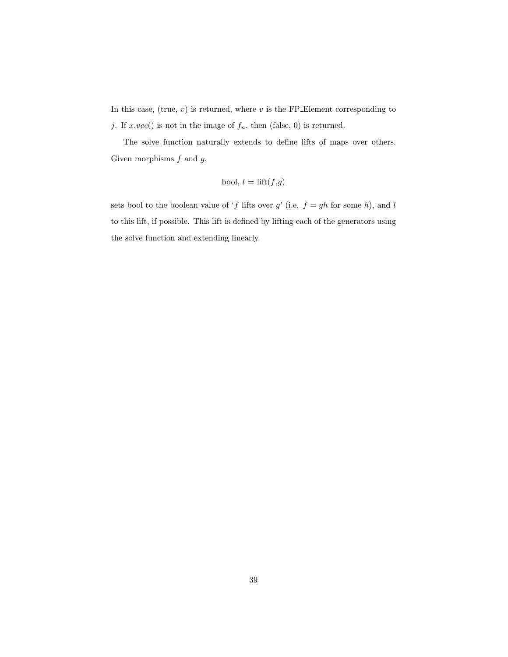In this case, (true,  $v$ ) is returned, where  $v$  is the FP Element corresponding to j. If  $x.vec()$  is not in the image of  $f_n$ , then (false, 0) is returned.

The solve function naturally extends to define lifts of maps over others. Given morphisms  $f$  and  $g$ ,

$$
\text{bool}, \, l = \text{lift}(f, g)
$$

sets bool to the boolean value of 'f lifts over  $g'$  (i.e.  $f = gh$  for some h), and l to this lift, if possible. This lift is defined by lifting each of the generators using the solve function and extending linearly.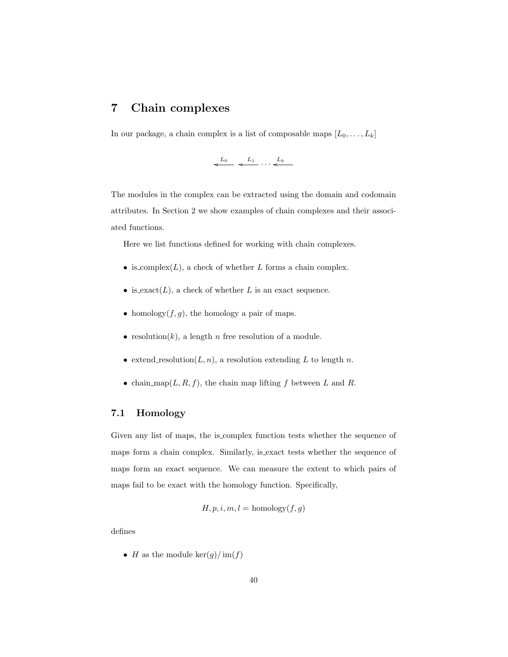# 7 Chain complexes

In our package, a chain complex is a list of composable maps  $[L_0, \ldots, L_k]$ 

$$
\stackrel{L_0}{\longleftarrow} \stackrel{L_1}{\longleftarrow} \cdots \stackrel{L_k}{\longleftarrow}
$$

The modules in the complex can be extracted using the domain and codomain attributes. In Section 2 we show examples of chain complexes and their associated functions.

Here we list functions defined for working with chain complexes.

- is complex $(L)$ , a check of whether L forms a chain complex.
- is exact( $L$ ), a check of whether  $L$  is an exact sequence.
- homology $(f, g)$ , the homology a pair of maps.
- resolution $(k)$ , a length n free resolution of a module.
- extend resolution $(L, n)$ , a resolution extending L to length n.
- chain map( $L, R, f$ ), the chain map lifting f between L and R.

# 7.1 Homology

Given any list of maps, the is complex function tests whether the sequence of maps form a chain complex. Similarly, is exact tests whether the sequence of maps form an exact sequence. We can measure the extent to which pairs of maps fail to be exact with the homology function. Specifically,

$$
H, p, i, m, l = \text{homology}(f, g)
$$

defines

• H as the module  $\ker(g)/\operatorname{im}(f)$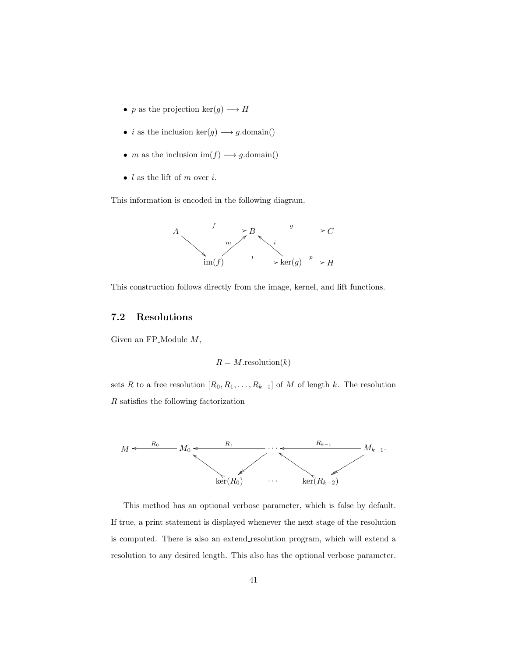- p as the projection  $\ker(g) \longrightarrow H$
- $\bullet\,$   $i$  as the inclusion  $\ker(g)\longrightarrow g.\text{domain}()$
- $m$  as the inclusion  $\text{im}(f) \longrightarrow g.\text{domain}()$
- $\bullet\,$   $l$  as the lift of  $m$  over  $i.$

This information is encoded in the following diagram.



This construction follows directly from the image, kernel, and lift functions.

## 7.2 Resolutions

Given an FP\_Module  $M$ ,

$$
R = M.\text{resolution}(k)
$$

sets R to a free resolution  $[R_0, R_1, \ldots, R_{k-1}]$  of M of length k. The resolution R satisfies the following factorization



This method has an optional verbose parameter, which is false by default. If true, a print statement is displayed whenever the next stage of the resolution is computed. There is also an extend resolution program, which will extend a resolution to any desired length. This also has the optional verbose parameter.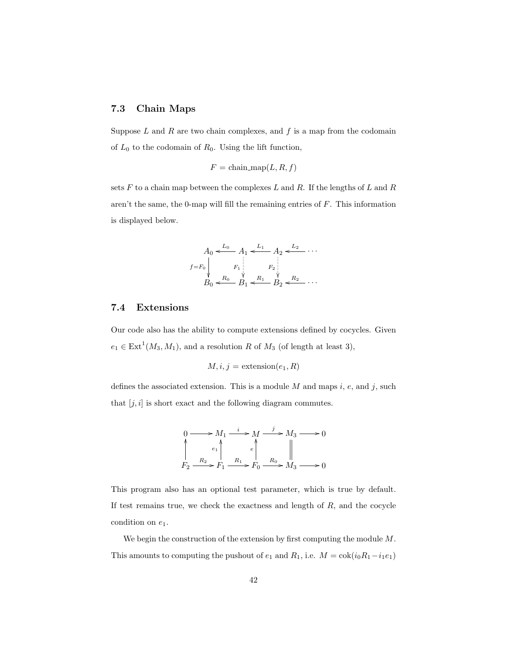# 7.3 Chain Maps

Suppose  $L$  and  $R$  are two chain complexes, and  $f$  is a map from the codomain of  $L_0$  to the codomain of  $R_0$ . Using the lift function,

$$
F = \text{chain\_map}(L, R, f)
$$

sets  $F$  to a chain map between the complexes  $L$  and  $R$ . If the lengths of  $L$  and  $R$ aren't the same, the 0-map will fill the remaining entries of F. This information is displayed below.

$$
A_0 \xleftarrow{L_0} A_1 \xleftarrow{L_1} A_2 \xleftarrow{L_2} \cdots
$$
  

$$
f = F_0 \downarrow F_1 \downarrow F_2 \downarrow F_3 \downarrow F_4 \downarrow F_5 \downarrow F_6 \downarrow F_7 \downarrow F_8 \downarrow F_9 \downarrow F_1 \downarrow F_2 \downarrow F_3 \downarrow F_4 \downarrow F_5 \downarrow F_6 \downarrow F_7 \downarrow F_8 \downarrow F_9 \downarrow F_1 \downarrow F_1 \downarrow F_2 \downarrow F_3 \downarrow F_4 \downarrow F_5 \downarrow F_6 \downarrow F_7 \downarrow F_8 \downarrow F_9 \downarrow F_1 \downarrow F_1 \downarrow F_2 \downarrow F_3 \downarrow F_4 \downarrow F_5 \downarrow F_6 \downarrow F_7 \downarrow F_7 \downarrow F_8 \downarrow F_9 \downarrow F_9 \downarrow F_1 \downarrow F_1 \downarrow F_1 \downarrow F_2 \downarrow F_3 \downarrow F_4 \downarrow F_5 \downarrow F_5 \downarrow F_6 \downarrow F_7 \downarrow F_7 \downarrow F_7 \downarrow F_8 \downarrow F_9 \downarrow F_9 \downarrow F_9 \downarrow F_9 \downarrow F_9 \downarrow F_9 \downarrow F_9 \downarrow F_9 \downarrow F_9 \downarrow F_9 \downarrow F_9 \downarrow F_9 \downarrow F_9 \downarrow F_9 \downarrow F_9 \downarrow F_9 \downarrow F_9 \downarrow F_9 \downarrow F_9 \downarrow F_9 \downarrow F_9 \downarrow F_9 \downarrow F_9 \downarrow F_9 \downarrow F_9 \downarrow F_9 \downarrow F_9 \downarrow F_9 \downarrow F_9 \downarrow F_9 \downarrow F_9 \downarrow F_9 \downarrow F_9 \downarrow F_9 \downarrow F_9 \downarrow F_9 \downarrow F_9 \downarrow F_9 \downarrow F_9 \downarrow F_9 \downarrow F_9 \downarrow F_9 \downarrow F_9 \downarrow F_9 \downarrow F_9 \downarrow F_9 \downarrow F_9 \downarrow F_9 \downarrow F_9 \downarrow F_9 \downarrow F_9 \downarrow F_9 \downarrow F_9 \downarrow F_9 \downarrow F_9 \downarrow F_9 \downarrow F_9 \downarrow F_9 \downarrow F_9 \downarrow F_9 \downarrow F_9 \downarrow F_9 \downarrow F_9 \downarrow F_9 \downarrow
$$

# 7.4 Extensions

Our code also has the ability to compute extensions defined by cocycles. Given  $e_1 \in \text{Ext}^1(M_3, M_1)$ , and a resolution R of  $M_3$  (of length at least 3),

$$
M, i, j = \text{extension}(e_1, R)
$$

defines the associated extension. This is a module  $M$  and maps  $i$ ,  $e$ , and  $j$ , such that  $[j, i]$  is short exact and the following diagram commutes.

$$
0 \longrightarrow M_1 \xrightarrow{i} M \xrightarrow{j} M_3 \longrightarrow 0
$$
  
\n
$$
\uparrow
$$
  
\n $F_2 \xrightarrow{R_2} F_1 \xrightarrow{R_1} F_0 \xrightarrow{R_0} M_3 \longrightarrow 0$ 

This program also has an optional test parameter, which is true by default. If test remains true, we check the exactness and length of  $R$ , and the cocycle condition on  $e_1$ .

We begin the construction of the extension by first computing the module  $M$ . This amounts to computing the pushout of  $e_1$  and  $R_1$ , i.e.  $M = \text{cok}(i_0R_1 - i_1e_1)$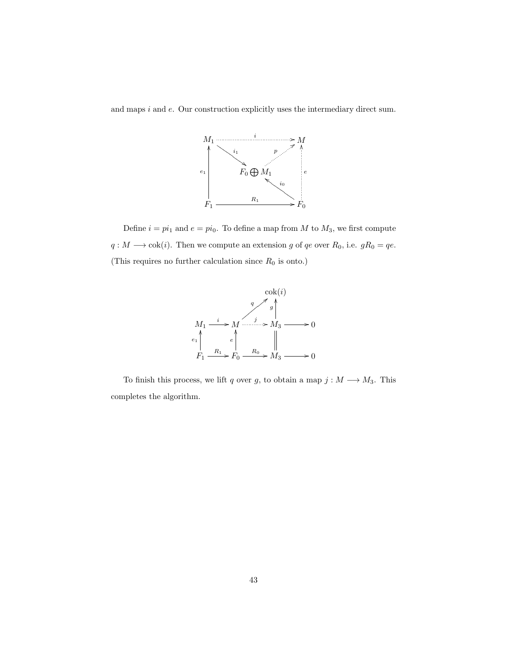and maps i and e. Our construction explicitly uses the intermediary direct sum.



Define  $i = pi_1$  and  $e = pi_0$ . To define a map from M to  $M_3$ , we first compute  $q: M \longrightarrow \text{cok}(i)$ . Then we compute an extension g of qe over  $R_0$ , i.e.  $gR_0 = qe$ . (This requires no further calculation since  $R_0$  is onto.)



To finish this process, we lift q over g, to obtain a map  $j : M \longrightarrow M_3$ . This completes the algorithm.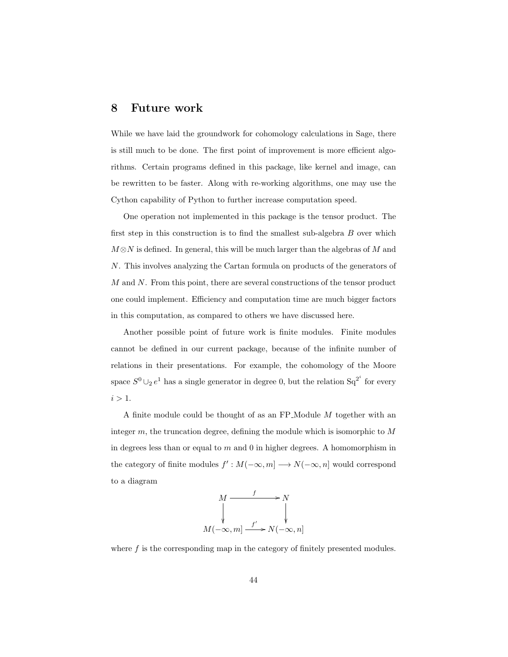# 8 Future work

While we have laid the groundwork for cohomology calculations in Sage, there is still much to be done. The first point of improvement is more efficient algorithms. Certain programs defined in this package, like kernel and image, can be rewritten to be faster. Along with re-working algorithms, one may use the Cython capability of Python to further increase computation speed.

One operation not implemented in this package is the tensor product. The first step in this construction is to find the smallest sub-algebra B over which  $M \otimes N$  is defined. In general, this will be much larger than the algebras of M and N. This involves analyzing the Cartan formula on products of the generators of M and N. From this point, there are several constructions of the tensor product one could implement. Efficiency and computation time are much bigger factors in this computation, as compared to others we have discussed here.

Another possible point of future work is finite modules. Finite modules cannot be defined in our current package, because of the infinite number of relations in their presentations. For example, the cohomology of the Moore space  $S^0 \cup_2 e^1$  has a single generator in degree 0, but the relation  $Sq^{2^i}$  for every  $i > 1$ .

A finite module could be thought of as an FP Module M together with an integer  $m$ , the truncation degree, defining the module which is isomorphic to  $M$ in degrees less than or equal to  $m$  and  $0$  in higher degrees. A homomorphism in the category of finite modules  $f': M(-\infty, m] \longrightarrow N(-\infty, n]$  would correspond to a diagram



where  $f$  is the corresponding map in the category of finitely presented modules.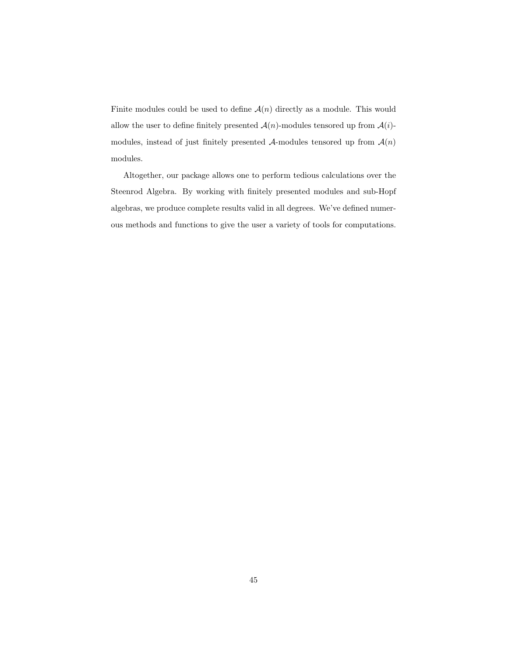Finite modules could be used to define  $\mathcal{A}(n)$  directly as a module. This would allow the user to define finitely presented  $\mathcal{A}(n)$ -modules tensored up from  $\mathcal{A}(i)$ modules, instead of just finitely presented  $A$ -modules tensored up from  $A(n)$ modules.

Altogether, our package allows one to perform tedious calculations over the Steenrod Algebra. By working with finitely presented modules and sub-Hopf algebras, we produce complete results valid in all degrees. We've defined numerous methods and functions to give the user a variety of tools for computations.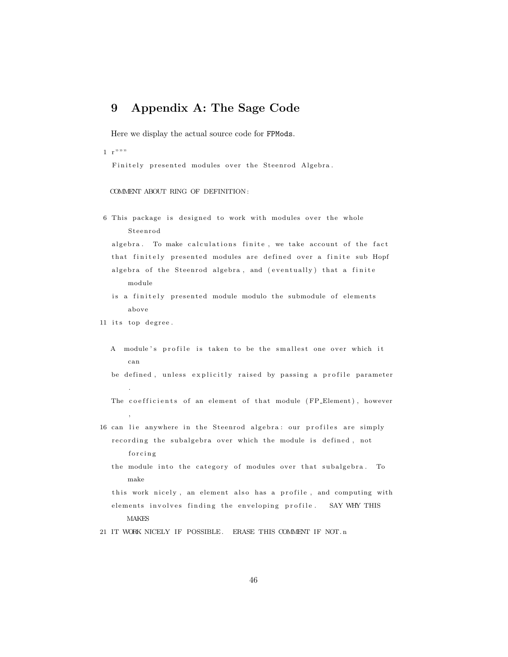# 9 Appendix A: The Sage Code

Here we display the actual source code for FPMods.

 $1 \cdot r$ """

Finitely presented modules over the Steenrod Algebra.

COMMENT ABOUT RING OF DEFINITION :

6 This package is designed to work with modules over the whole S teen r od

algebra. To make calculations finite, we take account of the fact that finitely presented modules are defined over a finite sub Hopf algebra of the Steenrod algebra, and (eventually) that a finite module

- is a finitely presented module modulo the submodule of elements above
- 11 its top degree.
	- A module's profile is taken to be the smallest one over which it can

be defined, unless explicitly raised by passing a profile parameter .

- The coefficients of an element of that module (FP\_Element), however ,
- 16 can lie anywhere in the Steenrod algebra: our profiles are simply recording the subalgebra over which the module is defined, not forcing
	- the module into the category of modules over that subalgebra. To make

this work nicely, an element also has a profile, and computing with elements involves finding the enveloping profile. SAY WHY THIS **MAKES** 

21 IT WORK NICELY IF POSSIBLE. ERASE THIS COMMENT IF NOT. n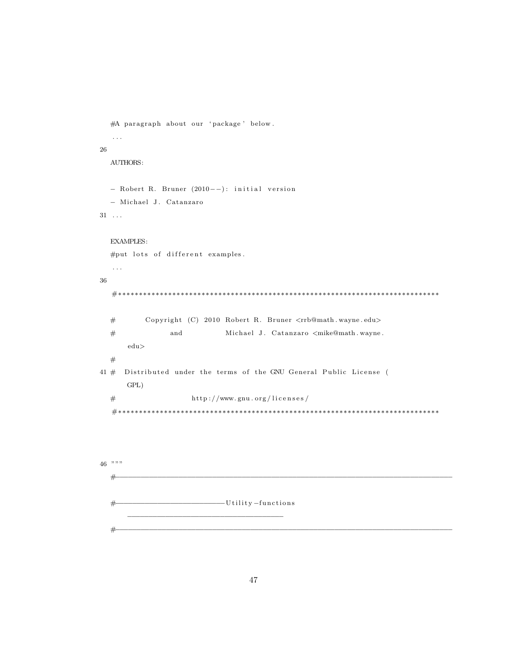```
#A paragraph about our 'package' below.
  . . .
26
  AUTHORS:
  − Robert R. Bruner (2010−−): initial version
  − Michael J . Catanzaro
31 \ldotsEXAMPLES:
  #put lots of different examples.
  . . .
36
  #∗∗∗∗∗∗∗∗∗∗∗∗∗∗∗∗∗∗∗∗∗∗∗∗∗∗∗∗∗∗∗∗∗∗∗∗∗∗∗∗∗∗∗∗∗∗∗∗∗∗∗∗∗∗∗∗∗∗∗∗∗∗∗∗∗∗∗∗∗∗∗∗∗∗∗∗∗
  # Copyright (C) 2010 Robert R. Bruner <rrb@math.wayne.edu>
  # and Michael J. Catanzaro <mike@math.wayne.
      edu>
  #
41 \# Distributed under the terms of the GNU General Public License (
      GPL)
  \# http://www.gnu.org/licenses/
  #∗∗∗∗∗∗∗∗∗∗∗∗∗∗∗∗∗∗∗∗∗∗∗∗∗∗∗∗∗∗∗∗∗∗∗∗∗∗∗∗∗∗∗∗∗∗∗∗∗∗∗∗∗∗∗∗∗∗∗∗∗∗∗∗∗∗∗∗∗∗∗∗∗∗∗∗∗
```

```
46 """"
```
#−−−−−−−−−−−−−−−−−−−−−−−−−−−−−−−−−−−−−−−−−−−−−−−−−−−−−−−−−−−−−−−−−−−−−−−−−−−−−−−− #−−−−−−−−−−−−−−−−−−−−−−−−−−U t i l i t y −f u n c ti o n s −−−−−−−−−−−−−−−−−−−−−−−−−−−−−−−−−−−−− #−−−−−−−−−−−−−−−−−−−−−−−−−−−−−−−−−−−−−−−−−−−−−−−−−−−−−−−−−−−−−−−−−−−−−−−−−−−−−−−−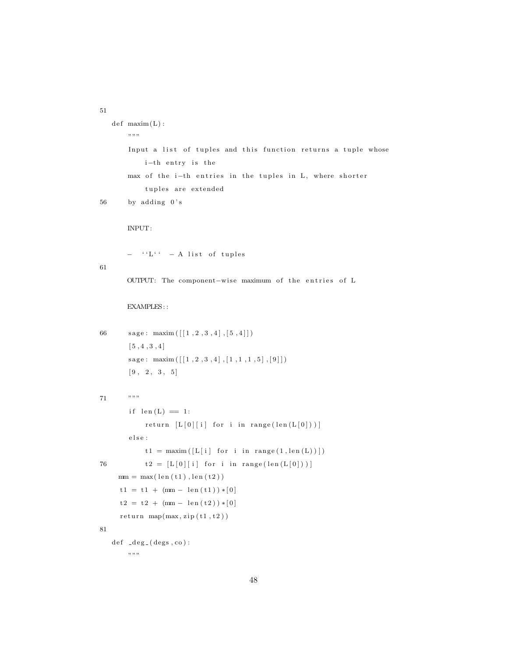```
def maxim(L):
        "" "
        Input a list of tuples and this function returns a tuple whose
             i-th entry is the
        max of the i-th entries in the tuples in L, where shorter
             tuples are extended
56 by adding 0'sINPUT:
        − ''L'' - A list of tuples
61
        OUTPUT: The component-wise maximum of the entries of L
        EXAMPLES: :
66 sage: \text{maxim}\left(\left[\left[1, 2, 3, 4\right], \left[5, 4\right]\right]\right)[5, 4, 3, 4]{\tt sage:}~~ {\tt maxim}\left(\left[\left[\,1\ , 2\ , 3\ , 4\,\right]\, , \left[\,1\ , 1\ , 1\ , 5\,\right]\, , \left[\,9\,\right]\,\right]\right)[9, 2, 3, 5]71 """
        if len(L) = 1:
             return [L[0][i] for i in range (len(L[0]))]{\rm else} :
             t1 = \text{maximum}([L[i] for i in range(1, len(L))76 t2 = [L[0][i] for i in range (\text{len}(L[0]))]mm = max(len(t1), len(t2))t1 = t1 + (mm - len(t1)) * [0]t2 = t2 + (mm - len(t2)) * [0]return \mapsto (max, zip(t1, t2))81
   def -deg_{-}(degs, co) :
        " "
```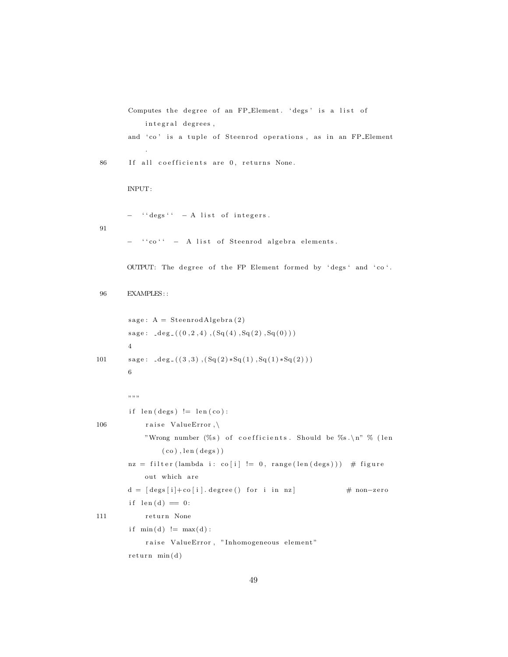```
Computes the degree of an FP_Element. 'degs' is a list of
             integral degrees,
        and 'co' is a tuple of Steenrod operations, as in an FP_Element
              .
 86 If all coefficients are 0, returns None.
        INPUT:
        - ''degs'' - A list of integers.
91
           \cdot ' ' co ' ' - A list of Steenrod algebra elements.
        OUTPUT: The degree of the FP Element formed by 'degs' and 'co'.
 96 EXAMPLES: :
        sage: A = SteenrodAlgebra(2)sage: \_\texttt{deg\_}((0 \, , 2 \, , 4) \, , (Sq(4) \, , Sq(2) \, , Sq(0)) )4
101 \text{age: } \text{deg}((3,3), (\text{Sq}(2) * \text{Sq}(1), \text{Sq}(1) * \text{Sq}(2)))6
        ",,,
         if len(deg) := len(co):
106 raise ValueError, \setminus"Wrong number (\%s) of coefficients. Should be \%s.\n\n" \% (len
                  (co), len(degs))
         nz = filter (lambda i: co[i] != 0, range(len(deg))) # figureout which are
        d = \lceil \text{degs} \lceil i \rceil + \text{co} \lceil i \rceil. degree () for i in nz \lceil \text{deg} \rceil # non-zero
         if len(d) == 0:
111 return None
         if min(d) := max(d):
             raise ValueError, "Inhomogeneous element"
         return min(d)
```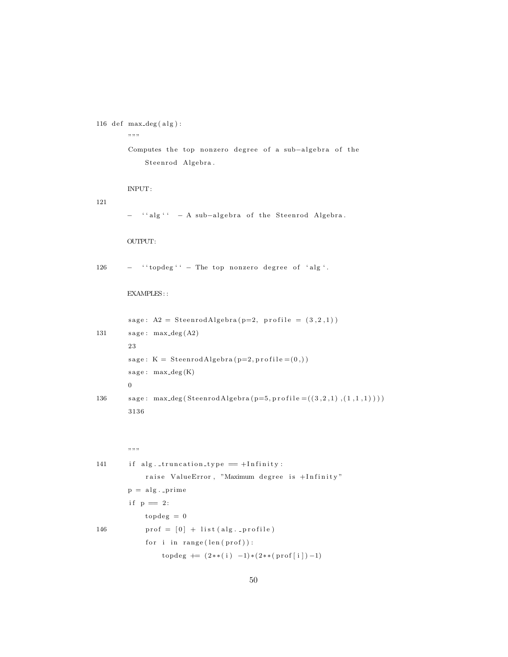```
116 def max\_deg(alg):
```
"" "

Computes the top nonzero degree of a sub-algebra of the Steenrod Algebra.

INPUT:

121

− ''alg'' - A sub-algebra of the Steenrod Algebra.

### OUTPUT:

```
126 - ''topdeg'' - The top nonzero degree of 'alg'.
```
EXAMPLES: :

 $sage: A2 = SteenrodAlgebra(p=2, profile = (3, 2, 1))$ 131  $\qquad \text{sage: } \max \text{deg}(A2)$ 23  $sage: K = SteenrodAlgebra(p=2, profile=(0,))$  $sage: max-deg(K)$ 0 136 sage: max\_deg ( Steenrod Algebra (  $p=5$  ,  $p$  r of ile =  $((3, 2, 1), (1, 1, 1)))$  ) 3136

 $,$   $,$   $,$   $,$ 

141 if alg. truncation\_type  $=$  +Infinity: raise ValueError, "Maximum degree is +Infinity"  $p = alg$ . prime if  $p = 2$ :  $topdeg = 0$ 146  $\text{prof} = [0] + \text{list} (\text{alg} \dots \text{profile})$ for i in  $range(len(prof))$ :  $topdeg$  +=  $(2**( i ) -1)*(2**( prof [ i ]) -1)$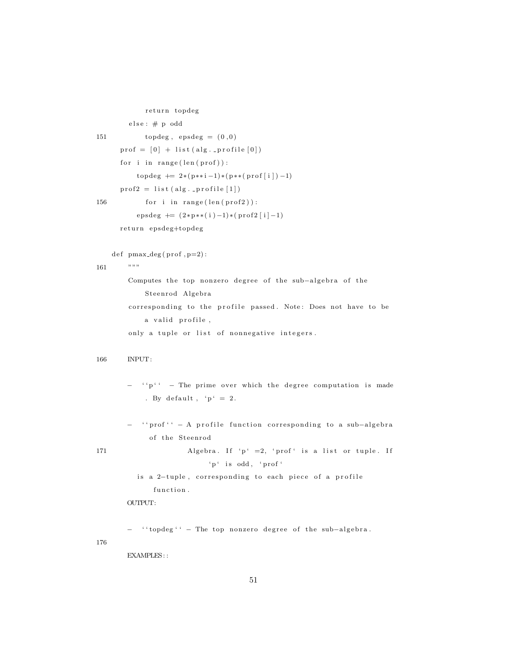```
return topdeg
         else: # p odd
151 topdeg, epsdeg = (0,0)\text{prof} = [0] + \text{list} (\text{alg} \dots \text{profile} [0])for i in range(len(prof)):
            topdeg += 2*(p**i-1)*(p**(prof[i])-1)\text{prof2} = \text{list} (\text{alg} \cdot \text{profile} [1])156 for i in range (\text{len}(\text{prof2})):
            epsdeg += (2*p**(1)-1)*(prob2[i]-1)
```
return epsdeg+topdeg

 $def$  pmax\_deg(prof, p=2):

```
161 """
```
Computes the top nonzero degree of the sub-algebra of the Steenrod Algebra corresponding to the profile passed. Note: Does not have to be a valid profile, only a tuple or list of nonnegative integers.

```
166 INPUT:
```
- $\cdot$  ' $p'$  ' The prime over which the degree computation is made . By default, ' $p' = 2$ .
- − ''prof'' − A profile function corresponding to a sub-algebra of the Steenrod
- 171 Algebra. If ' $p' = 2$ , ' $proj'$  is a list or tuple. If  $ip \text{ is odd}, \text{ 'prof' }$ 
	- is a 2-tuple, corresponding to each piece of a profile function.

OUTPUT:

- '' topdeg '' - The top nonzero degree of the sub-algebra.

176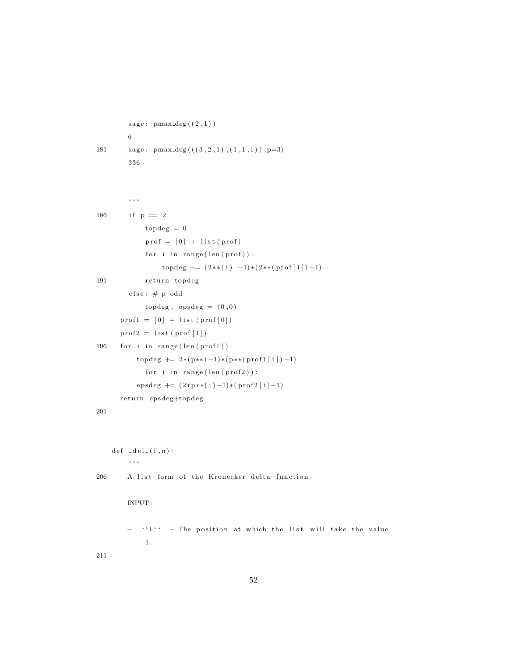```
sage: pmax-deg((2,1))6
181 \text{sage: } \text{pmax.deg}(((3, 2, 1), (1, 1, 1)), p=3)336
         ...<br>...
186 if p = 2:
             topdeg = 0
              \text{prof} = [0] + \text{list} (\text{prof})for i in range(len (prof)):
                   topdeg += (2**( i ) -1)*(2**( prof [ i ]) -1)191 return topdeg
         else: # p oddtopdeg, epsdeg = (0,0)\text{prof1} = [0] + \text{list} (\text{prof}[0])\text{prof2} = \text{list} (\text{prof1})196 for i in range (\text{len}(\text{prof1})):
           topdeg += 2*(p**i-1)*(p**(prof1[i])-1)for i in range (len ( prof2)):
           epsdeg + = (2*p**( i )-1)*( prof2 [ i ]-1)return epsdeg+topdeg
201
    def \ =del_{1}(i, n):
         \cdot, \cdot, \cdot, \cdot206 A list form of the Kronecker delta function.
         INPUT:
         - ''i'' - The position at which the list will take the value
             1 .
```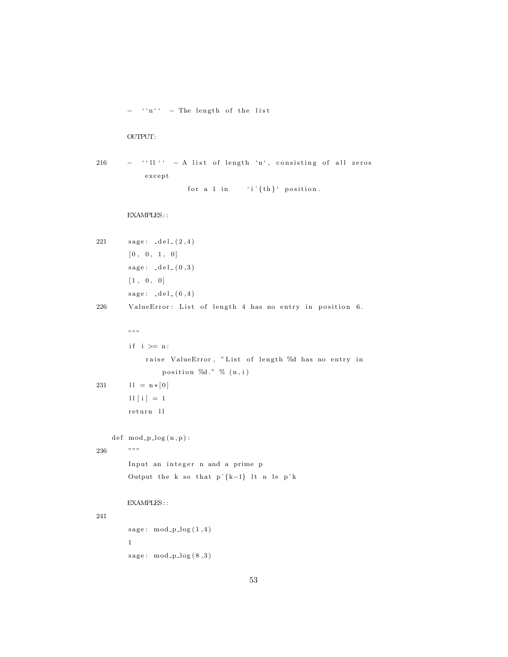− ''n'' - The length of the list

### OUTPUT:

 $216$  - ''ll'' - A list of length 'n', consisting of all zeros except

for a 1 in 'i  $\{th\}'$  position.

```
221 \qquad \text{sage:} \quad \text{del} = (2, 4)[0, 0, 1, 0]sage: \_\text{del} (0, 3)[1, 0, 0]sage: \_\text{del} (6, 4)226 ValueError: List of length 4 has no entry in position 6.
        , \, \ldots,if i \geq n:
             raise ValueError, "List of length %d has no entry in
                 position \%d. " \% (n, i)231 \ln = \ln * [0]11 [ i ] = 1return 11def \mod_p log(n,p):
236 """
        Input an integer n and a prime p
        Output the k so that p^{(k-1)} lt n le p^k
        EXAMPLES: :
241
        sage: mod_p_log(1, 4)1
        sage: mod_p_log(8,3)
```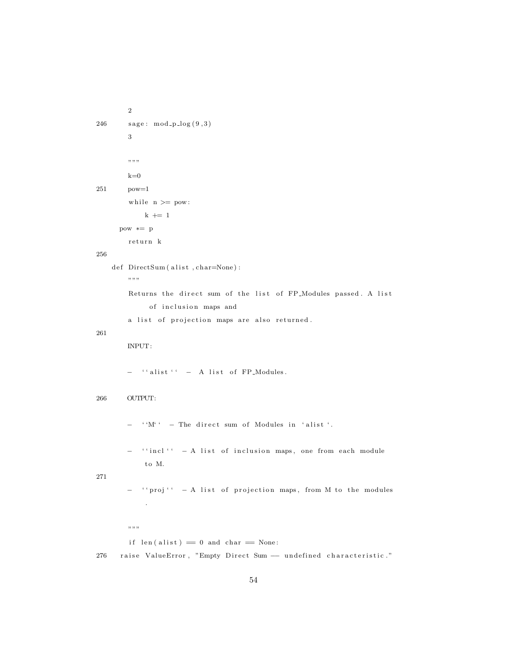```
2
246 sage: mod\_p\_log(9,3)3
        """
        k=0251 pow=1
        while n >= pow:k \neq 1pow ∗= p
        return k
256
    \operatorname{def\_DirectSum} ( \operatorname{alist} , \operatorname{char}=\!\!{\textsf{None}} ) :
        \, , , , , ,
        Returns the direct sum of the list of FP_Modules passed. A list
              of inclusion maps and
        a list of projection maps are also returned.
261
        INPUT:
        - ''alist'' - A list of FP_Modules.
266 OUTPUT:
        - ''M'' - The direct sum of Modules in 'alist'.
        - ''incl'' - A list of inclusion maps, one from each module
            to M.
271
        − '' proj'' - A list of projection maps, from M to the modules
             .
        ", "if len(alist) == 0 and char == None:
```
276 raise ValueError, "Empty Direct Sum -- undefined characteristic."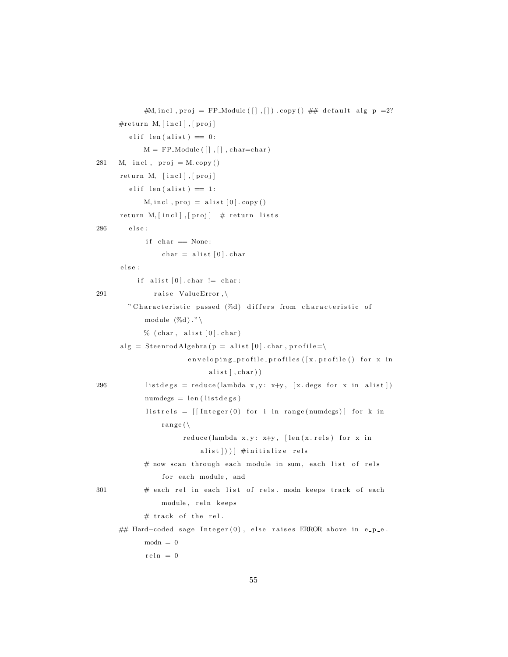```
#M, incl, proj = FP_Module (\lceil \rceil, \lceil \rceil). copy () ## default alg p = 2?
     #return M, [incl], [proj]
        e lif len ( a list ) = 0:
            M = FP<sub>-</sub>Module ( [] , [] , char=char)281 M, incl, proj = M.\,copy()return M, [incl], [proj]e lif len (alist) = 1:
            M, incl., proj = \text{alist } [0].copy()return M, [incl], [proj] # return lists
286 else:
            if char == None:
                char = alist [0]. chare l s e :
          if alist [0]. char != char:
291 raise ValueError,\
        " Characteristic passed (%d) differs from characteristic of
            module (\%d)." \
            % (char, alist [0].char)alg = SteenrodAlgebra (p = alist [0].char, profile=\nenveloping-profile-profiles ([x. profile() for x in
                            alist, char)
296 list degs = reduce (lambda x, y: x+y, [x. degs for x in a list])
            numdegs = len(listdegs)listrels = [[Integer(0) for i in range(numdegs)] for k inrange(\setminusreduce(lambda x, y: x+y, [len(x. rels) for x inalist | ) ) | #initialize rels
            # now scan through each module in sum, each list of rels
                for each module, and
301 # each rel in each list of rels. modn keeps track of each
                module, reln keeps
            # track of the rel.
     ## Hard-coded sage Integer (0), else raises ERROR above in e_p_e.
            modn = 0reln = 0
```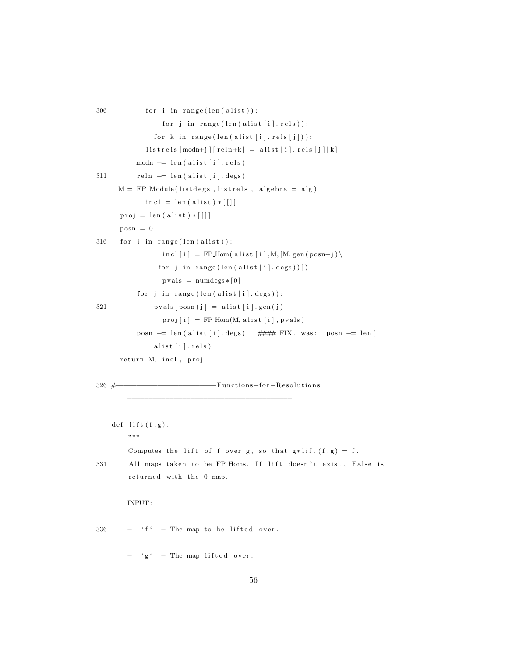```
306 for i in range (\text{len}(\text{alist})):
                     for j in range(len (alist [i].rels)):
                  for k in range (len (alist[i]. rels[j])):
                listrels [modn+j] [reln+k] = alist[i].rels[j][k]modn \models len (alist[i].rels)311 reln \leftarrow len (alist [i]. degs)
       M = FP-Module(listdegs, listrels, algebra = alg)
                \text{incl} = \text{len}(\text{alist}) * [\ ]proj = len (alist) * [[posn = 0316 for i in range (len(alist)):
                     \text{incl} \left[ \begin{smallmatrix} i \end{smallmatrix} \right] \ = \ \text{FP\_Hom} \left( \ \text{alist} \left[ \begin{smallmatrix} i \end{smallmatrix} \right], \text{M}, \left[ \text{M. gen} \left( \text{posn} {+} j \right) \right) \right)for j in range (len ( a list [i].deg s) )])pvals = numdegs*[0]for j in range(len (alist [i].deg s)):
321 \quad \text{pvals} \left[ \text{posn} + \text{j} \right] = \text{alist} \left[ \text{i} \right] . \text{gen} \left( \text{j} \right)proj[i] = FP\_Hom(M, a list[i], pvals)posn += len (alist [i]. degs) ### FIX. was: posn += len (
                  alist [i]. rels)
       return M, incl, proj
326 #−−−−−−−−−−−−−−−−−−−−−−−−Func tions−f o r −R e s ol u ti o n s
          −−−−−−−−−−−−−−−−−−−−−−−−−−−−−−−−−−−−−−−
     def lift (f,g):
          """
          Computes the lift of f over g, so that g*lift(f,g) = f.
331 All maps taken to be FP_Homs. If lift doesn't exist, False is
          returned with the 0 map.
          INPUT:
336 - f' - The map to be lifted over.
          - 'g' - The map lifted over.
```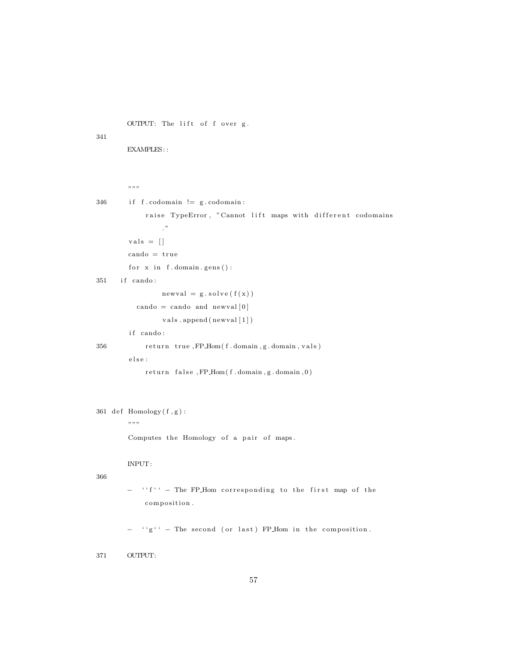OUTPUT: The lift of f over g.

341

EXAMPLES: :

```
...<br>...
346 if f codomain != g codomain:
             raise TypeError, "Cannot lift maps with different codomains
                \cdot"
        vals = []\text{cando} = \text{true}for x in f. domain. gens():
351 if cando:
                 newval = g.solve(f(x))cando = cando and newval [0]vals.append(newval[1])if cando:
356 return true, FP_Hom(f.domain, g.domain, vals)
        {\rm else} :
            r e turn false, FP_Hom(f.domain, g.domain, 0)
```
 $361$  def  $Homology(f, g)$ :

 $\,$  , , , ,

Computes the Homology of a pair of maps.

INPUT:

366

```
− ''f'' - The FP_Hom corresponding to the first map of the
   composition.
```
 $f' \circ g' =$  The second (or last) FP\_Hom in the composition.

371 OUTPUT: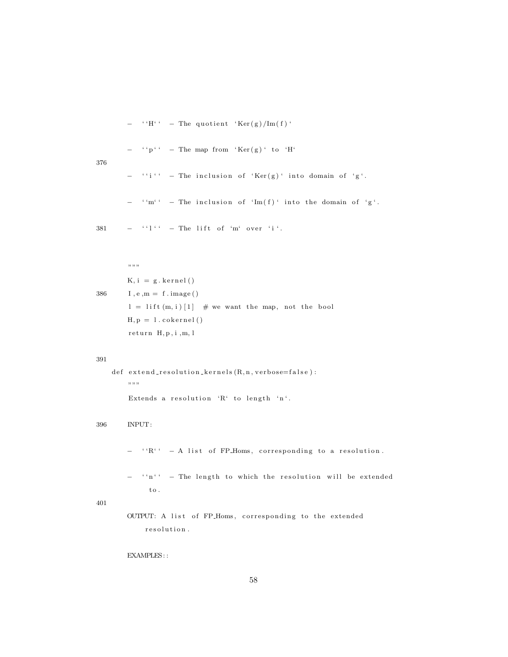$-$  ''H''  $-$  The quotient 'Ker(g)/Im(f)'

$$
- \t{}^{i} p'{}^{i} - \text{The map from 'Ker(g)' to 'H'}
$$

376

$$
-\quad``i`` = The inclusion of 'Ker(g)' into domain of 'g'.
$$

 $-$  ''m'' - The inclusion of 'Im(f)' into the domain of 'g'.

 $381$   $-$  '' $l$ ''  $-$  The lift of 'm' over 'i'.

 $,$   $,$   $,$   $,$  $K, i = g. kernel()$ 386  $I, e, m = f . image()$  $l = l$  ift  $(m, i)$  [1]  $\#$  we want the map, not the bool  $H, p = 1$ . cokernel ()  $return H, p, i, m, l$ 

#### 391

```
def extendresolution_kernels(R, n, verbose=false):
    , , , ,Extends a resolution 'R' to length 'n'.
```
396 INPUT:

− ''R'' - A list of FP\_Homs, corresponding to a resolution.

- ''n'' - The length to which the resolution will be extended  ${\rm t}\, {\rm o}$  .

#### 401

OUTPUT: A list of FP\_Homs, corresponding to the extended r e solution.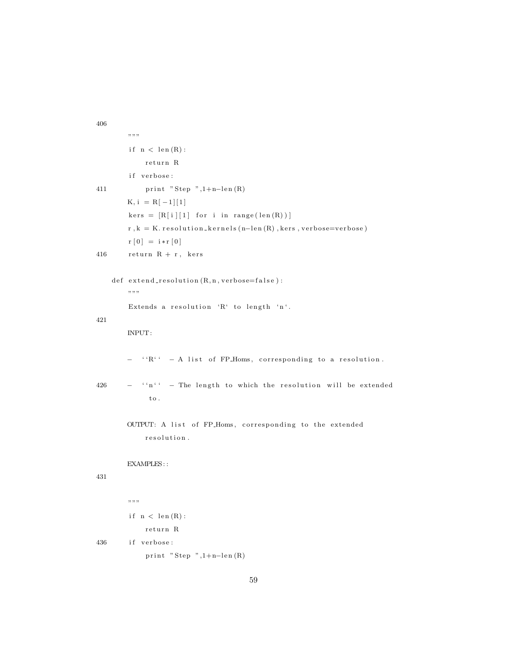```
"" "
        \text{if} \ \ \text{n} \ < \ \text{len} \left( \text{R} \right) \colonreturn R
        if verbose:
411 print "Step ",1+n-len(R)K, i = R[-1][1]
        kers = [R[i][1] for i in range(len(R))]r, k = K. resolution_kernels (n-len(R), kers, verbose=verbose)
        r [0] = i * r [0]416 return R + r, kers
    def \;extend_rresolution(R, n, verbose=false):", "Extends a resolution 'R' to length 'n'.
421
        INPUT:
        − ''R'' - A list of FP_Homs, corresponding to a resolution.
426 - ''n'' - The length to which the resolution will be extended
              \, to .
        OUTPUT: A list of FP_Homs, corresponding to the extended
             r e solution.
        EXAMPLES: :
431
        , , , ,if \nvert n \nvert len(R):
             return R
436 if verbose:
             print "Step", 1+n-len(R)
```

```
59
```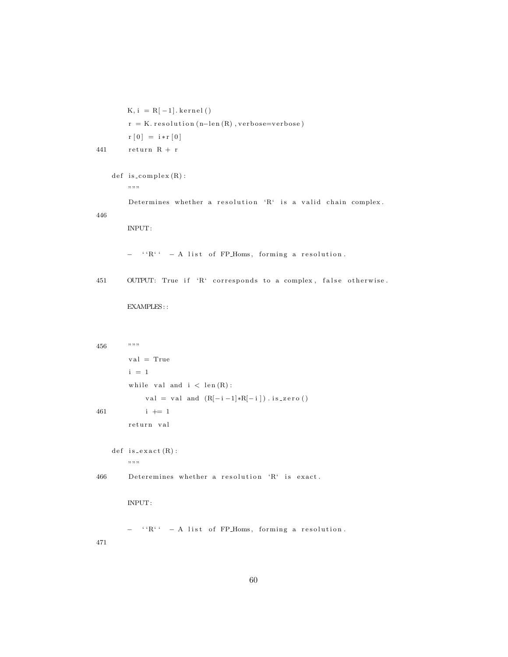```
K, i = R[-1]. kernel()
         r = K. resolution (n-\text{len}(R), verbose=verbose)
         r\:[\,0\,]\ =\ i*r\:[\,0\,]441 return R + r
```

```
def is_complex(R):
    " " "
```
Determines whether a resolution 'R' is a valid chain complex.

446

INPUT:

- ''R'' - A list of FP\_Homs, forming a resolution.

451 OUTPUT: True if 'R' corresponds to a complex, false otherwise.

| 456 | ,,,,,                                              |
|-----|----------------------------------------------------|
|     | $val = True$                                       |
|     | $i = 1$                                            |
|     | while val and $i < len(R)$ :                       |
|     | val = val and $(R[-i-1]*R[-i])$ . is_zero()        |
| 461 | $i \neq 1$                                         |
|     | return val                                         |
|     |                                                    |
|     | $def$ is_exact $(R)$ :                             |
|     | ,,,,,                                              |
| 466 | Deteremines whether a resolution 'R' is exact.     |
|     |                                                    |
|     | INPUT:                                             |
|     |                                                    |
|     | $``R`` - A list of FP-Homs, forming a resolution.$ |
| 471 |                                                    |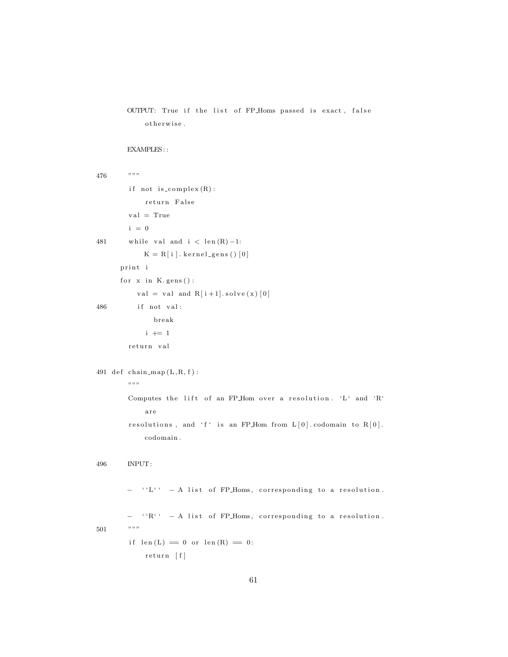```
OUTPUT: True if the list of FP_Homs passed is exact, false
    otherwise.
```

```
476 """
       if not is_complex(R):
            return False
        val = Truei = 0481 while val and i < \operatorname{len}(R) - 1:
           K = R[ i ].\texttt{kernel\_gens}() [0]print i
      for x in K. gens ():
          val = val and R[i+1]. solve (x) [0]486 if not val:
              break
            i \neq 1return val
491 def chain map (L, R, f):
       , , , ,Computes the lift of an FP Hom over a resolution. 'L' and 'R'
            a r e
        resolutions, and 'f' is an FP_Hom from L[0]. codomain to R[0].
            codomain .
496 INPUT:
       − ''L'' - A list of FP_Homs, corresponding to a resolution.
       − ''R'' - A list of FP_Homs, corresponding to a resolution.
501 """
        if len(L) = 0 or len(R) = 0:
            return [f]
```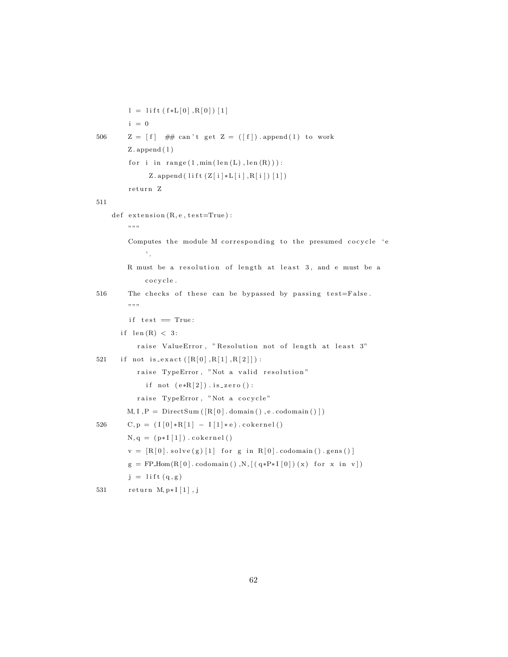```
l = l if t (f * L[0], R[0]) [1]i = 0506 Z = [f] ## can't get Z = ([f]). append (1) to work
        Z. append (1)for i in range (1, min(len(L), len(R))):
             Z.append(lift(Z[i]*L[i],R[i])[1])return Z
511
    def extension (R, e, test=True):
        """
        Computes the module M corresponding to the presumed cocycle 'e
            ^{\rm \prime} .
       R must be a resolution of length at least 3, and e must be a
            c o c y c l e .
516 The checks of these can be bypassed by passing test=False.
        """
        if test = True:
      if len(R) < 3:
          raise ValueError, "Resolution not of length at least 3"
521 if not is_exact ([R[0], R[1], R[2]]):
          raise TypeError, "Not a valid resolution"
            if not (e * R[2]). is_zero():
          raise TypeError, "Not a cocycle"
       M, I, P = DirectSum([R[0].domain(), e.codomain())526 C, p = (I[0]*R[1] - I[1]*e) . cokernel()N, q = (p * I [1]). cokernel()
        v = [R[0].solve(g)[1] for g in R[0].codomain().gens()g = FPHom(R[0].codomain(), N, [(q*P*I[0])(x) for x in v])j = l if t (q, g)531 return M, p * I [1], j
```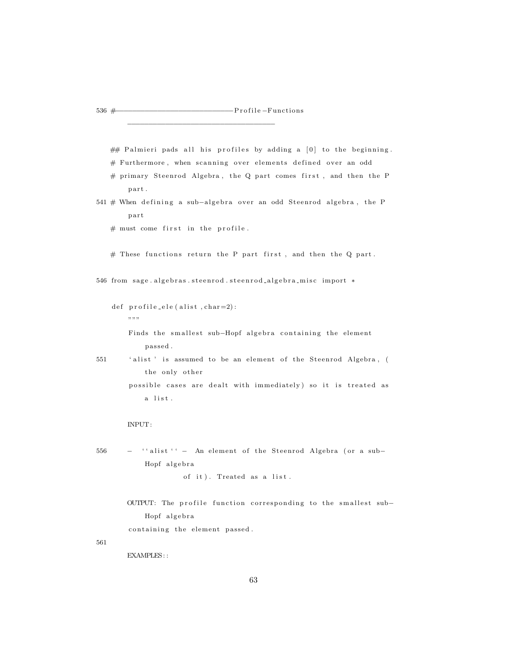−−−−−−−−−−−−−−−−−−−−−−−−−−−−−−−−−−−

 $\#$  Palmieri pads all his profiles by adding a  $[0]$  to the beginning.  $#$  Furthermore, when scanning over elements defined over an odd

 $#$  primary Steenrod Algebra, the Q part comes first, and then the P part.

541 # When defining a sub-algebra over an odd Steenrod algebra, the P p a r t

 $#$  must come first in the profile.

 $#$  These functions return the P part first, and then the Q part.

546 from sage.algebras.steenrod.steenrod\_algebra\_misc import \*

def  $profile_ele (alist, char=2)$ :  $, \, \ldots,$ 

> Finds the smallest sub-Hopf algebra containing the element p a s sed .

551 'alist' is assumed to be an element of the Steenrod Algebra, ( the only other possible cases are dealt with immediately) so it is treated as a list.

INPUT:

556 - ''alist '' - An element of the Steenrod Algebra (or a sub-Hopf algebra

of it). Treated as a list.

OUTPUT: The profile function corresponding to the smallest sub-Hopf algebra containing the element passed.

561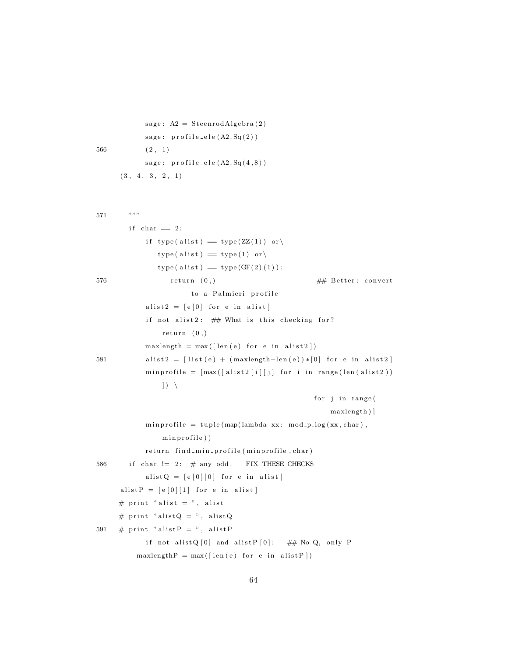```
sage: A2 = SteenrodAlgebra(2)sage: profile\_ele(A2.Sq(2))566 (2, 1)sage: \text{profile} = \text{ele}(A2.Sq(4,8))(3, 4, 3, 2, 1)571 """
        if char = 2:
             if type (alist) = type (ZZ(1)) or
                type ( a list ) == type ( 1 ) or \backslashtype( <b>alist</b> ) = type( <b>GF</b>(2) (1) ):576 return (0, ) \# Better: convert
                        to a Palmieri profile
             a list 2 = [e \ 0] for e in a list ]
             if not alist 2: # What is this checking for?
                 return (0, )maxlength = max([len(e) for e in alist2])581 a list 2 = \begin{bmatrix} \text{list} \ e \end{bmatrix} + (\text{maxlength}-\text{len}(e)) * [0] for e in a list 2
             minprofile = [max([alist2[i][j] for i in range(len(alist2))|) \setminusfor j in range (
                                                             maxlength ) ]
             minprofile = tuple(map(lambda xx: mod_p_log(xx, char),minprofile))
            return find_min_profile(minprofile,char)
586 if char != 2: \# any odd. FIX THESE CHECKS
             alistQ = [e [0] [0] for e in alist]
      a list P = [e \mid 0] \mid 1] for e in a list
      # print "alist = ", alist
      # print "alistQ = ", alistQ
591 # print "alistP = ", alistP
             if not alist Q[0] and alist P[0]: ## No Q, only P
          maxlengthP = max( \lceil len(e) for e in a list P \rceil )
```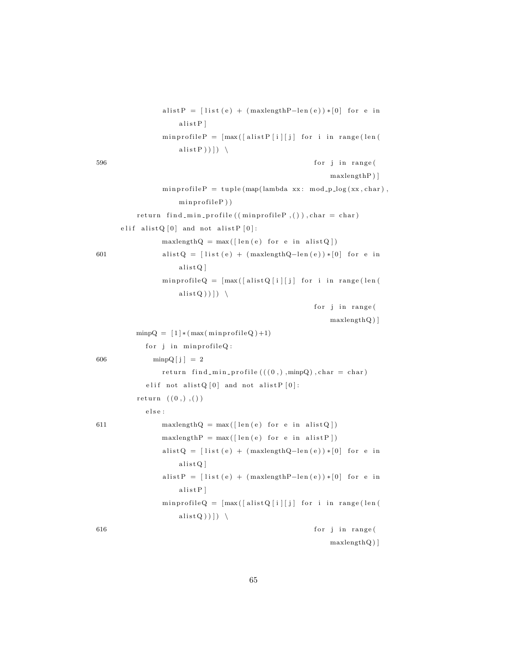```
a list P = \left[ list (e) + (maxlengthP-len(e))*[0] for e in
                     alistP]
                 minprofileP = [max([alistP[i][j] for i in range(len(alist P ) ) ) \backslash596 for j in range (
                                                             maxlengthP ) ]
                 minprofileP = tuple(map(lambda xx: mod_p_log(xx, char)),minprofile P)
          return find_min_profile ((\text{minprofileP }, ()), \text{char} = \text{char})e lif a list Q[0] and not a list P[0]:
                 maxlengthQ = max( \lceil len(e) \rceil) for e in a list Q | )
601 alistQ = [list(e) + (maxlengthQ-len(e)) * [0] for e in
                     alistQ]
                 minprofileQ = [max([alistQ[i][j] for i in range(len(a l i s t Q ) ) ] ) \
                                                        for j in range(
                                                             maxlengthQ ) ]
          minpQ = [1] * (max(minprofileQ) + 1)for j in minprofileQ:
606 minpQ[j] = 2return find min-profile (((0, ) ,minpQ), char = char)
             e lif not alist Q[0] and not alist P[0]:
          return ((0,),)){\rm e} \, {\rm l} \, {\rm s} \, {\rm e} :
611 maxlengthQ = max( \lceil len(e) \rceil) for e in a list Q \rceil)
                 maxlengthP = max([len(e) for e in alistP])a list Q = \left[ list (e) + (maxlengthQ-len(e))*[0] for e in
                     alistQ]
                 a list P = \left[ list (e) + (maxlengthP-len(e))*[0] for e in
                     alistP]
                 minprofileQ = \lceil max(\lceil alistQ \rceil i) \rceil j \rceil for i in range(len(
                     alist Q ) ) ) \setminus616 for j in range (
                                                             maxlengthQ ) ]
```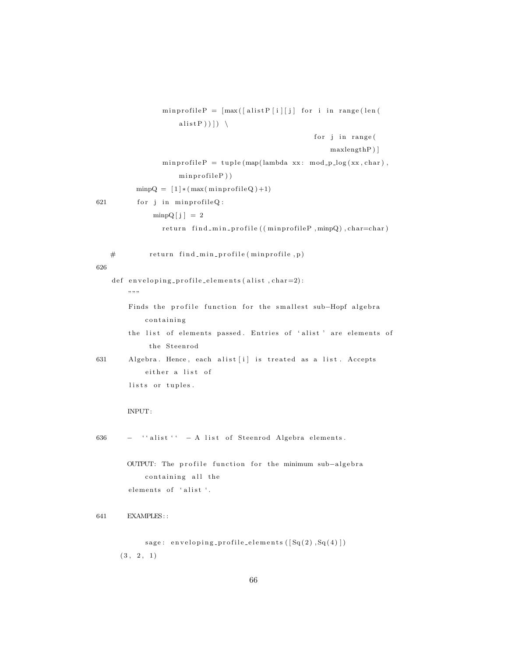|          | $minprofileP = [max([alistP[i][j] for i in range(len($                           |
|----------|----------------------------------------------------------------------------------|
|          | alist P $))$ $)$ $\left.\right)$                                                 |
|          | for j in range(                                                                  |
|          | maxlengthP)                                                                      |
|          | $minprofileP = tuple (map(lambda xx: mod_p_log(xx, char)),$                      |
|          | $minprofileP)$ )                                                                 |
|          | $\text{minpQ} = [1] * (\text{max}(\text{minprofileQ}) + 1)$                      |
| 621      | for j in minprofileQ:                                                            |
|          | $\text{minpQ}[\text{j}] = 2$                                                     |
|          | return find_min_profile((minprofileP,minpQ),char=char)                           |
| #<br>626 | return find_min_profile(minprofile,p)                                            |
|          | def enveloping_profile_elements(alist,char=2):<br>,, ,, ,,                       |
|          | Finds the profile function for the smallest sub-Hopf algebra<br>containing       |
|          | the list of elements passed. Entries of 'alist' are elements of<br>the Steenrod  |
| 631      | Algebra. Hence, each alist [i] is treated as a list. Accepts<br>either a list of |
|          | lists or tuples.                                                                 |
|          | INPUT:                                                                           |
| 636      | - "alist" - A list of Steenrod Algebra elements.                                 |
|          | OUTPUT: The profile function for the minimum sub-algebra                         |
|          | containing all the<br>elements of 'alist'.                                       |
| 641      | <b>EXAMPLES::</b>                                                                |
|          | sage: enveloping_profile_elements $([Sq(2),Sq(4)])$<br>(3, 2, 1)                 |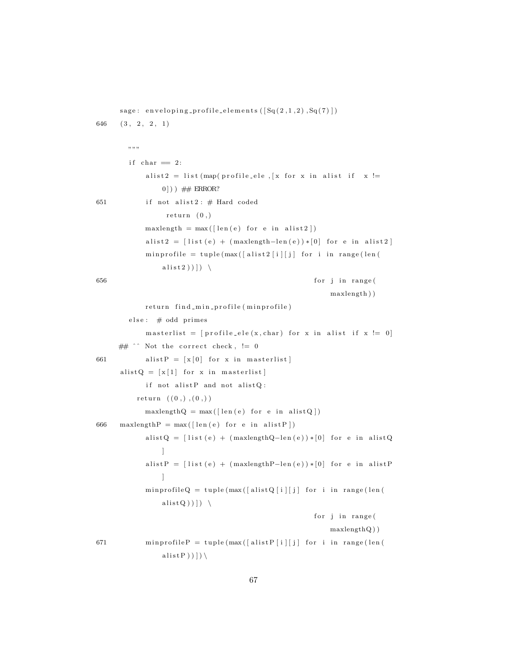sage: enveloping\_profile\_elements  $(\lceil \text{Sq}(2,1,2), \text{Sq}(7) \rceil)$  $646$   $(3, 2, 2, 1)$ """" if char  $= 2$ : a list 2 = list (map( profile ele, [x for x in a list if  $x :=$  $0$ ]) )  $\#$  ERROR? 651 if not alist  $2 : #$  Hard coded  $return (0, )$  $maxlength = max([len(e) for e in alist2])$ a list 2 =  $\left[$  list  $(e)$  +  $(maxlength-\text{len}(e)) * [0]$  for e in a list 2 ]  $minprofile = tuple(max([alist2[i][j] for i in range(len($ alist 2 )  $)$  )  $)$ 656 for j in range ( maxlength ) ) return find\_min\_profile (minprofile) else: # odd primes m a sterlist =  $[profile_e]e(x, char)$  for x in a list if x  $!= 0]$ ##  $\hat{ }$  Not the correct check, != 0 661 alist P =  $[x \mid 0]$  for x in masterlist a list  $Q = [x 1]$  for x in masterlist if not alist  $P$  and not alist  $Q$ :  $return ((0,), (0,))$  $maxlengthQ = max( \lceil len(e) \rceil for e in a list Q \rceil )$ 666 maxlength  $P = max( \lceil len(e) \rceil)$  for e in a list P | ) a list Q =  $\left[$  list  $(e)$  +  $(maxlengthQ - len(e)) * [0]$  for e in a list Q ] a list P =  $\left[$  list (e) + (maxlength P-len(e)) \*  $\left[0\right]$  for e in a list P ] min profile  $Q = \text{tuple}(\text{max}(\lceil \text{alist} Q \rceil i) / \lceil j \rceil)$  for i in range (len ( alist  $Q$  )  $)$  )  $\rightarrow$ for j in range ( maxlengthQ ) ) 671 min profile  $P = \text{tuple}(\max([\text{alistP}[i][j]) \text{ for } i \text{ in } \text{range}(\text{len}(i))$  $alistP))$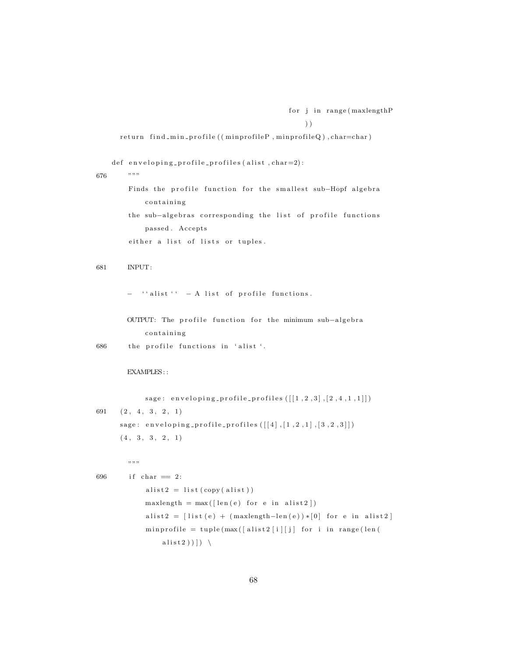```
for j in range (maxlengthP
    ) )
```
return find\_min\_profile((minprofileP, minprofileQ), char=char)

def enveloping-profile-profiles (alist, char=2):

676 """

Finds the profile function for the smallest sub-Hopf algebra containing

the sub-algebras corresponding the list of profile functions passed. Accepts

either a list of lists or tuples.

681 INPUT:

 $\lq$  '' alist ''  $-$  A list of profile functions.

OUTPUT: The profile function for the minimum sub-algebra c ontaining

686 the profile functions in 'alist'.

### EXAMPLES::

sage: enveloping-profile-profiles  $([[1, 2, 3], [2, 4, 1, 1]])$ 691  $(2, 4, 3, 2, 1)$ sage: enveloping\_profile\_profiles  $([[4],[1,2,1],[3,2,3]])$  $(4, 3, 3, 2, 1)$ 

"""

 $696$  if char  $= 2$ :  $alist2 = list (copy (alist))$  $maxlength = max([len(e) for e in alist2])$ a list 2 =  $[$  list  $(e) + ($  maxlength-len $(e)) * [0]$  for e in a list 2 ] min profile = tuple  $(max([alist 2[i][j] for i in range(len($ alist 2 )  $)$  ]  $)$   $\setminus$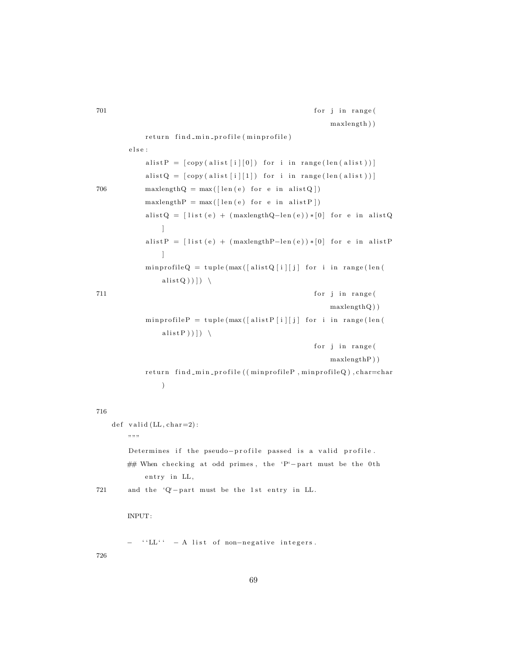```
701 for j in range (
                                                          maxlength ) )
            return find_min_profile (minprofile)
        e l s e :
            alistP = [copy (alist[i][0]) for i in range(len(alist)))]alistQ = [copy(alist[i][1]) for i in range(len(alist)))]706 maxlengthQ = max( [\text{len}(e) \text{ for } e \text{ in } \text{alist } Q ] )maxlengthP = max( \lceil len(e) for e in a list P \rceil )a list Q = [list (e) + (maxlengthQ-len(e)) * [0] for e in a list Q
                ]
            a list P = \left[ list (e) + (maxlengthP-\text{len}(e)) * [0] for e in a list P
                ]
            \mathtt{minprofileQ~=~tuple\, (max(\verb[alistQ[i][j]~for~i~in~range(\verb]len()|~c))a l i s t Q ) ) ] ) \
711 for j in range (
                                                          maxlengthQ ) )
            minprofileP = tuple(max([alistP[i][j] for i in range(len(alist P ) ) ) \backslashfor j in range (
                                                          maxlengthP ) )
            return find_min_profile((minprofileP,minprofileQ),char=char
                )
716
    def valid (LL, char=2):
       """
        Determines if the pseudo-profile passed is a valid profile.
       ## When checking at odd primes, the 'P'-part must be the 0th
            entry in LL,
721 and the 'Q'-part must be the 1st entry in LL.
       INPUT:
       − ''LL'' - A list of non-negative integers.
726
```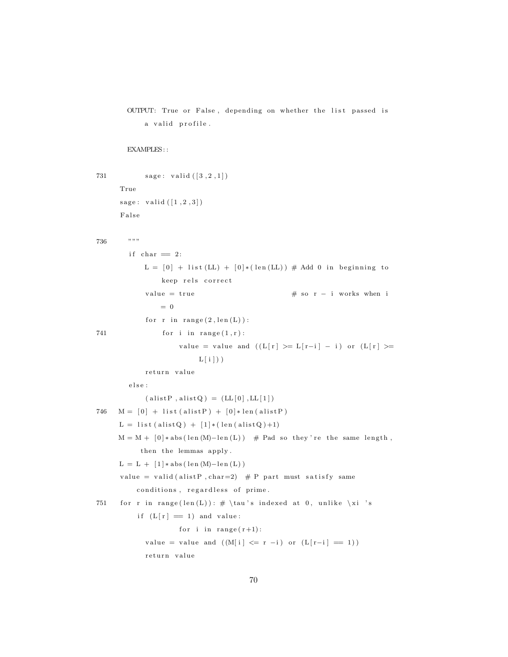```
OUTPUT: True or False, depending on whether the list passed is
    a valid profile.
```

```
731 sage: valid ([3, 2, 1])True
     sage: valid ([1, 2, 3])False
736 """
       if char = 2:
           L = [0] + \text{list (LL)} + [0] * (\text{len (LL)}) # \text{Add 0 in beginning to}keep rels correct
            value = true \# so r - i works when i
               = 0for r in range (2, len(L)):
741 for \, i \, in \, range(1,r):value = value and ((L[r] > = L[r-i] - i) or (L[r] > =L[i])
            return value
        {\rm else} :
            (alistP, alistQ) = (LL[0], LL[1])746 M = [0] + list(alistP) + [0]*len(alistP)L = list (alistQ) + [1] * (len (alistQ) +1)M = M + [0] * abs(len(M) - len(L)) # Pad so they're the same length,
           then the lemmas apply .
     L = L + [1] * abs (len (M) - len (L))value = valid (alistP, char=2) # P part must satisfy same
         conditions, regardless of prime.
751 for r in range (len(L)) : # \tau's indexed at 0, unlike \xi'sif (L [r] = 1) and value:
                    for i in range (r+1):
            value = value and ((M[i] \leq r - i) or (L[r-i] = 1))return value
```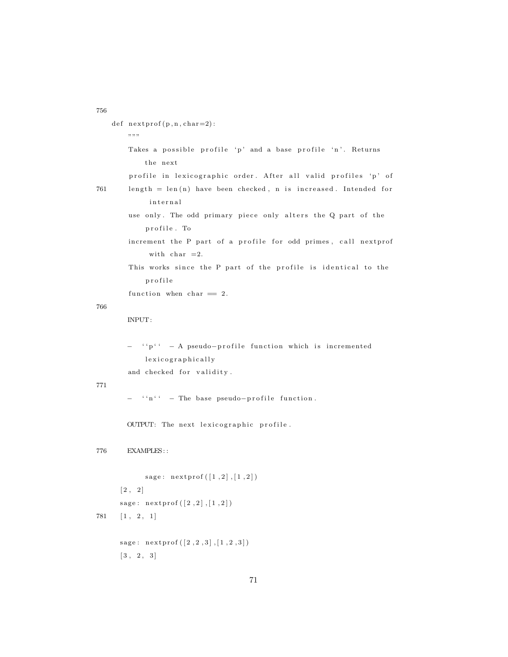```
756
```

```
def nextprof(p, n, char=2):
       "" "
       Takes a possible profile 'p' and a base profile 'n'. Returns
           the next
        profile in lexicographic order. After all valid profiles 'p' of
761 length = len(n) have been checked, n is increased. Intended for
             internal
       use only. The odd primary piece only alters the Q part of the
            profile. To
       increment the P part of a profile for odd primes, call nextprof
             with char = 2.
       This works since the P part of the profile is identical to the
            p r o f i l e
       function when char = 2.
766
       INPUT:
       − ''p'' - A pseudo-profile function which is incremented
            l exicographically
       and checked for validity.
771
        − ''n'' − The base pseudo-profile function.
       OUTPUT: The next lexicographic profile.
776 EXAMPLES: :
            sage: nextprof([1,2],[1,2])\begin{bmatrix} 2 & 2 \end{bmatrix}sage: nextprof([2,2],[1,2])781 [1, 2, 1]
     sage: nextprof([2,2,3],[1,2,3])[3, 2, 3]
```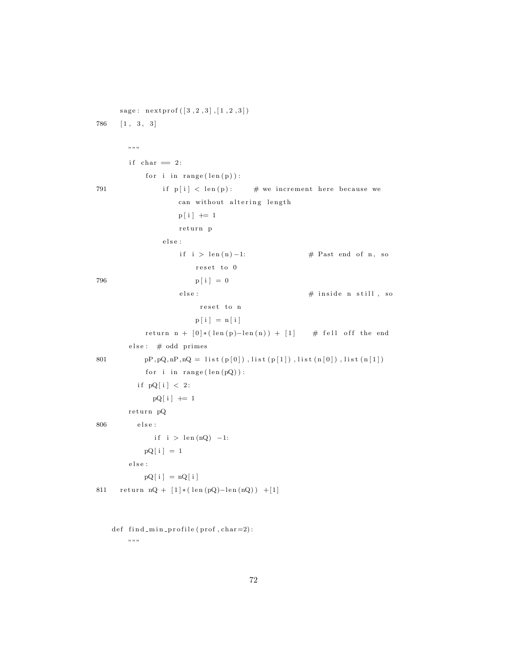```
sage: next prof([3, 2, 3], [1, 2, 3])786 [1, 3, 3]
          "" "
          if char = 2:
                for i in range (\text{len}(p)):
791 if p[i] < \text{len}(p): # we increment here because we
                          can without altering length
                          p[i] += 1
                          return p
                     e l s e :
                           \begin{array}{l} \text{if} \hspace{3mm} i \hspace{3mm} > \hspace{3mm} \text{len}\left( n \right) - 1 \text{:} \hspace{1.3cm} \text{\#} \hspace{3mm} \text{Fast} \hspace{3mm} \text{end} \hspace{3mm} \text{of} \hspace{3mm} n \hspace{3mm} , \hspace{3mm} \text{so} \hspace{3mm} \end{array}r e s e t to 0
796 p[i] = 0else: \qquad # inside n still, sor e s e t to n
                                p [ i ] = n [ i ]return n + [0] * (len(p) - len(n)) + [1] # fell off the end
          else : # odd primes
801 pP, pQ, nP, nQ = list(p[0]), list(p[1]), list(n[0]), list(n[1])for i in range (\text{len}(pQ)):
             if pQ[i] < 2:
                  pQ[i] += 1
          return pQ
806 \qquad \qquad \text{else :}\text{if i > len (nQ) -1:} \\pQ[i] = 1e l s e :
               pQ[i] = nQ[i]811 return nQ + [1] * (len(pQ) - len(nQ)) + [1]def find.min\_profile(prof, char=2):
```

```
.<br>מ מ מ
```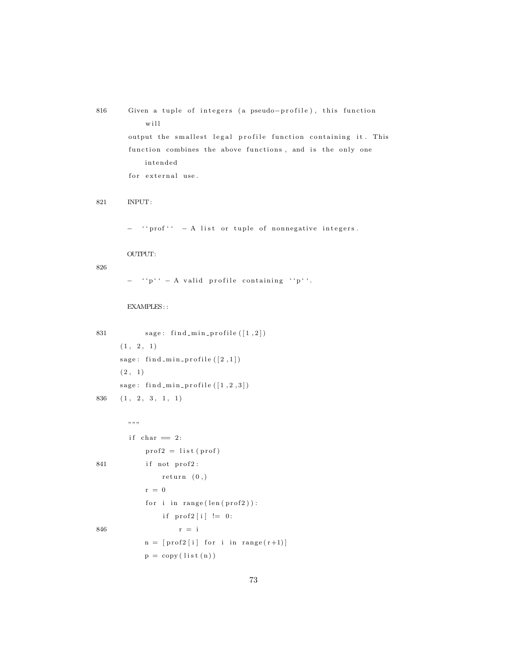```
816 Given a tuple of integers (a pseudo-profile), this function
            w i l l
       output the smallest legal profile function containing it. This
        function combines the above functions, and is the only one
            intended
        for external use.
821 INPUT:
       - ''prof'' - A list or tuple of nonnegative integers.
       OUTPUT:
826
       - ''p'' - A valid profile containing ''p''.
       EXAMPLES: :
831 \qquad \qquad sage: find_min_profile ([1,2])(1, 2, 1)sage: find.min\_profile([2,1])(2, 1)sage: find_min_profile([1, 2, 3])836 \quad (1, 2, 3, 1, 1), , , ,if char = 2:
            \text{prof2} = \text{list} (\text{prof})841 if not prof2:
                return (0, )r = 0for i in range (\text{len}(\text{prof2})):
                if \text{prof2}[i] := 0:
846 r = in = [prof2[i] for i in range(r+1)]p = copy (list (n))
```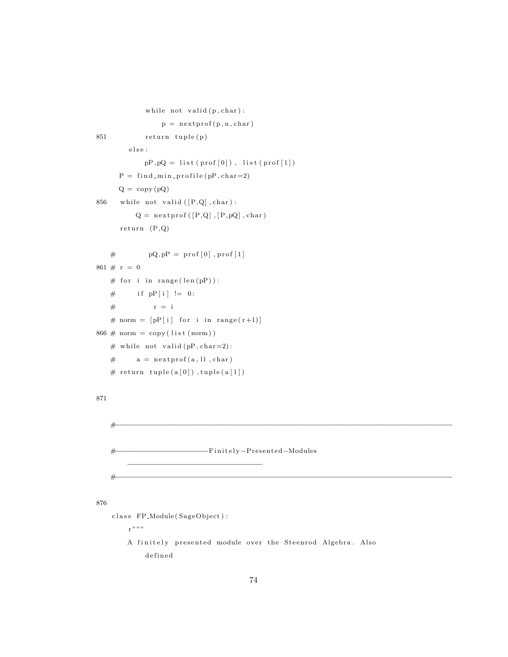```
while not valid (p, char):
                p = nextprof(p, n, char)851 return tuple(p)
        _{\rm else} :
            pP, pQ = list(prof[0]), list (prof[1])P = \text{find-min-profile}(pP, \text{char}=2)Q = copy(pQ)856 while not valid ([P,Q], char):
          Q = n extprof ( [P,Q] , [P,pQ] , char)return (P,Q)\# pQ, pP = prof[0], prof[1]
861 \# r = 0# for i in range (len(pP)):
   # if pP[i] := 0:
   # r = i
   # norm = [pP[i] for i in range(r+1)]
866 \# norm = copy (list (norm))# while not valid (pP, char=2):
   # a = nextprof(a, ll, char)
   # return tuple(a[0]), tuple(a[1])
871
    #−−−−−−−−−−−−−−−−−−−−−−−−−−−−−−−−−−−−−−−−−−−−−−−−−−−−−−−−−−−−−−−−−−−−−−−−−−−−−−−−
   #−−−−−−−−−−−−−−−−−−−−−−F i n i t e l y −P re sen ted−Modules
                            −−−−−−−−−−−−−−−−−−−−−−−−−−−−−−−−
    #−−−−−−−−−−−−−−−−−−−−−−−−−−−−−−−−−−−−−−−−−−−−−−−−−−−−−−−−−−−−−−−−−−−−−−−−−−−−−−−−
876
    class FP_Module(SageObject):
        r " " "A finitely presented module over the Steenrod Algebra. Also
            d e fi n e d
```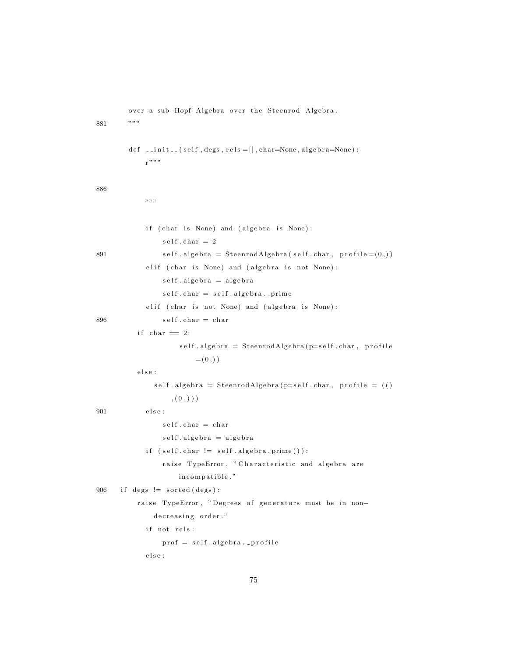over a sub-Hopf Algebra over the Steenrod Algebra.

881 """

```
def \Boxinit\Box (self, degs, rels = [], char=None, algebra=None):
            r " "886
            """""
             if ( char is None) and ( algebra is None) :
                 self.char = 2891 self. algebra = SteenrodAlgebra(self. char, profile = (0,))e lif ( char is None) and ( algebra is not None) :
                 self. algebra = algebra
                 self. char = self. algebra. .primee lif ( char is not None) and ( algebra is None) :
896 self.char = char
          if char = 2:self. algebra = SteenrodAlgebra(p=self. char, profile)=(0,))
          else :
               self. algebra = SteenrodAlgebra(p=self. char, profile = ((), (0, ))
901 \qquad \qquad \text{else :}self.char = charself. algebra = algebra
             if (self.charAt != self.algebra.print()):
                 raise TypeError, "Characteristic and algebra are
                     incompatible."
906 if degs != sorted (degs):
          raise TypeError, "Degrees of generators must be in non-
               decreasing order."
            if not rels:
                 \text{prof} = \text{self} \cdot \text{algebra} \cdot \text{-profile}else :
```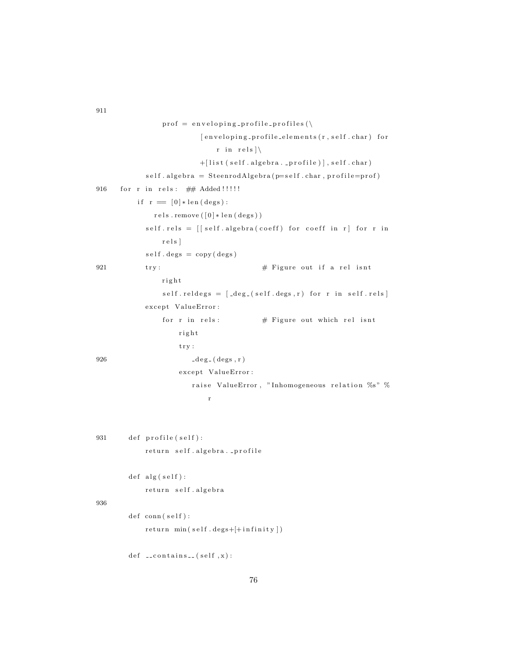```
\text{prof} = \text{enveloping\_profile\_profiles}[enveloping_profile_elements(r, self.char) for
                             r in rels \setminus+[list (self.algebra..profile)], self.char)
            self. algebra = SteenrodAlgebra(p=self. char, profile=prof)916 for r in rels: ## Added !!!!!
          if r = \lceil 0 \rceil * \text{len}(\text{deg s}):
              rels.remove([0]*len (degs))self. rels = [[self. algebra(coeff) for coeff in r] for r inr e l s ]
            self.degs = copy (deg)921 \text{try}: \# Figure out if a rel isnt
                right
                self. reldeg s = [de g_-(self. deg s, r) for r in self. rels]except ValueError:
                for r in rels: \# Figure out which rel isnt
                    r i g h t
                    try:
926 \deg_-(\deg s, r)except ValueError:
                       raise ValueError, "Inhomogeneous relation %s" %
                           r
931 def profile (self):
            return self.algebra._profile
        def alg(self):return self.algebra
936
        def \ conn(self) :return min(self.degs+[+infinity])def \ \_\_conf \
```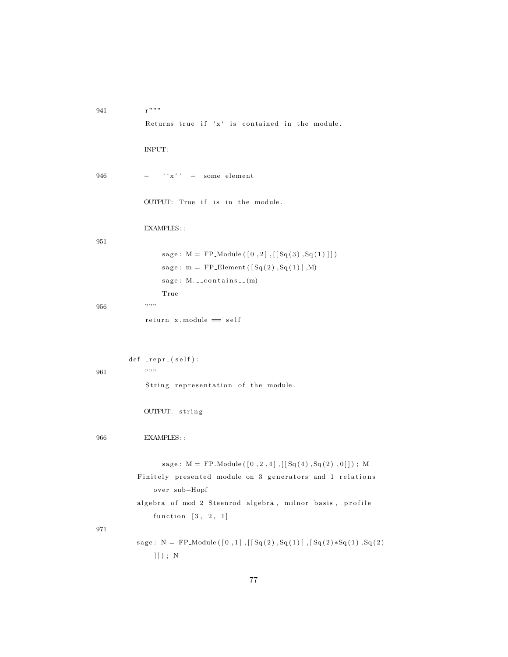```
941 r " " "Returns true if 'x' is contained in the module.
               INPUT:
946 - ''x'' - some element
               OUTPUT: True if is in the module.
               EXAMPLES: :
951
                     \texttt{sage: M = FP\_Module} \left(\left[\begin{smallmatrix}0&,2\end{smallmatrix}\right],\left[\left[\begin{smallmatrix} \text{Sq}\left(\begin{smallmatrix}3\end{smallmatrix}\right),\text{Sq}\left(\begin{smallmatrix}1\end{smallmatrix}\right)\right]\right]\right)sage: m = FP\_Element([Sq(2), Sq(1)], M)sage: M. ... con tains ... (m)True
956 """
               return x-module == selfdef -repr_{-}(self):
961 """
               String representation of the module.
               OUTPUT: string
966 EXAMPLES: :
                     sage: M = FP_{1}Module([0, 2, 4], [[Sq(4), Sq(2), 0]]); MFinitely presented module on 3 generators and 1 relations
                  over sub-Hopf
             algebra of mod 2 Steenrod algebra, milnor basis, profile
                  function \begin{bmatrix} 3, 2, 1 \end{bmatrix}971
            sage: N = FP_Module ([0,1], [[Sq(2),Sq(1)], [Sq(2)*Sq(1),Sq(2)]]] ) ; N
```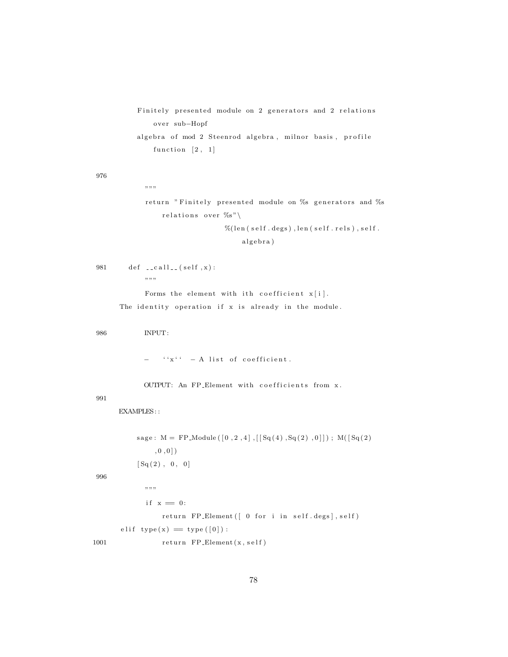Finitely presented module on 2 generators and 2 relations over sub-Hopf algebra of mod 2 Steenrod algebra, milnor basis, profile function  $\begin{bmatrix} 2, 1 \end{bmatrix}$ 

976

```
return "Finitely presented module on %s generators and %s
    relations over \%s"
                    \%(len (self.degs), len (self.rels), self.
```
algebra)

981  $\det$  --call--(self, x):  $, \, \ldots,$ 

 $" "$ 

Forms the element with ith coefficient  $x[i]$ .

The identity operation if x is already in the module.

986 INPUT:

 $f(x^i x^i - A)$  list of coefficient.

OUTPUT: An FP\_Element with coefficients from x.

991

EXAMPLES::

 $sage: M = FP_{1}Module([0, 2, 4], [[Sq(4), Sq(2), 0]]); M([Sq(2)$  $, 0, 0 ]$  $[Sq(2), 0, 0]$  $, , \, , \, ,$ if  $x = 0$ : return FP\_Element ([ 0 for i in self.degs], self) e lif  $type(x) = type([0])$ :

1001 return FP\_Element(x, self)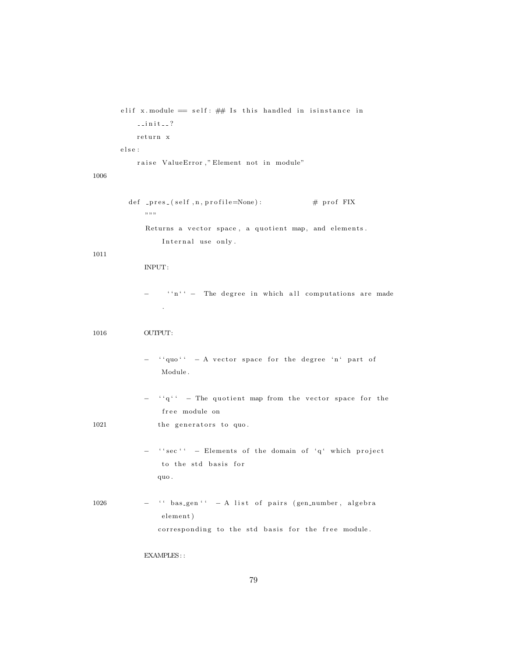```
elif x. module = self: ## Is this handled in isinstance in
    \texttt{--init--?}return x
e l s e :
    raise ValueError," Element not in module"
```
## 1006

def \_pres\_(self, n, profile=None):  $\#$  prof FIX  $" "$  "" Returns a vector space, a quotient map, and elements. Internal use only.

## 1011

#### INPUT:

− ''n'' − The degree in which all computations are made .

#### 1016 OUTPUT:

- − ''quo'' − A vector space for the degree 'n' part of Module .
- ''q'' The quotient map from the vector space for the free module on

1021 the generators to quo.

- − ''sec'' Elements of the domain of 'q' which project to the std basis for quo .
- $1026$   $-$  '' bas\_gen''  $-$  A list of pairs (gen\_number, algebra element) corresponding to the std basis for the free module.

## EXAMPLES: :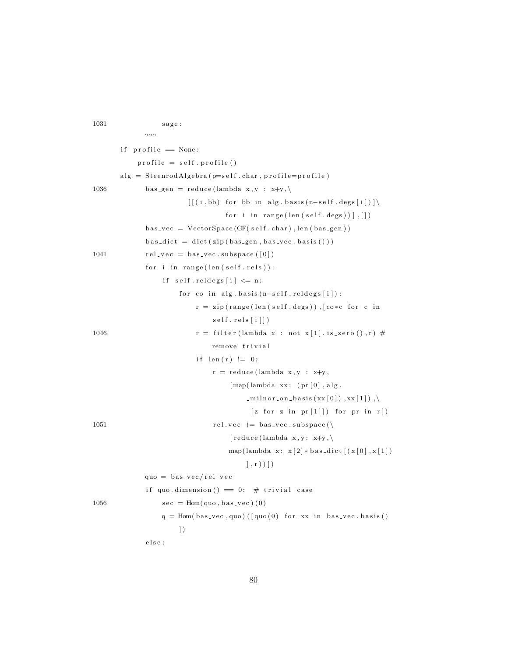$1031 \qquad \qquad \text{stage :}$ """" if  $profile = None$ :  $\text{profile} = \text{self} \cdot \text{profile}()$  $alg = SteenrodAlgebra(p=self(char, profile=profile))$ 1036 bas\_gen = reduce (lambda x, y : x+y, \)  $\left[ \left[ \begin{array}{c} (i, bb) \end{array} \right]$  for bb in alg. basis  $(n-self.deg[i]) \right] \right\}$ for i in range  $(\text{len}(\text{self.deg}))$ ], [])  $bas\_vec = VectorSpace(GF(self.char), len(bas\_gen))$  $bas\_dict = dict(zip(bas\_gen, bas\_vec.basis())$ 1041  $rel\_vec = bas\_vec$ . subspace  $([0])$ for i in  $range(len(self.rels))$ : if  $self.$  reldegs  $[i] \leq n$ : for co in alg.basis  $(n-self.reldegs[i])$ :  $r = zip(range(len(self.deg))$ , [co\*c for c in  $self.$  rels $[i]$ ) 1046  $r = \text{filter (lambda x : not x[1].is\_zero(), r) #}$ remove trivial if  $len(r) := 0$ :  $r = reduce (lambda x, y : x+y,$  $\lceil \text{map}(\text{lambda xx}: (\text{pr} [0], \text{alg}$ .  $\text{minor}_\text{on}$  has is  $(\text{xx}[0])$ ,  $\text{xx}[1])$ ,  $[z \text{ for } z \text{ in } pr[1]]$  for pr in r])  $1051 \quad \text{rel\_vec} \text{ += } \text{bas\_vec} \text{ .} \text{subspace} (\setminus$  $\lceil$  reduce (lambda x, y: x+y, \) map(lambda x:  $x [2]*bas\_dict [(x [0], x [1])$  $| , r ) )$ ] quo =  $bas_{vec}/rel_{vec}$ if quo. dimension ()  $= 0$ : # trivial case 1056  $\sec = \text{Hom}( \text{ quo}, \text{bas\_vec}) (0)$  $q = Hom(bas\_vec, quo) ([quo(0) for xx in bas\_vec.basis])$  $\vert$ ) else :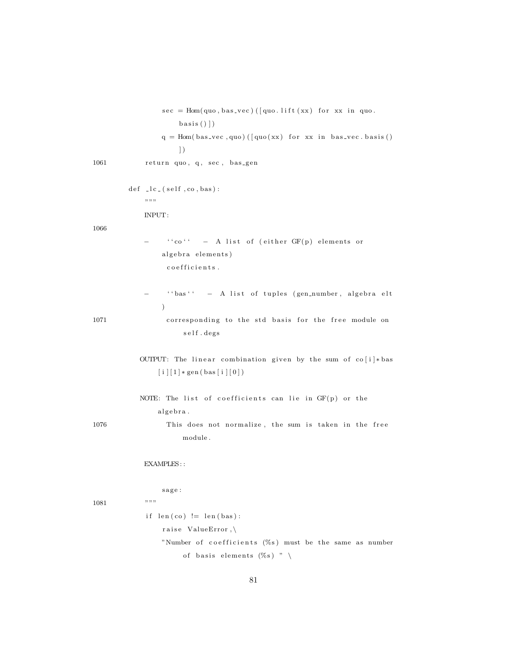```
basis()]
                q = Hom(bas\_vec, quo) ([quo(xx) for xx in bas\_vec.basis()\left| \right)1061 return quo, q, sec, bas_gen
        def \leq l.c. (self, co, bas):"""
            INPUT:
1066
            − ''co'' - A list of (either GF(p) elements or
                algebra elements)
                 co e f f i c i e n t s .
                  '' bas'' - A list of tuples (gen_number, algebra elt
                )
1071 corresponding to the std basis for the free module on
                     s el f. degs
           OUTPUT: The linear combination given by the sum of co[i]*bas[i] [1] * gen (bas [i] [0])NOTE: The list of coefficients can lie in GF(p) or the
               algebra.
1076 This does not normalize, the sum is taken in the free
                     module .
            EXAMPLES: :
                sage :
1081 """
            if len (co) := len (bas):
                raise ValueError, \
                "Number of coefficients (\%s) must be the same as number
                     of basis elements (\%s) " \
```
 $sec = Hom( quo, bas\_vec)$  ([quo. lift  $(xx)$  for xx in quo.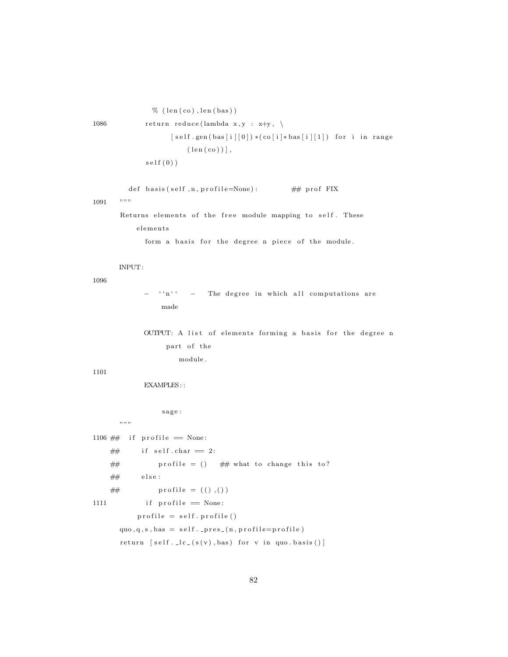```
\% (len(co), len(bas))
1086 return reduce (lambda x, y : x+y, \ \ \rangle[self.gen(bas[i][0]) * (co[i]*bas[i][1]) for i in range
                        (\text{len}(co)),
             self(0))
```

```
def basis (self, n, profile=None): \# prof FIX
1091 """
```
Returns elements of the free module mapping to self. These elements

form a basis for the degree n piece of the module.

## INPUT:

1096

 $i^n n'$  − The degree in which all computations are made

OUTPUT: A list of elements forming a basis for the degree n part of the module .

#### 1101

EXAMPLES: :

sage :

 $, , \, ,$ 

1106  $\#$  if profile  $=$  None:

```
\# if self.char = 2:
     \# profile = () \# what to change this to?
     \# else :
     \# profile = (( ) , () )1111 if profile = None:
             \text{profile} = \text{self} \cdot \text{profile}()\text{quo}, \text{q}, \text{s}, \text{bas} = \text{self}. pres. (\text{n}, \text{profile} = \text{profile})return [self..lc-(s(v),bas) for v in quo. basis ()]
```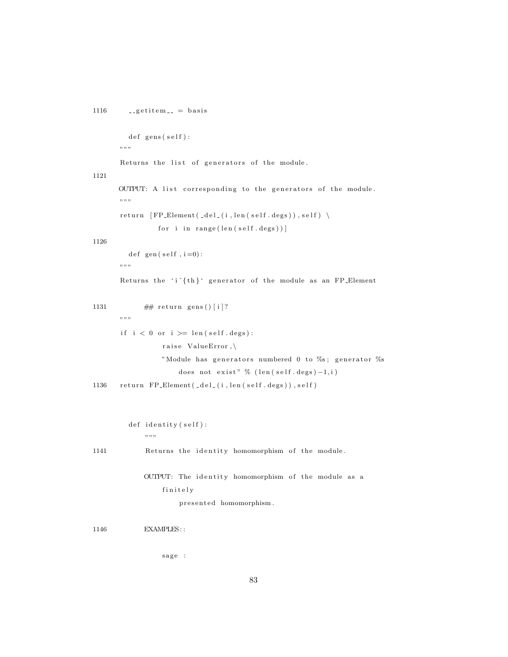```
1116 - getitem - basis
         def gens (self) :
      """
       Returns the list of generators of the module.
1121
      OUTPUT: A list corresponding to the generators of the module.
      " " ""
      return [FP\_Element(\_del_{i}, len(self. deg s)), self) \setminusfor i in range (\text{len}(\text{self.deg}))1126
         \det\;gen (\operatorname{self} , i =0) :
      ",,,,,
       Returns the 'i \{th\}' generator of the module as an FP_Element
1131 \# return gens () [i]?
       "" "
       if i < 0 or i > = len(self.deg):raise ValueError,\
                 "Module has generators numbered 0 to %s; generator %s
                     does not exist" \% (len (self.degs)-1, i)
1136 return FP_Element (_del_(i, len (self.degs)), self)
         def identity (self):
             "" "
1141 Returns the identity homomorphism of the module.
             OUTPUT: The identity homomorphism of the module as a
                 finitely
                      presented homomorphism.
1146 EXAMPLES: :
```
sage :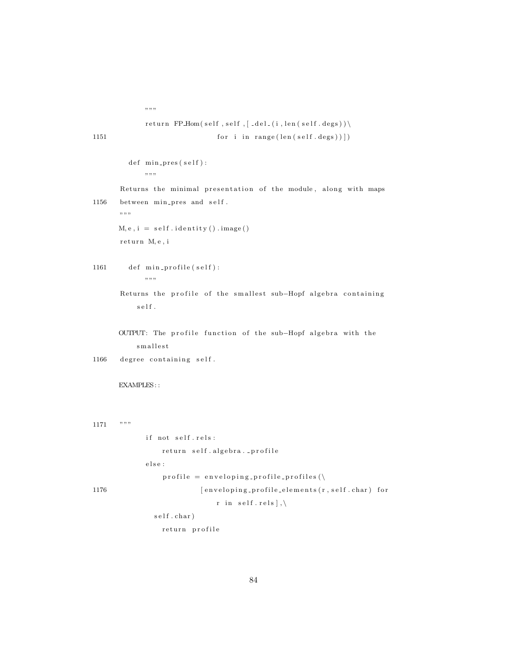```
,, ,, ,,
```

```
return FPHom(self, self, [del_1(i, len(self.deg)) \setminus1151 for i in range (len (self.degs))])
```

```
def \ min\_pres(self):" " ""
```

```
Returns the minimal presentation of the module, along with maps
1156 between min_pres and self.
      " " ""
```

```
M, e, i = self.identity() . image()return M, e, i
```

```
1161 def min_profile (self):
              \; " " \; "
```

```
Returns the profile of the smallest sub-Hopf algebra containing
      \mathbf{s}\,\mathbf{e}\, \mathbf{l}\, \mathbf{f} .
```
OUTPUT: The profile function of the sub-Hopf algebra with the s m allest

```
1166 degree containing self.
```
EXAMPLES: :

```
1171 """
```

```
if not self.rels:
                   return self.algebra._profile
               {\rm e} \, {\rm l} \, {\rm s} \, {\rm e} :
                   profile = envelope in velocity = profile\_profiles()1176 [ enveloping_profile_elements (r, self.char ) for
                                   r in self.rels],
```

```
self.char)
```
return profile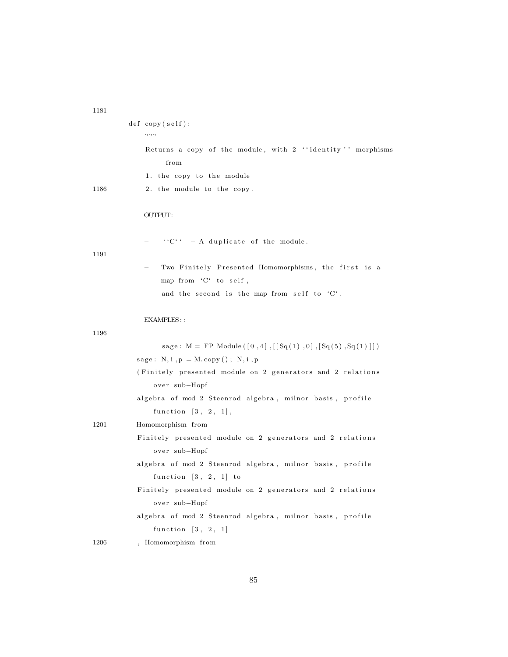1181

|      | def copy(self):                                            |
|------|------------------------------------------------------------|
|      | ,, ,, ,,                                                   |
|      | Returns a copy of the module, with 2 "identity" morphisms  |
|      | from                                                       |
|      | 1. the copy to the module                                  |
| 1186 | 2. the module to the copy.                                 |
|      | OUTPUT:                                                    |
|      | $C^C = A$ duplicate of the module.                         |
| 1191 | Two Finitely Presented Homomorphisms, the first is a       |
|      | map from 'C' to self,                                      |
|      | and the second is the map from self to 'C'.                |
|      | EXAMPLES::                                                 |
| 1196 |                                                            |
|      | sage: M = FP_Module ([0,4], [[Sq(1),0], [Sq(5), Sq(1)]])   |
|      | $sage: N, i, p = M. copy(); N, i, p$                       |
|      | (Finitely presented module on 2 generators and 2 relations |
|      | over sub-Hopf                                              |
|      | algebra of mod 2 Steenrod algebra, milnor basis, profile   |
|      | function $\begin{bmatrix} 3 \\ 2 \\ 1 \end{bmatrix}$ ,     |
| 1201 | Homomorphism from                                          |
|      | Finitely presented module on 2 generators and 2 relations  |

85

algebra of mod 2 Steenrod algebra, milnor basis, profile

Finitely presented module on 2 generators and 2 relations

algebra of mod 2 Steenrod algebra, milnor basis, profile

over sub-Hopf

over sub-Hopf

1206 , Homomorphism from

function  $[3, 2, 1]$ 

function  $[3, 2, 1]$  to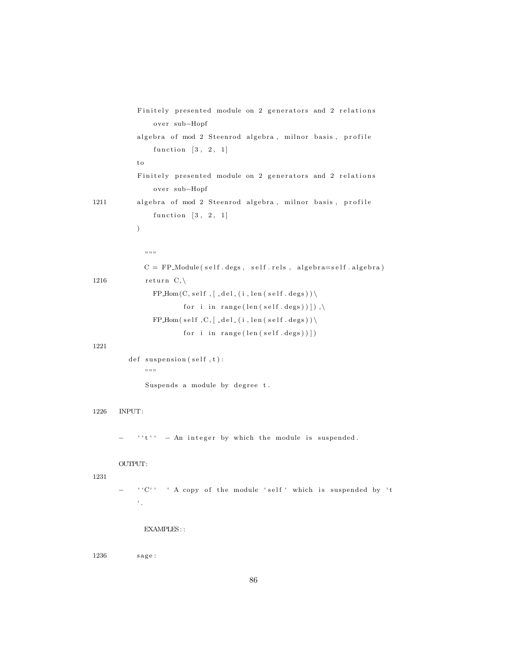|      | Finitely presented module on 2 generators and 2 relations                          |
|------|------------------------------------------------------------------------------------|
|      | over sub-Hopf<br>algebra of mod 2 Steenrod algebra, milnor basis, profile          |
|      | function $[3, 2, 1]$                                                               |
|      | to                                                                                 |
|      | Finitely presented module on 2 generators and 2 relations<br>over sub-Hopf         |
| 1211 | algebra of mod 2 Steenrod algebra, milnor basis, profile                           |
|      | function $[3, 2, 1]$                                                               |
|      | $\big)$                                                                            |
|      |                                                                                    |
|      | ,, ,, ,,                                                                           |
|      | $C = FP$ _Module(self.degs, self.rels, algebra=self.algebra)                       |
| 1216 | return $C, \backslash$                                                             |
|      | $FP\_Hom(C, self, [-del_ (i, len (self. degs)) \setminus$                          |
|      | for i in range $(\text{len}(\text{self.deg}))))$ ,                                 |
|      | $FP\_Hom(self, C, [del_-(i, len(self. degs)))$                                     |
|      | for i in range $(\text{len}(\text{self.deg}))$                                     |
| 1221 |                                                                                    |
|      | def suspension (self, t):                                                          |
|      | ,, ,, ,,                                                                           |
|      | Suspends a module by degree t.                                                     |
| 1226 | INPUT:                                                                             |
|      | $i' i' =$ An integer by which the module is suspended.                             |
|      | OUTPUT:                                                                            |
| 1231 | "C" " A copy of the module 'self' which is suspended by 't<br>$\epsilon_{\rm max}$ |
|      | EXAMPLES::                                                                         |

 $1236 \qquad \qquad \text{sage :}$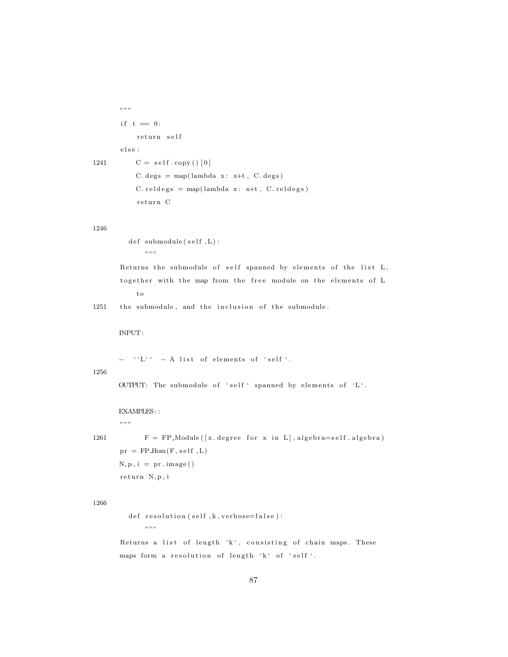```
"""
       if t = 0:
            return self
       e l s e :
1241 C = self.copy() [0]C. deg s = map(lambda x: x+t, C. deg s)C. r e l d e g s = map(lambda x : x+t, C. r e l d e g s)
```
return C

## 1246

 $def \sub{submodule}(self, L)$ :  $\;$  " "  $\;$  "

Returns the submodule of self spanned by elements of the list L, together with the map from the free module on the elements of L t o

1251 the submodule, and the inclusion of the submodule.

INPUT:

 $-$  ''L''  $-$  A list of elements of 'self'.

#### 1256

OUTPUT: The submodule of 'self' spanned by elements of 'L'.

EXAMPLES::

 $, , \, ,$ 

1261  $F = FP\_Module([x.\text{degree for }x \text{ in } L], algebra = self.\text{algebra})$  $pr = FP\_Hom(F, self, L)$  $N, p, i = pr . image()$ return N, p, i

## 1266

 $def$  resolution (self, k, verbose=false):  $" "$ 

Returns a list of length 'k', consisting of chain maps. These maps form a resolution of length 'k' of 'self'.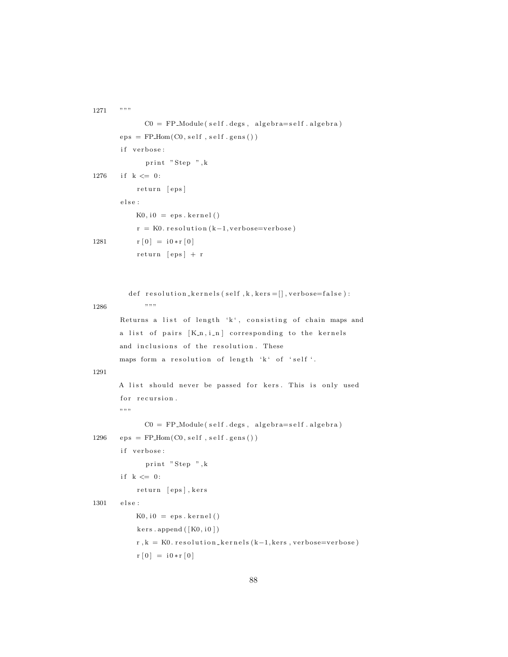```
1271 """
             CO = FP-Module(self.degs, algebra=self.algebra)
       eps = FP\_Hom(C0, self, self.gens())if verbose:
             print "Step ", k
1276 if k \le 0:
           return [eps]
       e l s e :
           K0, i0 = \text{eps}. kernel()
           r = K0. resolution (k-1, \text{verbose} = \text{verbose})1281 r [0] = i0*r [0]return [eps] + rdef resolution_kernels(self, k, kers = [], verbose=false):
1286 " " " " ""Returns a list of length 'k', consisting of chain maps and
      a list of pairs [K_n, i_n] corresponding to the kernels
       and inclusions of the resolution. These
      maps form a resolution of length 'k' of 'self'.
1291
      A list should never be passed for kers. This is only used
       for recursion.
       """
             CO = FP-Module(self.degs, algebra=self.algebra)
1296 eps = FP\_Hom(C0, self, self.gens())if verbose:
             print "Step ",k
       if k \leq 0:
           return [eps], kers
1301 else:
           K0, i0 = eps. kernel()
           kers \n.append ([K0, i0])r, k = K0. resolution_kernels (k-1, kers, verbose=verbose)
           r [0] = i0*r[0]
```

```
88
```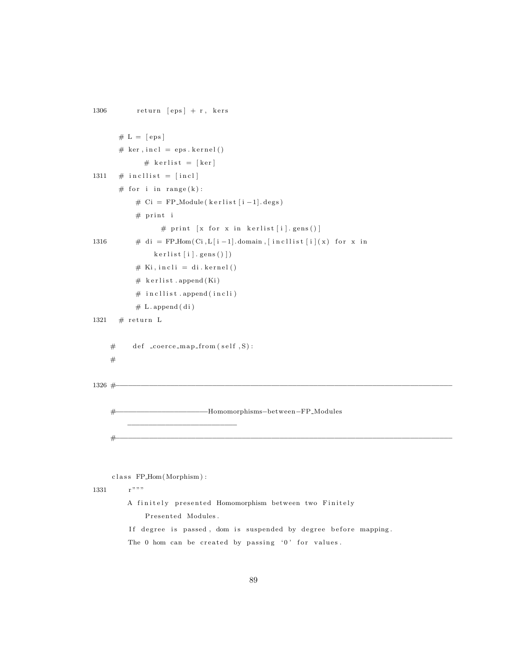$1306$  return [eps] + r, kers  $# L = [eps]$  $# ker, incl = eps. kernel()$  $#$  kerlist = [ker] 1311  $\#$  incllist = [incl] # for i in range $(k)$ : #  $Ci = FP_{\text{Module}}(kerlist[i-1].degs)$  $#$  print i # print  $[x for x in kerlist[i].gens()]$ 1316  $\#\text{ di } = \text{FP\_Hom}(\text{Ci}, \text{L}[i-1].\text{domain}, [\text{incllist}[i](x) \text{ for } x \text{ in})$  $k$  er list  $[i]$ . gens  $()$ ])  $#$  Ki, in cli = di. kernel()  $#$  kerlist.append (Ki)  $#$  in cllist. append (in cli)  $# L.append ( di )$ 1321  $\#$  return L  $#$  def \_coerce\_map\_from (self, S): # 1326 #−−−−−−−−−−−−−−−−−−−−−−−−−−−−−−−−−−−−−−−−−−−−−−−−−−−−−−−−−−−−−−−−−−−−−−−−−−−−−−−− #−−−−−−−−−−−−−−−−−−−−−−Homomorphisms−between−FP Modules −−−−−−−−−−−−−−−−−−−−−−−−−− #−−−−−−−−−−−−−−−−−−−−−−−−−−−−−−−−−−−−−−−−−−−−−−−−−−−−−−−−−−−−−−−−−−−−−−−−−−−−−−−−

c l a s s FP Hom(Morphism ) :

1331 r"""

A finitely presented Homomorphism between two Finitely

Presented Modules.

If degree is passed, dom is suspended by degree before mapping.

The 0 hom can be created by passing '0' for values.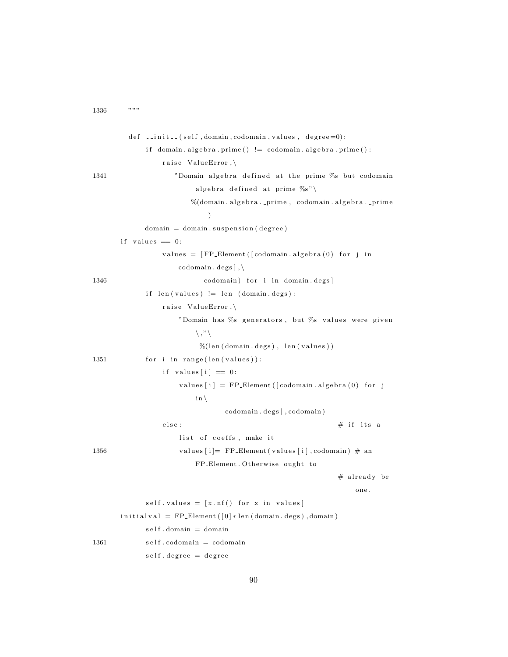$1336$  """

```
def __init__(self,domain,codomain,values,degree=0):
            if domain. algebra. prime() != codomain. algebra. prime():
               raise ValueError,\
1341 "Domain algebra defined at the prime % but codomain
                       algebra defined at prime \%s"%(domain.algebra..prime, codomain.algebra..prime
                          \lambdadomain = domain.suspension(degree)if values = 0:
               values = [FP\_Element([codomain.algebra(0) for j incodomain.\,deg s],
1346 codomain) for i in domain. degs]
            if len(values) := len(domain.deg):raise ValueError,\
                   "Domain has %s generators, but %s values were given
                       \setminus,"\setminus\%(len (domain. degs), len (values))
1351 for i in range (len(values)):
               if values [i] = 0:
                   values [i] = FP\_Element([codomain, algebra(0) for j])\{i\}codomain. degs |, codomain )
               else: # if its a
                   list of coeffs, make it
1356 values [i] = FP\_Element( values[i], codomain) \# anFP_Element. Otherwise ought to
                                                        # already be
                                                            one .
            self.values = [x.nf() for x in values]initial val = FP\_Element([0]*len(domain. degs), domain)self. domain = domain1361 self.codomain = codomain
            self.degree = degree
```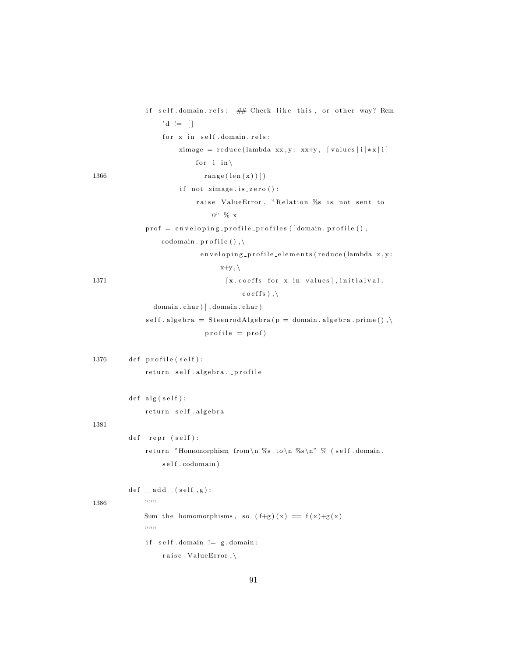```
if self.domain.rels: ## Check like this, or other way? Rem
                 'd := []for x in self.domain. rels:
                      ximage = reduce(lambda xx, y: xx+y, [values[i]*x[i]for i in \
1366 \text{range}(\text{len}(x))if not ximage.is\_zero():
                          raise ValueError, "Relation %s is not sent to
                              0" % x
             \text{prof} = \text{enveloping\_profile\_profiles} (\text{domain}, \text{profile}),codomain.\,profile(),
                           en veloping-profile-elements (reduce (lambda x, y:
                                x+y, \lambda[ x \cdot \text{coeffs} \text{ for } x \text{ in values}], \text{initialval}.\csc(s),
               domain.char) ], domain.char)
             self. algebra = SteenrodAlgebra(p = domain. algebra. prime(),\profile = prof)1376 def profile (self):
             return self.algebra._profile
        def alg(self):return self.algebra
1381
         def \ _-repr_ (self):return "Homomorphism from\n %s to\n %s\n" % (self.domain,
                 s e l f . codomain )
        def _{--}add_{--} (self,g):
1386 """
             Sum the homomorphisms, so (f+g)(x) = f(x)+g(x)" "if \; self.domain \; != \; g.domain:
                 raise ValueError,\
```

```
91
```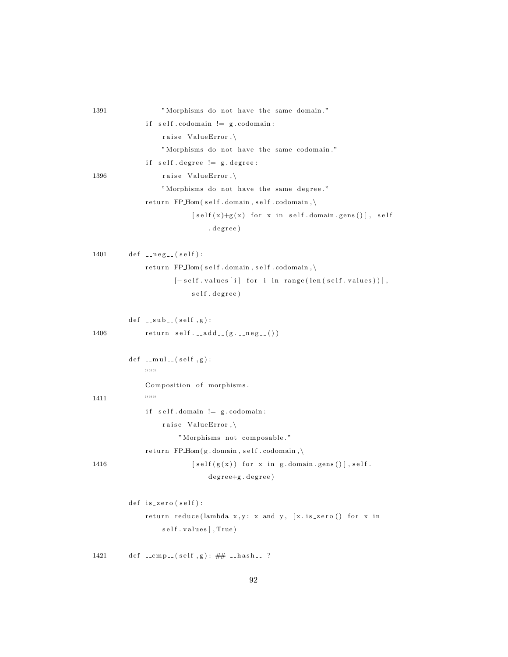| 1391 | "Morphisms do not have the same domain."                                            |
|------|-------------------------------------------------------------------------------------|
|      | $self.codomain := g.codomain$ :<br>i f                                              |
|      | raise ValueError, $\setminus$                                                       |
|      | "Morphisms do not have the same codomain."                                          |
|      | $self.degree != g.degree:$<br>i f                                                   |
| 1396 | raise ValueError, $\setminus$                                                       |
|      | "Morphisms do not have the same degree."                                            |
|      | return FP_Hom(self.domain,self.codomain,\                                           |
|      | $[self(x)+g(x)]$ for x in self.domain.gens()], self                                 |
|      | . degree)                                                                           |
|      |                                                                                     |
| 1401 | $def_{--neg--}(self):$                                                              |
|      | return FP_Hom(self.domain,self.codomain,\                                           |
|      | $[-self.values[i] for i in range(len(self.values))]$ ,                              |
|      | self.degree)                                                                        |
|      |                                                                                     |
|      | $def \_subslap{=} sub \_ (self , g):$                                               |
| 1406 | $return \; self. \; \texttt{} add \; \texttt{} (g. \; \texttt{} neg \; \texttt{}))$ |
|      |                                                                                     |
|      | def $_{--}$ mul <sub>--</sub> (self,g):                                             |
|      | ,, ,, ,,                                                                            |
|      | Composition of morphisms.                                                           |
| 1411 | ,, ,, ,,                                                                            |
|      | $self.domain := g.codomain$ :<br>i f                                                |
|      | raise ValueError, $\setminus$                                                       |
|      | "Morphisms not composable."                                                         |
|      | return $FP\text{-}\text{Hom}(g.domain, self.codomain, \setminus$                    |
| 1416 | $[self(g(x)) for x in g.domain.gens()], self.$                                      |
|      | degree+g.degree)                                                                    |
|      | $def$ is_zero(self):                                                                |
|      | return reduce(lambda $x, y: x$ and $y, [x.is\_zero()$ for x in                      |
|      | self.values], True)                                                                 |
|      |                                                                                     |
| 1421 | def __cmp__(self,g): $\#$ __hash__?                                                 |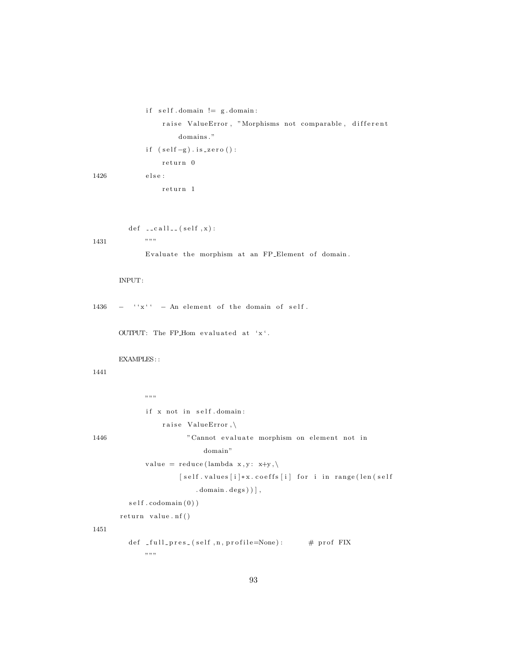```
if self.domain := g.domain:
                   raise ValueError, "Morphisms not comparable, different
                       domains."
              if (self-g). is <i>zero()</i> :return 0
1426 else:
                   return 1
         def \left[ -c \, \text{all} \, \right] (self , x ) :
1431 " " "
```
Evaluate the morphism at an FP Element of domain.

## INPUT:

 $1436$  - ''x'' - An element of the domain of self.

OUTPUT: The FP\_Hom evaluated at  $x^{\prime}$ .

#### EXAMPLES: :

## 1441

 $,$   $,$   $,$   $,$ if x not in self.domain: raise ValueError,\ 1446 "Cannot evaluate morphism on element not in domain " value = reduce (lambda x, y: x+y, \) [ self . values [i] \* x . coeffs [i] for i in range (len ( self  $\ldots$  domain  $\ldots$  degs  $)$   $]$ ,  $self.codomain(0))$  $return value. nf()$ 

```
def _full_pres_(self,n,profile=None): # prof FIX
    \; " " \; "
```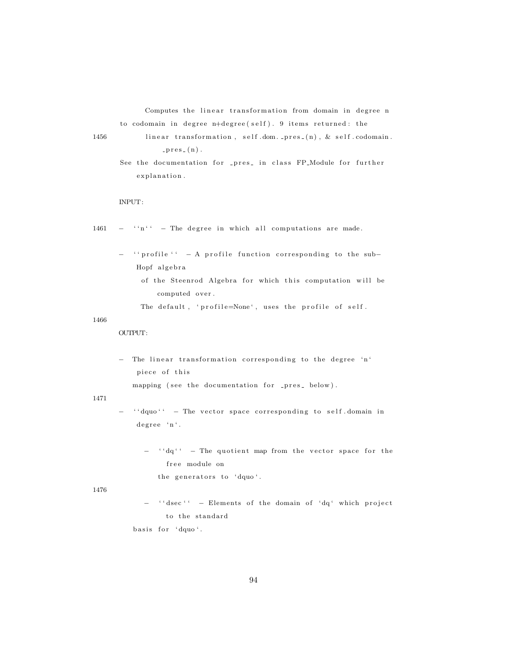Computes the linear transformation from domain in degree n to codomain in degree n+degree (self). 9 items returned: the

- 1456 linear transformation, self.dom.\_pres\_(n), & self.codomain.  $-props_-(n)$ .
	- See the documentation for \_pres\_ in class FP\_Module for further explanation.

## INPUT:

- $1461 -$  ''n'' The degree in which all computations are made.
	- − '' profile '' A profile function corresponding to the sub-Hopf algebra
		- of the Steenrod Algebra for which this computation will be computed over.

The default, 'profile=None', uses the profile of self.

1466

OUTPUT:

- The linear transformation corresponding to the degree 'n' piece of this

mapping (see the documentation for \_pres\_ below).

1471

- $'$  ' dquo ' ' The vector space corresponding to self domain in degree 'n'.
	- $-$  ''dq'' The quotient map from the vector space for the free module on

the generators to 'dquo'.

1476

− ''dsec'' - Elements of the domain of 'dq' which project to the standard basis for 'dquo'.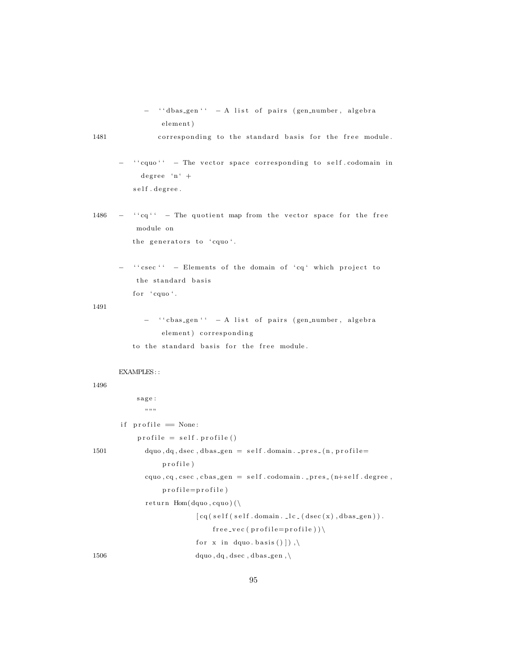```
− ''dbas_gen'' - A list of pairs (gen_number, algebra
   element)
```
1481 corresponding to the standard basis for the free module.

- ${}$  '' cquo'' The vector space corresponding to self.codomain in  $degree 'n' +$ self.degree.
- $1486 -$  '' cq'' The quotient map from the vector space for the free module on the generators to 'cquo'.
	- '' csec'' Elements of the domain of 'cq' which project to the standard basis for 'cquo'.

1491

- '' cbas\_gen'' A list of pairs (gen\_number, algebra element) corresponding
- to the standard basis for the free module.

#### EXAMPLES: :

```
sage:
              , , , ,if \text{profile} = \text{None}:
            profile = self.\,profile()1501 dquo, dq, dsec, dbas_gen = self. domain. _pres_(n, profile=
                   p r o f i l e )
              cquo, cq, csec, cbas<sub>-</sub>gen = self.codomain.pres<sub>-</sub>(n+self.\ degree,profile=profile)
              return Hom(dquo, cquo) (\
                            [cq (self (self . domain . . !c . (dsec (x) , dbas\_gen)).
                                 free\_vec(profile=profile))for x in dquo. basis () ] ), \setminus1506 dquo, dq, dsec, dbas_gen, \
```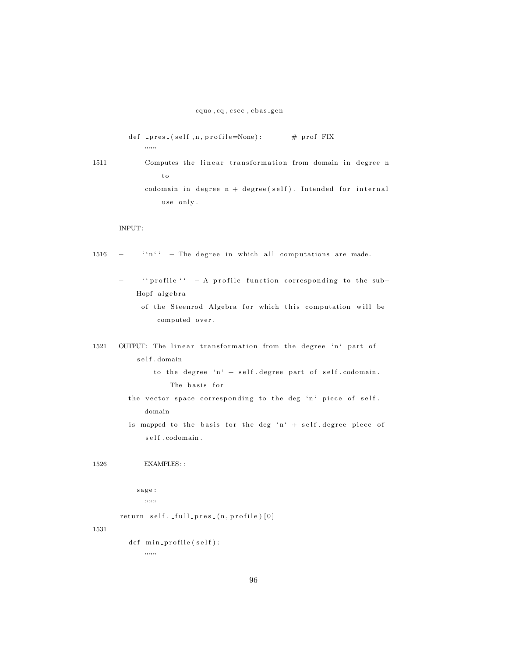$def$  -pres (self, n, profile=None): # prof FIX  $" "$ 

1511 Computes the linear transformation from domain in degree n t o codomain in degree  $n + degree(self)$ . Intended for internal use only.

#### INPUT:

 $1516$  - ''n'' - The degree in which all computations are made.

- '' profile '' A profile function corresponding to the sub-Hopf algebra
	- of the Steenrod Algebra for which this computation will be computed over.
- 1521 OUTPUT: The linear transformation from the degree 'n' part of s e l f . domain

to the degree 'n' + self.degree part of self.codomain. The basis for

- the vector space corresponding to the deg 'n' piece of self. domain
- is mapped to the basis for the deg 'n' + self. degree piece of  $\operatorname{self}$  .  $\operatorname{codomain}$  .

1526 EXAMPLES: :

```
sage:
  ",,,,
```
 $return$  self.  $-flull_{\text{pres}}(n, profile) [0]$ 

1531

def min\_profile(self):  $" "$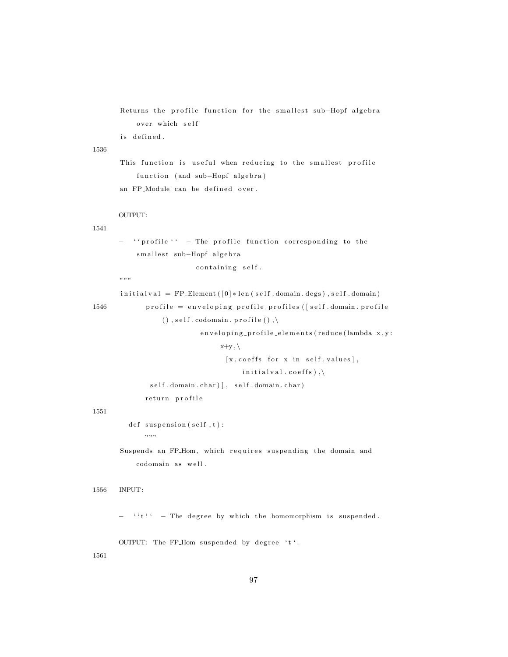Returns the profile function for the smallest sub-Hopf algebra over which self

is defined.

# 1536

This function is useful when reducing to the smallest profile function (and sub-Hopf algebra) an FP<sub>-</sub>Module can be defined over.

## 1541

'' profile '' - The profile function corresponding to the smallest sub-Hopf algebra

containing self.

""""

OUTPUT:

 $initial val = FP\_Element([0]*len(self.domain.degs),self.domain)$ 

```
1546 profile = enveloping_profile_profiles ([self.domain.profile
                (), self.codomain.profile(),
                         en veloping_profile_elements (reduce (lambda x, y:
```
 $x+y, \backslash$  $[x.\text{coeffs} \text{ for } x \text{ in } \text{self}.\text{values}],$  $initial val.coeffs)$ ,  $self.domain.char)$ , self.domain.char)

return profile

#### 1551

 $def$  suspension  $(self, t)$ :

"" "

Suspends an FP\_Hom, which requires suspending the domain and codomain as well.

```
1556 INPUT:
```
 $' 't' '$  − The degree by which the homomorphism is suspended.

OUTPUT: The FP\_Hom suspended by degree 't'.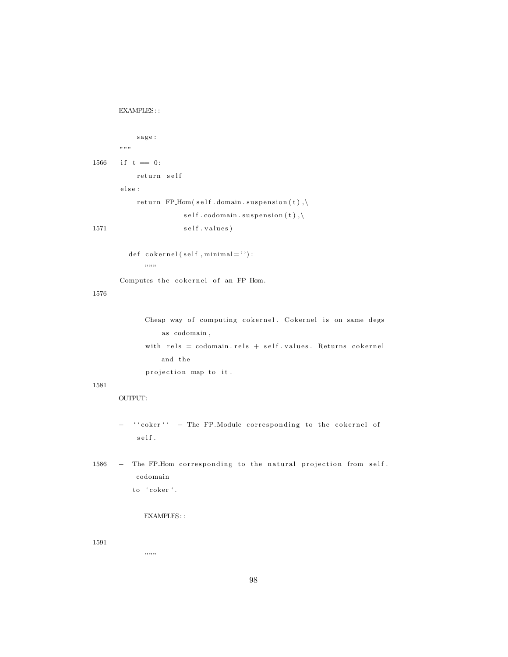```
EXAMPLES: :
```

```
_{\rm sage} :
      "" "
1566 if t = 0:
          return self
      e l s e :
          return FP_Hom(self.domain.suspension(t),\
                     self.codomain.suspension(t),\1571 self.values)
```
 $def \; cokernel({\; self}\;,minimal=')')$  : "" "

Computes the cokernel of an FP Hom.

# 1576

```
Cheap way of computing cokernel. Cokernel is on same degs
    as codomain,
with rels = codomain. rels + self. values. Returns cokerneland the
projection map to it.
```
#### 1581

OUTPUT:

- − '' coker'' The FP\_Module corresponding to the cokernel of  $\sqrt{s}$ el f $\sqrt{s}$
- 1586 The FP\_Hom corresponding to the natural projection from self. codomain to 'coker'.

# EXAMPLES::

1591

 $, , \, , \, ,$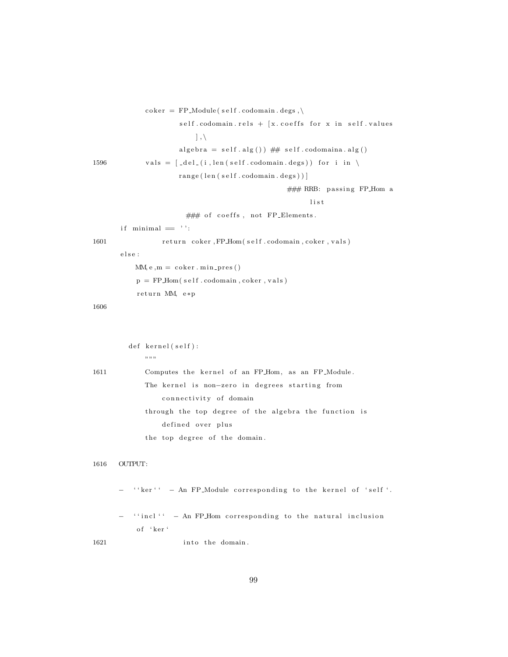```
\text{coker} = \text{FP\_Module}(\text{self}.\text{codomain}.\text{degs}, \setminus \text{def}(\text{right})).self.codomain. rels + [x.coeffs for x in self.values], \backslashalgebra = self.alg()) \## self.codomaina.alg()1596 vals = \lceil _del_(i, len(self.codomain.degs)) for i in \
                      range(len (self.codomain. deg s))]
                                                    \# \# \# RRB: passing FP_Hom a
                                                          l i s t
                        \# \# \# of coeffs, not FP_Elements.
       if minimal = ' :
1601 return coker, FP_Hom(self.codomain, coker, vals)
       e l s e :
           MM, e, m = coker . min\_pres()p = FP\_Hom(self.codomain, coker, vals)return MM, e*p
1606
         def kernel (self):
             , , , ,1611 Computes the kernel of an FP_Hom, as an FP_Module.
             The kernel is non-zero in degrees starting from
                  connectivity of domain
             through the top degree of the algebra the function is
                  defined over plus
             the top degree of the domain.
1616 OUTPUT:
          '' ker'' - An FP_Module corresponding to the kernel of 'self'.
         '' incl '' - An FP_Hom corresponding to the natural inclusion
           of 'ker'
```
1621 into the domain.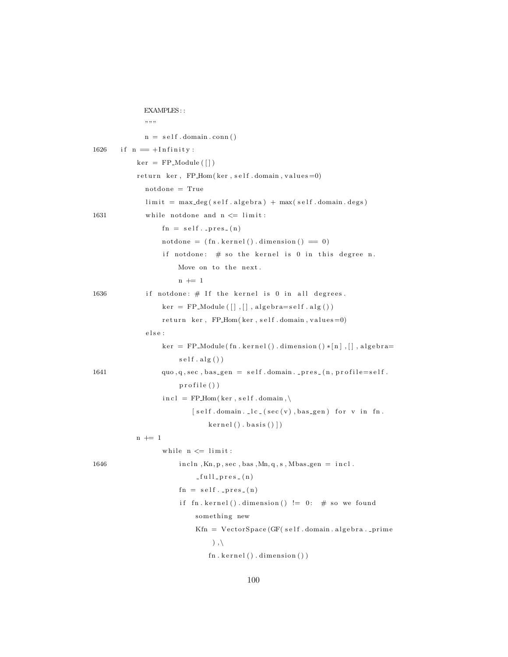|      | EXAMPLES::<br>,,,,,,                                                                                                                                          |
|------|---------------------------------------------------------------------------------------------------------------------------------------------------------------|
|      | $n = self.domain.com()$                                                                                                                                       |
|      |                                                                                                                                                               |
| 1626 | if $n = +Infinite$                                                                                                                                            |
|      | $\ker = FP$ -Module $([])$                                                                                                                                    |
|      | return ker, FP_Hom(ker, self.domain, values=0)                                                                                                                |
|      | $\mathrm{not done} = \mathrm{True}$                                                                                                                           |
|      | $\lim$ it = max_deg(self.algebra) + max(self.domain.degs)                                                                                                     |
| 1631 | while notdone and $n \leq \lim_{t \to \infty}$                                                                                                                |
|      | $fn = self._pres_(n)$                                                                                                                                         |
|      | $\text{notdone} = (\text{fn} \cdot \text{kernel}() \cdot \text{dimension}() = 0)$                                                                             |
|      | if notdone: $\#$ so the kernel is 0 in this degree n.                                                                                                         |
|      | Move on to the next.                                                                                                                                          |
|      | $n \neq 1$                                                                                                                                                    |
| 1636 | if notdone: $\#$ If the kernel is 0 in all degrees.                                                                                                           |
|      | $\text{ker} = \text{FP\_Module}([\,], [\,], \text{algebra}= \text{self} \cdot \text{alg} ()$                                                                  |
|      | return ker, FP_Hom(ker, self.domain, values=0)                                                                                                                |
|      | else :                                                                                                                                                        |
|      | $\ker$ = FP_Module(fn.kernel().dimension()*[n],[],algebra=                                                                                                    |
|      | $self$ . $alg()$                                                                                                                                              |
| 1641 | $\text{quo}, \text{q}, \text{sec}, \text{bas\_gen} = \text{self}.\text{domain}\text{ }.\text{ } \text{pres}\text{ }.\text{(}n, \text{profile} = \text{self}.$ |
|      | $\text{profile}()$                                                                                                                                            |
|      | $\text{incl} = \text{FP\_Hom}(\text{ker}, \text{self}.\text{domain}, \setminus$                                                                               |
|      | $[self.domain. \mathop{\lrcorner} lc \mathop{\lrcorner} (sec(v), bas\_gen) for v in fn.$                                                                      |
|      | $\text{kernel}()$ . basis $()$ ]                                                                                                                              |
|      | $n \neq 1$                                                                                                                                                    |
|      | while $n \leq 1$ imit:                                                                                                                                        |
| 1646 | $incln$ , $Kn, p, sec$ , $bas$ , $Mn, q, s$ , $Mbas$ <sub>gen</sub> = $incl$ .                                                                                |
|      | $-full_{pr}es_{-}(n)$                                                                                                                                         |
|      | $fn = self._pres_(n)$                                                                                                                                         |
|      | if fn.kernel().dimension() $!= 0$ : # so we found                                                                                                             |
|      | something new                                                                                                                                                 |
|      | $Kfn = VectorSpace(GF(self.domain.algebraprime)$                                                                                                              |
|      | $), \langle$                                                                                                                                                  |
|      | fn. kernal() . dimension()                                                                                                                                    |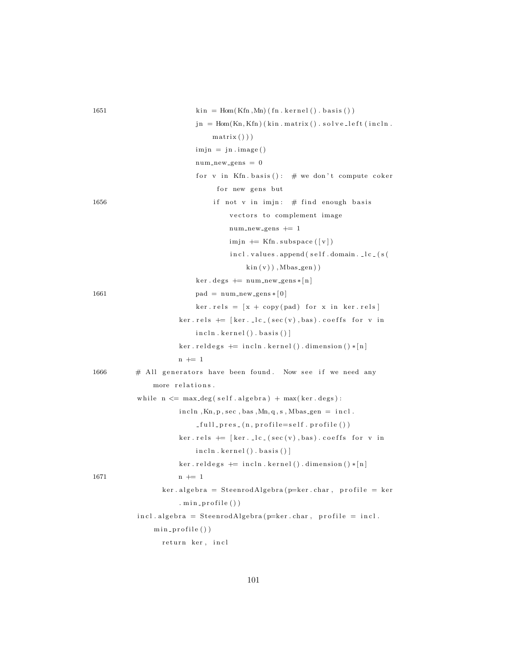| 1651 | $\text{kin} = \text{Hom}(\text{Kfn}, \text{Mn})$ (fn. kernel (). basis ()) |
|------|----------------------------------------------------------------------------|
|      | $jn = Hom(Kn, Kfn)$ (kin. matrix (). solve_left (incln.                    |
|      | $matrix()$ )                                                               |
|      | $\text{imjn} = \text{jn} \cdot \text{image}()$                             |
|      | $num_new-gens = 0$                                                         |
|      | for v in Kfn. basis(): $\#$ we don't compute coker                         |
|      | for new gens but                                                           |
| 1656 | if not v in imjn: $#$ find enough basis                                    |
|      | vectors to complement image                                                |
|      | $num_new_gens += 1$                                                        |
|      | $\lim_{\varepsilon}$ += Kfn. subspace ([v])                                |
|      | incl.values.append(self.domain.lc_(s(                                      |
|      | $\sin(v)$ , Mbas <sub>-gen</sub> ))                                        |
|      | $\ker \cdot \deg s \nightharpoonup = \num_{new\_gens} * [n]$               |
| 1661 | $pad = num_new_gens *  0 $                                                 |
|      | $ker. rels = [x + copy(pad) for x in ker. rels]$                           |
|      | $ker. rels$ $\leftarrow$ [ker. $lc. (sec(v), bas). coeffs$ for v in        |
|      | $incln.$ kernel $()$ . basis $()$                                          |
|      | $\ker$ .reldegs $\leftarrow$ incln.kernel().dimension()*[n]                |
|      | $n \neq 1$                                                                 |
| 1666 | $#$ All generators have been found. Now see if we need any                 |
|      | more relations.                                                            |
|      | while $n \leq max.deg(self.algebra) + max(ker.deg):$                       |
|      | $incln$ , Kn, p, sec, bas, Mn, q, s, Mbas_gen = $incl.$                    |
|      | $_{\texttt{-full-pres\_}(n, profile=self.\,profile()})$                    |
|      | $ker. rels$ $\leftarrow$ [ker. $lc. (sec(v), bas). coeffs$ for v in        |
|      | incln . kernel () . basis () ]                                             |
|      | $\ker$ .reldegs $\leftarrow$ incln.kernel().dimension()*[n]                |
| 1671 | $n + = 1$                                                                  |
|      | $ker$ .algebra = SteenrodAlgebra(p=ker.char, profile = ker                 |
|      | . min_profile())                                                           |
|      | $incl. algebra = SteenrodAlgebra(p=ker.char, profile = incl.$              |
|      | $min\_profile()$                                                           |
|      | return ker, incl                                                           |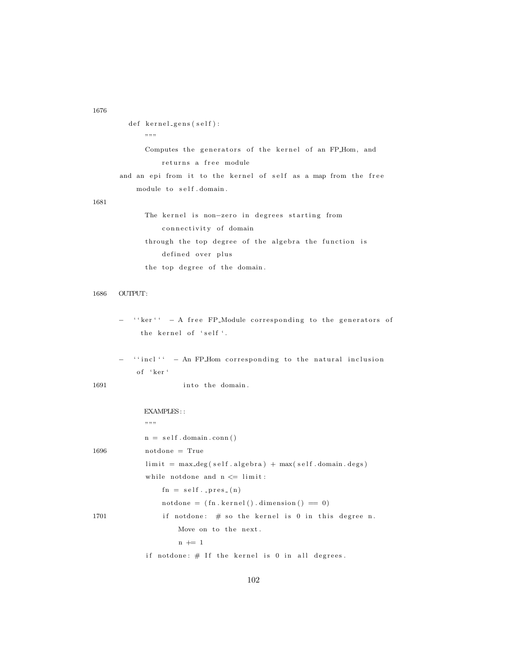```
1676
```

```
def kernel_gens(self):
            """""
            Computes the generators of the kernel of an FP_Hom, and
                returns a free module
      and an epi from it to the kernel of self as a map from the free
          module to self.domain.
1681
            The kernel is non-zero in degrees starting from
                 connectivity of domain
            through the top degree of the algebra the function is
                 defined over plus
            the top degree of the domain.
1686 OUTPUT:
         '' ker'' - A free FP_Module corresponding to the generators of
           the kernel of 'self '.
         '' incl'' - An FP_Hom corresponding to the natural inclusion
          of 'ker'
1691 into the domain.
            EXAMPLES: :
            \, , , , ,
            n = self.domain.com()1696 notdone = True
            \limit = max_deg(self.algebra) + max(self.domain.degs)
            while notdone and n \leq 1 imit:
                fn = self._pres_(n)\text{notdone} = (\text{fn} \cdot \text{kernel}() \cdot \text{dimension}() = 0)1701 if notdone: # so the kernel is 0 in this degree n.
                     Move on to the next.
                     n + = 1if notdone: \# If the kernel is 0 in all degrees.
```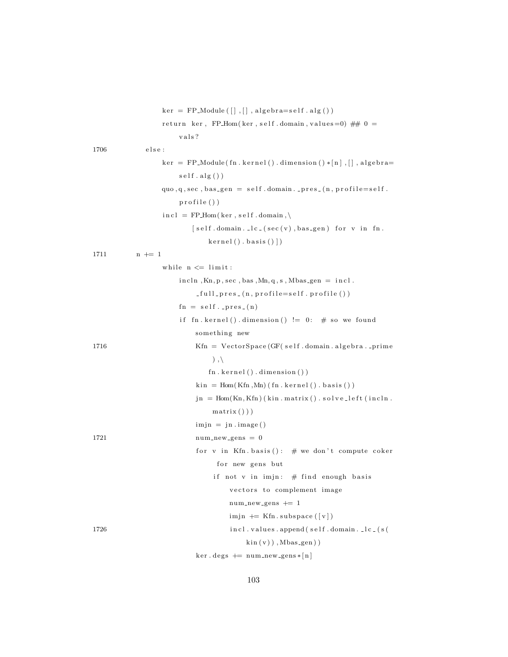|      | $\text{ker} = \text{FP}\_\text{Module}\left(\begin{bmatrix}\end{bmatrix}, \begin{bmatrix}\end{bmatrix}, \text{algebra}=self\text{ }alg\left(\begin{bmatrix}\end{bmatrix}\right)\right)$ |
|------|-----------------------------------------------------------------------------------------------------------------------------------------------------------------------------------------|
|      | return ker, FP_Hom(ker, self.domain, values=0) ## $0 =$                                                                                                                                 |
|      | vals?                                                                                                                                                                                   |
| 1706 | else :                                                                                                                                                                                  |
|      | $ker$ = FP_Module(fn.kernel().dimension()*[n],[],algebra=                                                                                                                               |
|      | $self$ . $alg()$                                                                                                                                                                        |
|      | $\text{quo}, \text{q}, \text{sec}, \text{bas\_gen} = \text{self}.\text{domain}\text{ }.\text{ } \text{pres}\text{ }.\text{(}n, \text{profile} = \text{self}\text{ }.$                   |
|      | profile())                                                                                                                                                                              |
|      | $\text{incl} = \text{FP\_Hom}(\text{ker}, \text{self}.\text{domain}, \setminus$                                                                                                         |
|      | $[self.domain. \lrcorner lc_{-}(sec(v), bas\_gen)$ for v in fn.                                                                                                                         |
|      | $\text{kernel}()$ . basis $()$ ]                                                                                                                                                        |
| 1711 | $n \neq 1$                                                                                                                                                                              |
|      | while $n \leq 1$ imit:                                                                                                                                                                  |
|      | $\text{incln}, \text{Kn}, \text{p}, \text{sec}, \text{bas}, \text{Mn}, \text{q}, \text{s}, \text{Mbas\_gen} = \text{incl}.$                                                             |
|      | $_full_{\text{pres}}(n, profile=self.\text{profile}()$                                                                                                                                  |
|      | $fn = self._pres_(n)$                                                                                                                                                                   |
|      | if fn.kernel().dimension() $!= 0$ : # so we found                                                                                                                                       |
|      | something new                                                                                                                                                                           |
| 1716 | $Kfn = VectorSpace(GF(self.domain.algebraprime)$                                                                                                                                        |
|      | $), \langle$                                                                                                                                                                            |
|      | fn. kernel() . dimension()                                                                                                                                                              |
|      | $\text{kin} = \text{Hom}(\text{Kfn}, \text{Mn})$ (fn. kernel (). basis ())                                                                                                              |
|      | $jn = Hom(Kn, Kfn)$ (kin. matrix (). solve_left (incln.                                                                                                                                 |
|      | $matrix()$ )                                                                                                                                                                            |
|      | $\text{imjn} = \text{jn} \cdot \text{image}()$                                                                                                                                          |
| 1721 | $\label{eq:num_new-gens} \texttt{num_new\_gens} \ = \ 0$                                                                                                                                |
|      | for v in Kfn. basis(): # we don't compute coker                                                                                                                                         |
|      | for new gens but                                                                                                                                                                        |
|      | if not v in imjn: $\#$ find enough basis                                                                                                                                                |
|      | vectors to complement image                                                                                                                                                             |
|      | $num_new_gens += 1$                                                                                                                                                                     |
|      | $imjn$ $\equiv$ Kfn. subspace ([v])                                                                                                                                                     |
| 1726 | incl. values.append(self.domain. _lc_(s(                                                                                                                                                |
|      | $\sin(v)$ , Mbas <sub>-gen</sub> ))                                                                                                                                                     |
|      |                                                                                                                                                                                         |

 $\ker \cdot \text{degs} \ \mathrel{+}= \ \text{num_new-gens} \ast [\![ n ]\!]$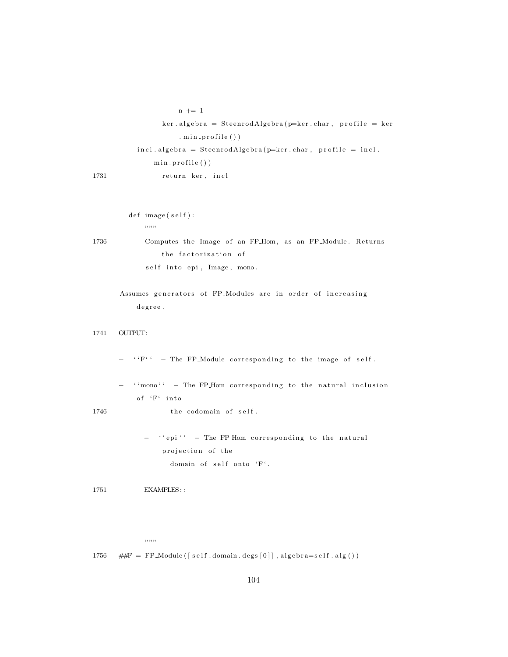```
n += 1
                 ker . algebra = SteenrodAlgebra(p=ker . char, profile = ker. min\_profile()incl.\ algebra = SteenrodAlgebra(p=ker.\char`{char},\char`{profile} = incl.min\_profile()1731 return ker, incl
```

```
def \ image(self) :" " ""
```

```
1736 Computes the Image of an FP_Hom, as an FP_Module. Returns
                    the factorization of
               \texttt{self} into \texttt{epi} , \texttt{Image} , \texttt{mono} .
```

```
Assumes generators of FP_Modules are in order of increasing
   degree.
```

```
1741 OUTPUT:
```
 ${}^{\prime\prime}\mathrm{F}^{\prime\prime}$  - The FP\_Module corresponding to the image of self.

 $'$  'mono' ' - The FP\_Hom corresponding to the natural inclusion of  $\mathbf{F}^{\prime}$  into

 $1746$  the codomain of self.

− ''epi'' - The FP\_Hom corresponding to the natural projection of the domain of self onto 'F'.

1751 **EXAMPLES:** :

 $",$ ,,,,

1756  $\#F = FP_{Module}([self.domain.deg[0]], algebra = self.alg())$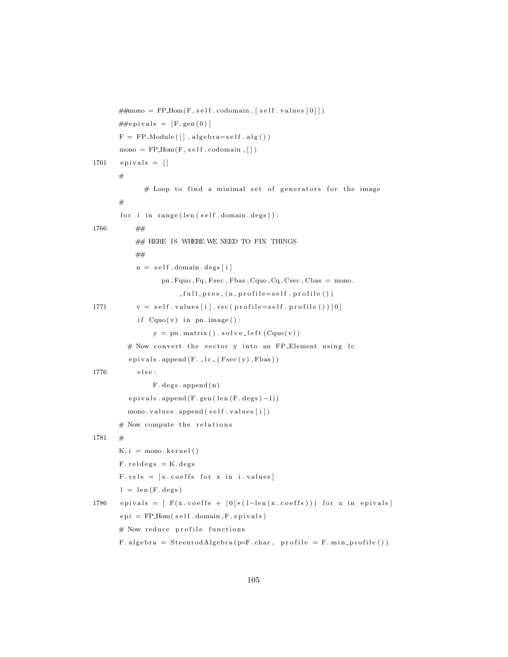```
\# \text{mono} = \text{FP\_Hom}(F, \text{self} \cdot \text{codomain}, \lceil \text{self} \cdot \text{values} \lceil 0 \rceil)\# \# \text{e} \text{pivals} = [F \text{. gen}(0)]F = FP_Module ([], algebra=self.alg())
       mono = FP\_Hom(F, self.codomain, []1761 epivals = \lceil \rceil## Loop to find a minimal set of generators for the image
       #
        for i in range(len (self.domain. deg s)):
1766 ##
            ## HERE IS WHERE WE NEED TO FIX THINGS
            ##
            n = self.domain. degs[i]pn, Fquo, Fq, Fsec, Fbas, Cquo, Cq, Csec, Cbas = mono.
                         -full_{pres}(n, profile=self, profile()1771 v = self.values[i].vec(profile = self.profile())[0]if Cquo(v) in pn. image():
                 y = pn \cdot matrix() \cdot solve\_left(Cquo(v))# Now convert the vector y into an FP-Element using lce p i v a l s . append (F. \text{ } \text{l}c \text{ } \text{ } (Fsec(y), Fbas))1776 e l s e :
                 F. deg s. append(n)epivals.append(F. gen(len(F. deg s) -1))mono. values.append(self.values[i])# Now compute the relations
1781 +K, i = \text{mono}. \text{kernel}()F. reldeg s = K. degs
       F. rels = [x.\text{coeffs} for x in i. values]
        l = len(F.deg)1786 e pivals = [ F(x.\text{coeffs } + [0] * (1-\text{len}(x.\text{coeffs }))) for x in epivals
        epi = FPHom(<i>self.domain</i>, <i>F</i>, <i>epivals</i>)# Now reduce profile functions
       F. algebra = SteenrodAlgebra(p=F(char, profile = F.min_probile())
```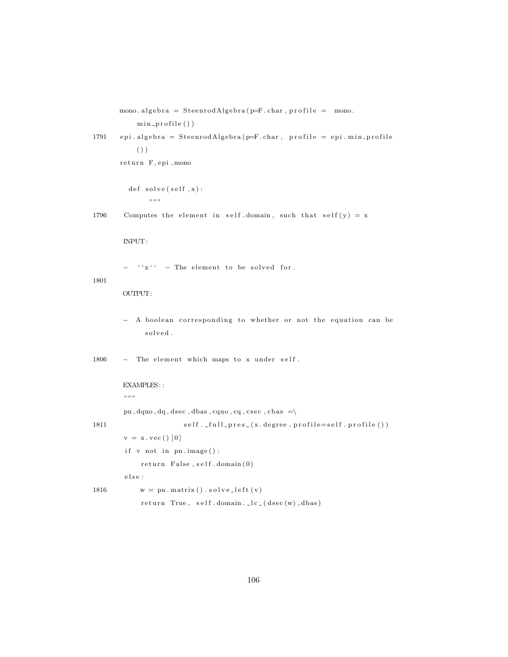```
min_profile())
1791 epi. algebra = SteenrodAlgebra (p=F. char, profile = epi. min_profile
           ()return F, epi, mono
         def solve(self, x):
              """
1796 Computes the element in self domain, such that self (y) = xINPUT:
        - '' x' ' - The element to be solved for.
1801
       OUTPUT:
       - A boolean corresponding to whether or not the equation can be
             solved.
1806 - The element which maps to x under self.
       EXAMPLES: :
        " "pn, dquo, dq, dsec, dbas, cquo, cq, csec, cbas =\
1811 self. _full_pres_(x.degree, profile=self.profile())
        v = x \cdot vec() [0]if v not in pn \cdot image():
            return False, self. domain (0)e l s e :
1816 w = pn \cdot matrix() \cdot solve\_left(v)r et urn True, s e l f . domain . \lfloor lc \rfloor ( d s e c (w) , d b as )
```
mono. algebra = SteenrodAlgebra ( $p=F$ . char, profile = mono.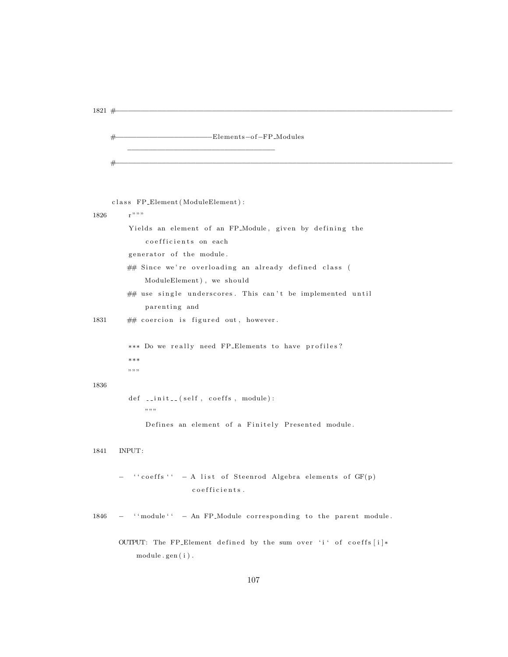```
1821 #−−−−−−−−−−−−−−−−−−−−−−−−−−−−−−−−−−−−−−−−−−−−−−−−−−−−−−−−−−−−−−−−−−−−−−−−−−−−−−−−
```
#−−−−−−−−−−−−−−−−−−−−−−−−−−−−−−−−−−−−−−−−−−−−−−−−−−−−−−−−−−−−−−−−−−−−−−−−−−−−−−−−

−−−−−−−−−−−−−−−−−−−−−−−−−−−−−−−−−−−

```
class FP_Element (ModuleElement) :
1826 r " " "Yields an element of an FP<sub>-</sub>Module, given by defining the
             coefficients on each
        generator of the module.
        ## Since we're overloading an already defined class (
            ModuleElement), we should
        ## use single underscores. This can't be implemented until
            parenting and
1831 ## coercion is figured out, however.
        ∗∗* Do we really need FP_Elements to have profiles?
        ∗∗∗
        """
1836
         def \sim \text{init-} (self, coefficients, module):" "Defines an element of a Finitely Presented module.
1841 INPUT:
      − '' coeffs '' - A list of Steenrod Algebra elements of GF(p)
                        co efficients.
1846 - '' module'' - An FP-Module corresponding to the parent module.
      OUTPUT: The FP_Element defined by the sum over 'i' of coeffs [i] *module . gen ( i ) .
```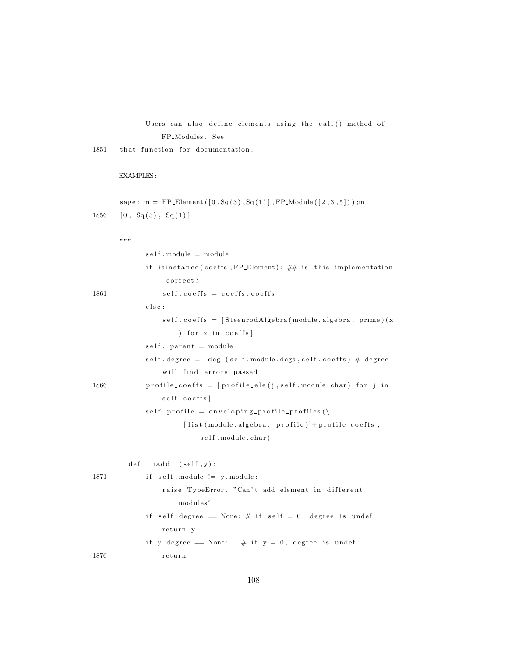### Users can also define elements using the call () method of FP Modules . See

 $1851$  that function for documentation.

### EXAMPLES: :

```
sage: m = FP\_Element([0, Sq(3), Sq(1)], FP\_Module([2, 3, 5]));m
1856 [0, Sq(3), Sq(1)]
```
"""

|      | self.module = module                                                                               |
|------|----------------------------------------------------------------------------------------------------|
|      | if isinstance (coeffs, FP_Element): ## is this implementation                                      |
|      | correct?                                                                                           |
| 1861 | $self. coefficients = coefficients. coefficients$                                                  |
|      | else:                                                                                              |
|      | self.coeffs = [SteenrodAlgebra(module.algebra._prime)(x                                            |
|      | ) for x in coeffs                                                                                  |
|      | $self.$ parent = module                                                                            |
|      | self.degree = $\text{deg}_-(\text{self.module.} \text{degs}, \text{self.} \text{coeffs})$ # degree |
|      | will find errors passed                                                                            |
| 1866 | profile_coeffs = $[profile_eele(j, self.module.char) for j in$                                     |
|      | self.coeffs]                                                                                       |
|      | self.profile = enveloping_profile_profiles(\                                                       |
|      | $[$ list (module. algebra. _profile)]+profile_coeffs,                                              |
|      | self.module.char)                                                                                  |
|      |                                                                                                    |
|      | $def \ = iadd = (self, y):$                                                                        |
| 1871 | if $self$ . module $!= y$ . module:                                                                |
|      | raise TypeError, "Can't add element in different                                                   |
|      | modules"                                                                                           |
|      | if self.degree = None: $\#$ if self = 0, degree is undef                                           |
|      | return y                                                                                           |
|      | if y degree = None: # if $y = 0$ , degree is undef                                                 |
| 1876 | return                                                                                             |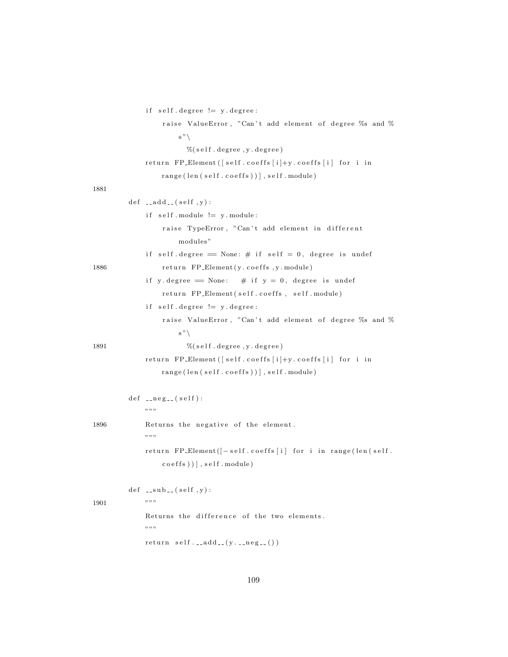```
if self.degree != y.degree:raise ValueError, "Can't add element of degree %s and %
                      s"\setminus% (self.\ degree, y.\ degree)return FP_Element ([self.coeffs[i]+y.coeffs[i] for i in
                  range(len(self.coeffs))), self. module)
1881
         def \ =<br>add = (self, y) :if self.\,module := y.\,module:raise TypeError, "Can't add element in different
                      modules"
             if self. degree == None: # if self = 0, degree is undef
1886 return FP_Element (y. coeffs, y. module)
             if y . degree = None: # if y = 0, degree is undef
                  return FP_Element (self.coeffs, self.module)
             if self.degree != y.degree:raise ValueError, "Can't add element of degree %s and %
                      \mathbf{s}"\setminus1891 % (self.degree, y.degree)
             return FP_Element ([self.coeffs[i]+y.coeffs[i] for i in
                  range( len( self.coeffs) ) ], self.module)def _{-neg} (self):
             ,, ,, ,,
1896 Returns the negative of the element.
             "" "
             return FP_Element([-\text{self}.\text{coeffs}[\text{i}] for i in range(len(self.
                  coeffs) ) , self. module)def \left( \text{sub} \right) (self, y):
1901 """
             Returns the difference of the two elements.
             """
             return \ self. \_\text{add}\_\text{-}(y \_\text{-neg}\_\text{e}) )
```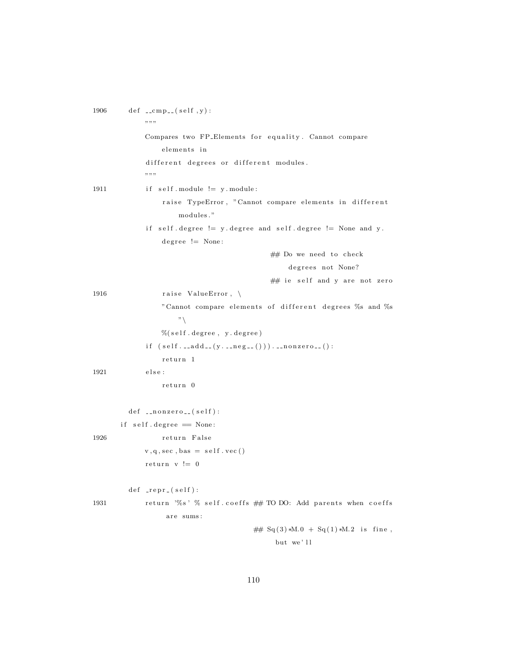| 1906 | $def_{---}cmp_{--}(self, y):$<br>,, ,, ,,                           |
|------|---------------------------------------------------------------------|
|      | Compares two FP_Elements for equality. Cannot compare               |
|      | elements in                                                         |
|      | different degrees or different modules.<br>,, ,, ,,                 |
| 1911 | if self. module $!= y$ . module:                                    |
|      | raise TypeError, "Cannot compare elements in different<br>modules." |
|      | if self.degree != y.degree and self.degree != None and y.           |
|      | $degree := None$ :                                                  |
|      | ## Do we need to check                                              |
|      | degrees not None?                                                   |
|      | ## ie self and y are not zero                                       |
| 1916 | raise ValueError, $\setminus$                                       |
|      | "Cannot compare elements of different degrees %s and %s             |
|      | $"\setminus$                                                        |
|      | $\%$ (self.degree, y.degree)                                        |
|      | if $(selfadd(yneg))$ ). __nonzero__():                              |
|      | return 1                                                            |
| 1921 | else :                                                              |
|      | return 0                                                            |
|      | $def \dots nonzero. (self):$                                        |
|      | if self.degree == None:                                             |
| 1926 | return False                                                        |
|      | $v, q, sec, bas = self. vec()$                                      |
|      | return $v := 0$                                                     |
|      | $def$ _repr_(self):                                                 |
| 1931 | return '%s' % self.coeffs ## TO DO: Add parents when coeffs         |
|      | are sums:                                                           |
|      | ## $Sq(3) *M.0 + Sq(1) *M.2$ is fine,                               |
|      | but we'll                                                           |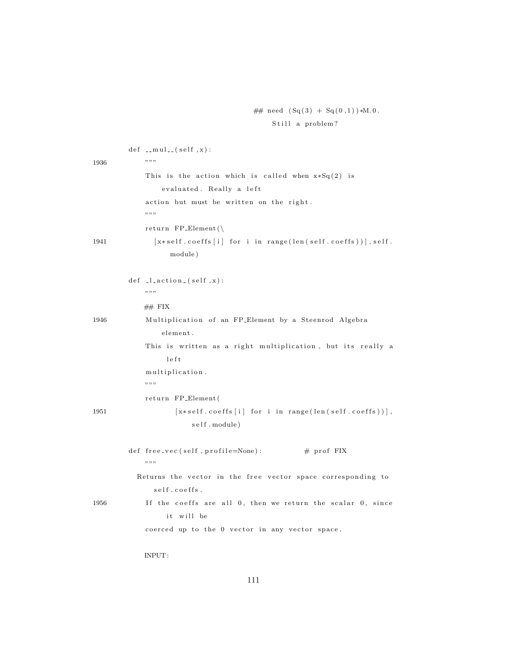```
## need (Sq(3) + Sq(0,1)) *M.0.
    Still a problem?
```

|      | def __mul__(self,x):                                            |
|------|-----------------------------------------------------------------|
| 1936 | ,, ,, ,,                                                        |
|      | This is the action which is called when $x * Sq(2)$ is          |
|      | evaluated. Really a left                                        |
|      | action but must be written on the right.                        |
|      | ,, ,, ,,                                                        |
|      | return $FP\_Element()$                                          |
| 1941 | $[x*self.\;coeffs [i]$ for i in range(len(self.coeffs))], self. |
|      | module)                                                         |
|      |                                                                 |
|      | $def$ $-l$ $action$ $(self, x)$ :                               |
|      | ,, ,, ,,                                                        |
|      | ## FIX                                                          |
| 1946 | Multiplication of an FP_Element by a Steenrod Algebra           |
|      | element.                                                        |
|      | This is written as a right multiplication, but its really a     |
|      | left                                                            |
|      | multiplication.                                                 |
|      | ,, ,, ,,                                                        |
|      | return FP_Element(                                              |
| 1951 | $[x*self.coeffs[i] for i in range(len(self.coeffs))],$          |
|      | self.module)                                                    |
|      |                                                                 |
|      | $#$ prof FIX<br>def free_vec(self, profile=None):               |
|      | ,, ,, ,,                                                        |
|      | Returns the vector in the free vector space corresponding to    |
|      | self.coeffs.                                                    |
| 1956 | If the coeffs are all 0, then we return the scalar 0, since     |
|      | it will be                                                      |
|      | coerced up to the 0 vector in any vector space.                 |
|      |                                                                 |
|      | INPUT:                                                          |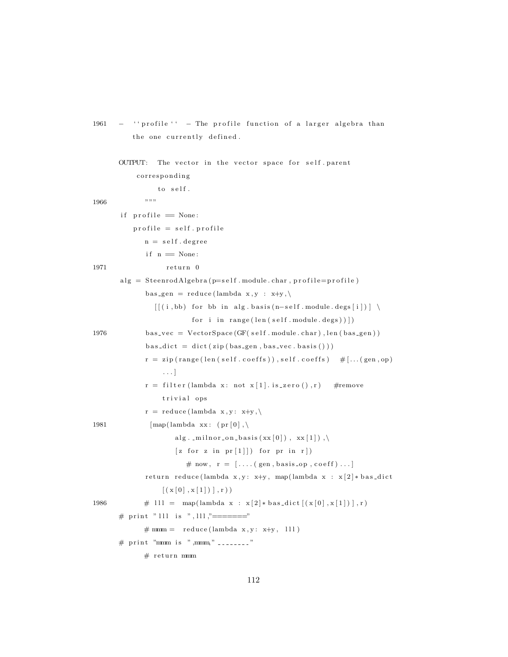```
1961 - '' profile '' - The profile function of a larger algebra than
           the one currently defined.
       OUTPUT: The vector in the vector space for self.parent
            c o r r e s p o n di n g
                   to self.
1966 " " " "if \mathsf{profile} = \mathsf{None}:
           profile = self.\,profilen = self.degreeif n = None:1971 return 0
       alg = SteenrodAlgebra(p=self.module.charAt, profile=profile)bas\_{gen} = reduce(lambda x, y : x+y, \langle[ [(i, bb) for bb in alg.basis(n–self.module.deg[i]) ] \ \ranglefor i in range(len(self.module.deg))])
1976 bas_vec = VectorSpace (GF( self . module . char), len ( bas_gen ) )
               bas\_\text{dict} = \text{dict}(\text{zip}(\text{bas\_\text{gen}},\text{bas\_\text{vec}.\text{basis}}())r = zip(range(len(self.\text{coeffs})), self.\text{coeffs}) #[...(gen, op)
                    . . . ]
               r = \text{filter}(\text{lambda } x: \text{ not } x[1], \text{is\_zero}(), r) #remove
                    trivial ops
               r = reduce (lambda x, y: x+y, \lambda)1981 [\text{map}(\text{lambda xx}: (\text{pr} [0], \setminusalg. \text{minor}_\text{on} basis (\text{xx}[0]), \text{xx}[1]),
                        [z \text{ for } z \text{ in } pr[1]] for pr in r])
                           # now, r = [\dots (gen, basis\_op, coeff) \dots ]return reduce (lambda x, y: x+y, map(lambda x : x [2] * bas_dict
                    [(x [0], x [1])], r))1986 \#\text{111} = \text{map}(\text{lambda } x : x[2]*\text{bas\_dict}[(x[0], x[1])], r)
       # print " lll is ", lll ,"======="
               # mmm = reduce (lambda x, y: x+y, 111)# print "mmm is ", mmm," \rightarrow# return mmm
```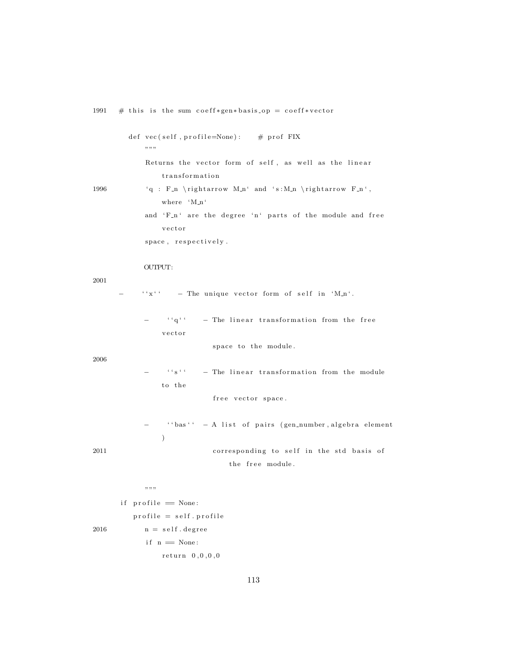|      | def vec (self, profile=None): # prof FIX<br>,, ,, ,,                       |
|------|----------------------------------------------------------------------------|
| 1996 | Returns the vector form of self, as well as the linear<br>transformation   |
|      | 'q : F_n \rightarrow M_n' and 's:M_n \rightarrow F_n',<br>where 'M_n'      |
|      | and 'F_n' are the degree 'n' parts of the module and free                  |
|      | vector<br>space, respectively.                                             |
| 2001 | OUTPUT:                                                                    |
|      | $``x``'$ - The unique vector form of self in 'M_n'.                        |
| 2006 | $``q``'$ - The linear transformation from the free                         |
|      | vector<br>space to the module.                                             |
|      | $\cdots$ $\cdots$<br>- The linear transformation from the module<br>to the |
|      | free vector space.                                                         |
| 2011 | - ''bas'' - A list of pairs (gen_number, algebra element<br>$\mathcal{E}$  |
|      | corresponding to self in the std basis of                                  |
|      | the free module.                                                           |
|      | ,,,,,,                                                                     |

 $if$  profile  $=$  None:  $\text{profile} = \text{self} \cdot \text{profile}$  $2016$  n = self.degree  $if n == None:$  $return 0, 0, 0, 0, 0$ 

113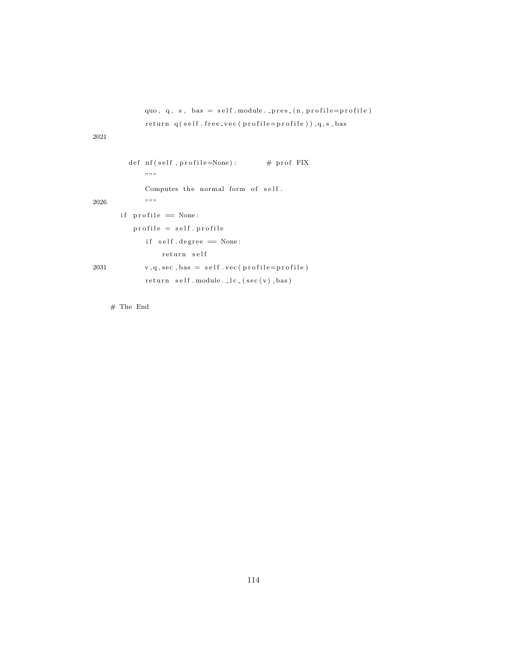```
quo, q, s, bas = self. module. _{pres} (n, profile=profile)
             return q (self. free_vec (profile=profile)),q, s, bas
2021
         def nf ( self , profile = None ) : # prof FIX" "Computes the normal form of self.
2026 """"
       if profile = None:
          \text{profile} = \text{self} \cdot \text{profile}if self \cdot degree = None:
                  return self
2031 v, q, sec, bas = self. vec (profile=profile)
             return self. module. lc ( sec ( v ), bas )
```
# The End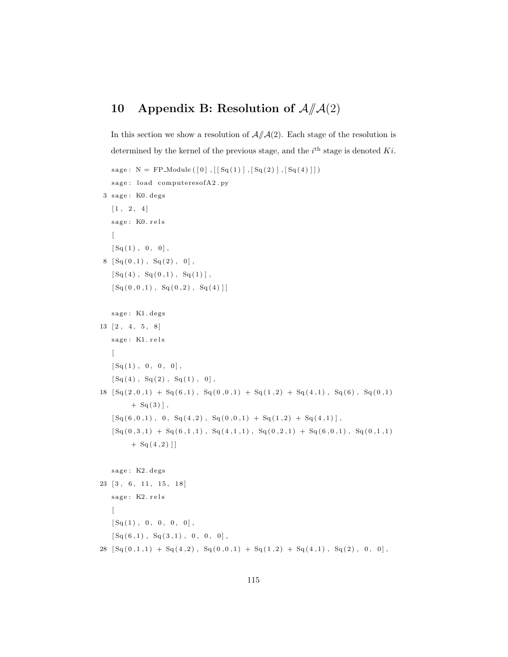# 10 Appendix B: Resolution of  $\mathcal{A}/\mathcal{A}(2)$

```
In this section we show a resolution of A/\,\sim A(2). Each stage of the resolution is
determined by the kernel of the previous stage, and the i^{\text{th}} stage is denoted Ki.
```

```
sage: N = FP. Module ([0], [[Sq(1)], [Sq(2)], [Sq(4)]])sage: load computeresofA2.py
 3 sage: K0. degs
     [1, 2, 4]sage: K0. rels
     \sqrt{2}[Sq(1), 0, 0],8 \left[ Sq(0,1) , Sq(2) , 0 \right],[Sq(4), Sq(0,1), Sq(1)],[Sq(0,0,1), Sq(0,2), Sq(4)]sage: K1. degs
13 [2, 4, 5, 8]sage: K1. rels
      \left[ \right][\, \operatorname{Sq}\nolimits\, ( \, 1 )\,\, , \  \  0\, , \  \  0\, , \  \  0\, ]\,\, ,\left[ \, \operatorname{Sq}\left( \,4\,\right) \,,\;\; \operatorname{Sq}\left( \,2\,\right) \,,\;\; \operatorname{Sq}\left( \,1\,\right) \,,\;\; 0\,\right] \,,18 \ \left[ \text{Sq}\left( 2\,,0\,,1 \right) \; + \; \text{Sq}\left( 6\,,1 \right) \, , \ \ \text{Sq}\left( 0\,,0\,,1 \right) \; + \; \text{Sq}\left( 1\,,2 \right) \; + \; \text{Sq}\left( 4\,,1 \right) \, , \ \ \text{Sq}\left( 6 \right) \, , \ \ \text{Sq}\left( 0\,,1 \right) \right]+ Sq(3)],
     [Sq (6, 0, 1), 0, Sq (4, 2), Sq (0, 0, 1) + Sq (1, 2) + Sq (4, 1)],
      [ \, \operatorname{Sq}(\, 0 \, , \, 3 \, , \, 1 \, ) \,\, + \,\, \operatorname{Sq}(\, 6 \, , \, 1 \, , \, 1 \, ) \,\, , \,\, \operatorname{Sq}(\, 0 \, , \, 2 \, , \, 1 \, ) \,\, + \,\, \operatorname{Sq}(\, 6 \, , \, 0 \, , \, 1 \, ) \,\, , \,\, \operatorname{Sq}(\, 0 \, , \, 1 \, , \, 1 \, ) \,+ Sq(4,2)]]
     sage: K2. degs
23 [3, 6, 11, 15, 18]sage: K2. rels
     \sqrt{2}[Sq(1), 0, 0, 0, 0],[Sq (6,1), Sq (3,1), 0, 0, 0],28 [\text{Sq}(0,1,1) + \text{Sq}(4,2), \text{Sq}(0,0,1) + \text{Sq}(1,2) + \text{Sq}(4,1), \text{Sq}(2), 0, 0],
```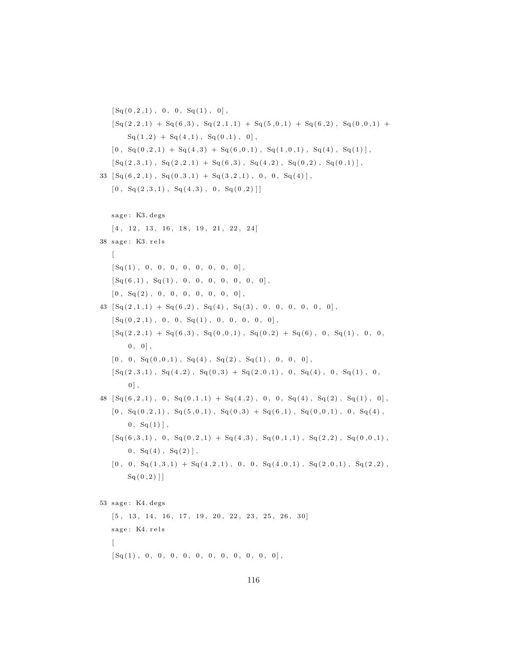```
[Sq(0, 2, 1), 0, 0, Sq(1), 0],[Sq(2,2,1) + Sq(6,3), Sq(2,1,1) + Sq(5,0,1) + Sq(6,2), Sq(0,0,1) +Sq(1,2) + Sq(4,1), Sq(0,1), 0],[0\,,\enspace{\rm Sq}\,(0\,,2\,,1)\enspace+\enspace{\rm Sq}\,(4\,,3)\enspace+\enspace{\rm Sq}\,(6\,,0\,,1)\enspace,\enspace{\rm Sq}\,(1\,,0\,,1)\enspace,\enspace{\rm Sq}\,(4)\enspace,\enspace{\rm Sq}\,(1)\,]\,,[Sq(2,3,1), Sq(2,2,1) + Sq(6,3), Sq(4,2), Sq(0,2), Sq(0,1)],
33 \left[ Sq(6, 2, 1) , Sq(0, 3, 1) + Sq(3, 2, 1) , 0, 0, Sq(4) \right],[0, \text{Sq}(2,3,1), \text{Sq}(4,3), 0, \text{Sq}(0,2)]sage: K3. degs
      [4, 12, 13, 16, 18, 19, 21, 22, 24]38 sage: K3. rels
     \left[ \right][\, \operatorname{Sq}\, ( \,1\, )\,\, ,\  \  0\, ,\  \  0\, ,\  \  0\, ,\  \  0\, ,\  \  0\, ,\  \  0\, ,\  \  0\, ,\  \  0\, ]\, ,[\, {\rm Sq}\, ( \, 6 \, , 1 \, ) \,\, , \,\, \, {\rm Sq}\, ( \, 1 \, ) \,\, , \,\, \, 0 \, , \,\, \, 0 \, , \,\, \, 0 \, , \,\, \, 0 \, , \,\, \, 0 \, , \,\, \, 0 \, , \,\, \, 0 \, , \,\, \, 0 \, ] \,\, , \,\,[\,0\;,\;\;{\rm Sq}\,(\,2\,)\;,\;\;0\;,\;\;0\;,\;\;0\;,\;\;0\;,\;\;0\;,\;\;0\;,\;\;0\;,\;\;0\,] \;,43 \left[ Sq(2,1,1) + Sq(6,2) , Sq(4) , Sq(3) , 0, 0, 0, 0, 0 \right],[Sq(0, 2, 1), 0, 0, Sq(1), 0, 0, 0, 0],
      [\, {\rm Sq}\, (\,2\,, 2\,, 1)\,\,+\,\, {\rm Sq}\, (\,6\,, 3\,)\,\, , \,\, \,{\rm Sq}\, (\,0\,, 0\,, 1\, )\,\, , \,\, \,{\rm Sq}\, (\,0\,, 2\,)\,\,+\,\,{\rm Sq}\, (\,6\,)\,\, , \,\, \,0\,\, , \,\, {\rm Sq}\, ( \,1\,)\,\, , \,\, \,0\,\, , \,\, 0\, ]0, 0,
      [0\ ,\ 0\ ,\ {\rm Sq}\,(0\ ,0\ ,1)\ ,\ {\rm Sq}\,(4)\ ,\ {\rm Sq}\,(2)\ ,\ {\rm Sq}\,(1)\ ,\ 0\ ,\ 0\ ,\ 0]\ ,\left[{\rm Sq}\left(2\,,3\,,1\right)\,,\right. \ {\rm Sq}\left(4\,,2\right)\,,\right. \ {\rm Sq}\left(0\,,3\right) \ +\ {\rm Sq}\left(2\,,0\,,1\right)\,,\right. \ 0\,,\right. \ {\rm Sq}\left(4\right)\,,\right. \ 0\,, \ \ {\rm Sq}\left(1\right)\,,\right. \ 0\,,0],
48 \left[ Sq(6, 2, 1) , 0, Sq(0, 1, 1) + Sq(4, 2) , 0, 0, Sq(4), Sq(2), Sq(1), 0 \right],[0, \, S_q(0, 2, 1), \, S_q(5, 0, 1), \, S_q(0, 3) + S_q(6, 1), \, S_q(0, 0, 1), \, 0, \, S_q(4),0, \, Sq(1),
      \, \left[ \, \text{Sq}\,(\,6 \,, 3 \,, 1) \,\, , \;\; 0 \,, \;\; \text{Sq}\,(\,0 \,, 2 \,, 1) \; + \; \text{Sq}\,(\,4 \,, 3) \,\, , \;\; \text{Sq}\,(\,0 \,, 1 \,, 1) \,\, , \;\; \text{Sq}\,(\,2 \,, 2) \,\, , \;\; \text{Sq}\,(\,0 \,, 0 \,, 1) \,\, , \right.0, Sq(4), Sq(2),
      [0, 0, S<sub>q</sub>(1, 3, 1) + S<sub>q</sub>(4, 2, 1), 0, 0, S<sub>q</sub>(4, 0, 1), S<sub>q</sub>(2, 0, 1), S<sub>q</sub>(2, 2),Sq(0,2)]
53 sage: K4. degs
     [5, 13, 14, 16, 17, 19, 20, 22, 23, 25, 26, 30]sage: K4. rels
      \sqrt{2}[Sq(1), 0, 0, 0, 0, 0, 0, 0, 0, 0, 0, 0, 0],
```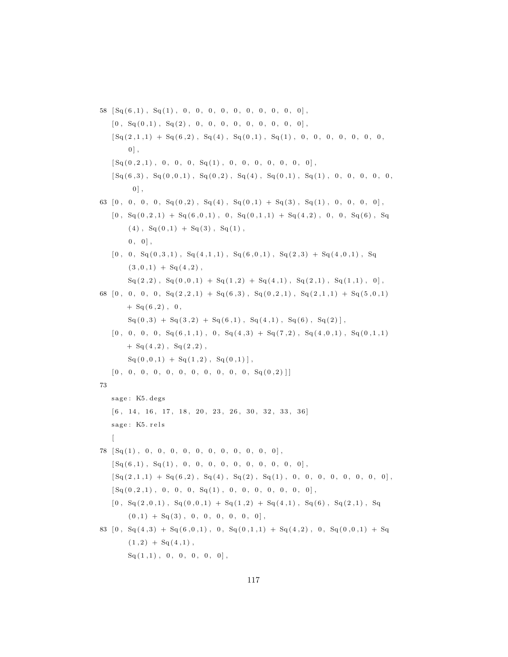$58 \left[ Sq(6,1) , Sq(1) , 0, 0, 0, 0, 0, 0, 0, 0, 0, 0 \right],$  $[\,0\;,\;\;{\rm Sq}\,(\,0\;,1)\;,\;\;{\rm Sq}\,(2)\;,\;\;0\;,\;\;0\;,\;\;0\;,\;\;0\;,\;\;0\;,\;\;0\;,\;\;0\;,\;\;0\;,\;\;0\;]\;,$  $[\, \operatorname{Sq}(2\,, 1\,, 1)\,\,+\,\,\operatorname{Sq}(\,6\,, 2)\,\, , \,\,\operatorname{Sq}(\,4\,) \,\, , \,\,\operatorname{Sq}(\,0\,, 1)\,\, , \,\,\operatorname{Sq}(\,1)\,\, , \,\,\,0\, , \,\,\,0\, , \,\,\,0\, , \,\,\,0\, , \,\,\,0\, , \,\,0\, , \,\,0\, , \,\,0\, ]$  $0$ ],  $[Sq(0, 2, 1), 0, 0, 0, Sq(1), 0, 0, 0, 0, 0, 0, 0]$ , [ Sq ( 6 , 3 ) , Sq ( 0 , 0 , 1 ) , Sq ( 0 , 2 ) , Sq ( 4 ) , Sq ( 0 , 1 ) , Sq ( 1 ) , 0 , 0 , 0 , 0 , 0 ,  $0$ ], 63  $[0, 0, 0, 0, S<sub>q</sub>(0, 2), S<sub>q</sub>(4), S<sub>q</sub>(0, 1) + S<sub>q</sub>(3), S<sub>q</sub>(1), 0, 0, 0, 0]$  $[0, \, Sq(0,2,1) + Sq(6,0,1), 0, Sq(0,1,1) + Sq(4,2), 0, 0, Sq(6), Sq$  $(4)$ ,  $Sq(0,1) + Sq(3)$ ,  $Sq(1)$ ,  $0, 0$ ,  $[\,0\,,\;\;0\,,\;\;{\rm Sq}\,(0\,,3\,,1)\;,\;\;{\rm Sq}\,(4\,,1\,,1)\;,\;\;{\rm Sq}\,(6\,,0\,,1)\;,\;\;{\rm Sq}\,(2\,,3)\;+\;{\rm Sq}\,(4\,,0\,,1)\;,\;\;{\rm Sq}\,(2\,,3)\;$  $(3, 0, 1) + Sq(4, 2)$ ,  $Sq(2,2)$ ,  $Sq(0,0,1) + Sq(1,2) + Sq(4,1)$ ,  $Sq(2,1)$ ,  $Sq(1,1)$ ,  $0]$ , 68  $[0, 0, 0, 0, S<sub>q</sub>(2,2,1) + S<sub>q</sub>(6,3), S<sub>q</sub>(0,2,1), S<sub>q</sub>(2,1,1) + S<sub>q</sub>(5,0,1)$  $+ Sq(6,2)$ , 0,  $Sq ( 0, 3 ) + Sq ( 3, 2 ) + Sq ( 6, 1 )$ ,  $Sq ( 4, 1 )$ ,  $Sq ( 6 )$ ,  $Sq ( 2 )$ ,  $[0\,,\phantom{0}0\,,\phantom{0}0\,,\phantom{0}0\,,\phantom{0}5q(6\,,1\,,1)\,\,,\phantom{0}0\,,\phantom{0}Sq(4\,,3)\,\,+\,Sq(7\,,2)\,\,,\phantom{0}Sq(4\,,0\,,1)\,\,,\phantom{0}Sq(0\,,1\,,1)$  $+ Sq(4,2)$ ,  $Sq(2,2)$ ,  $\text{Sq}(0,0,1) + \text{Sq}(1,2), \text{Sq}(0,1)$ ,  $[0, 0, 0, 0, 0, 0, 0, 0, 0, 0, 0, 0, S<sub>q</sub>(0, 2)]$ 73 sage: K5. degs  $[6, 14, 16, 17, 18, 20, 23, 26, 30, 32, 33, 36]$ sage: K5. rels  $\sqrt{2}$  $78 \left[ Sq(1), 0, 0, 0, 0, 0, 0, 0, 0, 0, 0, 0 \right],$  $[Sq (6, 1), Sq (1), 0, 0, 0, 0, 0, 0, 0, 0, 0, 0],$  $[Sq(2,1,1) + Sq(6,2), Sq(4), Sq(2), Sq(1), 0, 0, 0, 0, 0, 0, 0],$  $[Sq(0, 2, 1), 0, 0, 0, Sq(1), 0, 0, 0, 0, 0, 0, 0],$  $[0, \, S_q(2,0,1), \, S_q(0,0,1) + S_q(1,2) + S_q(4,1), \, S_q(6), \, S_q(2,1), \, S_q$  $(0,1) + Sq(3), 0, 0, 0, 0, 0, 0]$ 83  $[0, Sq(4,3) + Sq(6,0,1), 0, Sq(0,1,1) + Sq(4,2), 0, Sq(0,0,1) + Sq$  $(1,2) + Sq(4,1)$ ,  $\text{Sq}(1,1)$ , 0, 0, 0, 0, 0],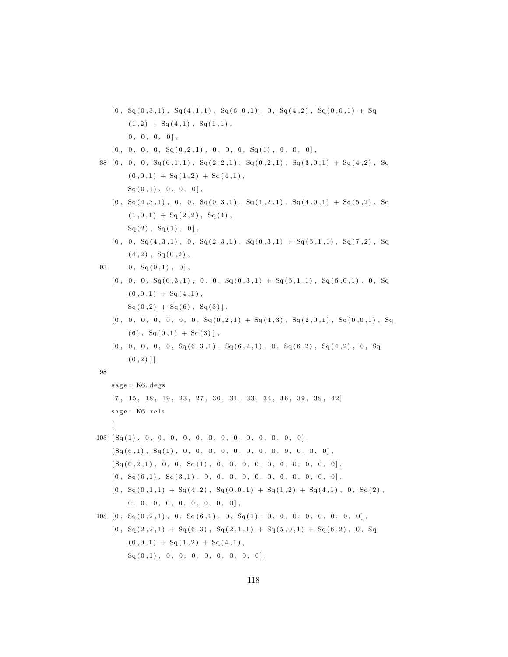$[0, \, S_q(0,3,1), \, S_q(4,1,1), \, S_q(6,0,1), \, 0, \, S_q(4,2), \, S_q(0,0,1) + S_q$  $(1,2) + Sq(4,1), Sq(1,1),$  $0\ ,\quad 0\ ,\quad 0\ ,\quad 0\ ]\ ,$  $[0\ ,\ 0\ ,\ 0\ ,\ 0\ ,\ 0\ ,\ {\rm Sq}\,( \,0\ , 2\ , 1\ )\ ,\ 0\ ,\ 0\ ,\ 0\ ,\ {\rm Sq}\,( \,1\ )\ ,\ 0\ ,\ 0\ ,\ 0]\ ,$ 88  $[0, 0, 0, S<sub>q</sub>(6, 1, 1), S<sub>q</sub>(2, 2, 1), S<sub>q</sub>(0, 2, 1), S<sub>q</sub>(3, 0, 1) + S<sub>q</sub>(4, 2), S<sub>q</sub>($  $(0, 0, 1) + Sq(1, 2) + Sq(4, 1),$  $Sq(0,1), 0, 0, 0$ ],  $[0, \, S_q(4,3,1), \, 0, \, 0, \, S_q(0,3,1), \, S_q(1,2,1), \, S_q(4,0,1) + S_q(5,2), \, S_q$  $(1, 0, 1) + Sq(2, 2), Sq(4),$  $Sq(2)$ ,  $Sq(1)$ ,  $0]$ ,  $[0, 0, S<sub>q</sub>(4, 3, 1), 0, S<sub>q</sub>(2, 3, 1), S<sub>q</sub>(0, 3, 1) + S<sub>q</sub>(6, 1, 1), S<sub>q</sub>(7, 2), S<sub>q</sub>$  $(4, 2)$ ,  $Sq(0, 2)$ , 93 0,  $Sq(0,1)$ , 0],  $[0\,,\hspace{0.15cm}0\,,\hspace{0.15cm}0\,,\hspace{0.15cm}Sq\hspace{0.05cm}(6\,,3\,,1)\hspace{0.15cm},\hspace{0.15cm}0\,,\hspace{0.15cm}Sq\hspace{0.05cm}(0\,,3\,,1)\hspace{0.15cm}+\hspace{0.15cm}Sq\hspace{0.05cm}(6\,,1\,,1)\hspace{0.15cm},\hspace{0.15cm}Sq\hspace{0.05cm}(6\,,0\,,1)\hspace{0.15cm},\hspace{0.15cm}0\,,\hspace{0.15$  $(0,0,1) + Sq(4,1)$ ,  $Sq(0,2) + Sq(6), Sq(3)],$  $[0, 0, 0, 0, 0, 0, 0, 0, S<sub>q</sub>(0, 2, 1) + S<sub>q</sub>(4, 3), S<sub>q</sub>(2, 0, 1), S<sub>q</sub>(0, 0, 1), S<sub>q</sub>(0, 0, 1)]$  $(6)$ ,  $Sq(0,1) + Sq(3)$ ,  $[0, 0, 0, 0, 0, S<sub>q</sub>(6,3,1), S<sub>q</sub>(6,2,1), 0, S<sub>q</sub>(6,2), S<sub>q</sub>(4,2), 0, S<sub>q</sub>]$  $(0, 2)$ ] 98 sage: K6. degs  $[7, 15, 18, 19, 23, 27, 30, 31, 33, 34, 36, 39, 39, 42]$ sage: K6. rels  $\sqrt{2}$ 103 [ Sq ( 1 ) , 0 , 0 , 0 , 0 , 0 , 0 , 0 , 0 , 0 , 0 , 0 , 0 , 0 ] ,  $[Sq (6,1), Sq (1), 0, 0, 0, 0, 0, 0, 0, 0, 0, 0, 0, 0]$  $[Sq(0, 2, 1), 0, 0, Sq(1), 0, 0, 0, 0, 0, 0, 0, 0, 0, 0],$ [ 0 , Sq ( 6 , 1 ) , Sq ( 3 , 1 ) , 0 , 0 , 0 , 0 , 0 , 0 , 0 , 0 , 0 , 0 , 0 ] ,  $[0, \, S_q(0,1,1) + S_q(4,2), \, S_q(0,0,1) + S_q(1,2) + S_q(4,1), \, 0, \, S_q(2),$  $0, 0, 0, 0, 0, 0, 0, 0, 0, 0]$  $108 [0, Sq(0, 2, 1), 0, Sq(6, 1), 0, Sq(1), 0, 0, 0, 0, 0, 0, 0]$ ,  $[0, \, Sq(2,2,1) + Sq(6,3), \, Sq(2,1,1) + Sq(5,0,1) + Sq(6,2), \, 0, \, Sq$  $(0, 0, 1) + Sq(1, 2) + Sq(4, 1),$  $Sq(0,1)$ , 0, 0, 0, 0, 0, 0, 0, 0],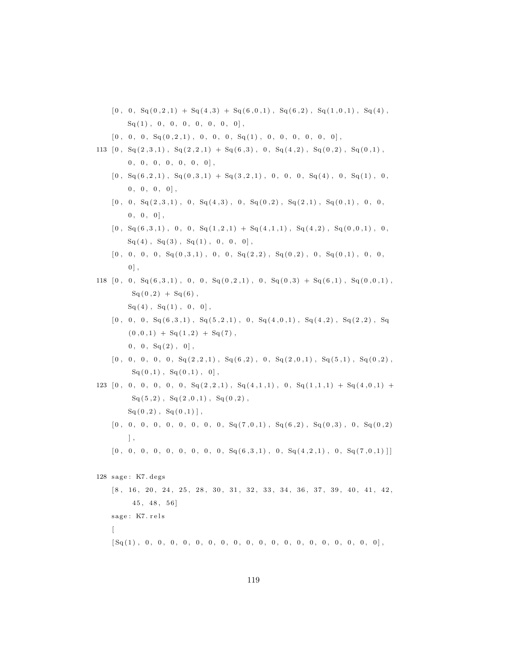- $[0, 0, S<sub>q</sub>(0, 2, 1) + S<sub>q</sub>(4, 3) + S<sub>q</sub>(6, 0, 1), S<sub>q</sub>(6, 2), S<sub>q</sub>(1, 0, 1), S<sub>q</sub>(4),$  $Sq(1)$ , 0, 0, 0, 0, 0, 0, 0],
- $[\,0\,,\;\;0\,,\;\;0\,,\;\;{\rm Sq}\,(0\,,2\,,1)\;,\;\;0\,,\;\;0\,,\;\;0\,,\;\;{\rm Sq}\,(1)\;,\;\;0\,,\;\;0\,,\;\;0\,,\;\;0\,,\;\;0\,,\;\;0\,]\;,$
- $113 \ \left[0 \, , \ \ \mathrm{Sq}\left( 2\, , 3\, , 1 \right) \, , \ \ \mathrm{Sq}\left( 2\, , 2\, , 1 \right) \; + \ \mathrm{Sq}\left( 6\, , 3 \right) \, , \ \ 0 \, , \ \ \mathrm{Sq}\left( 4\, , 2 \right) \, , \ \ \mathrm{Sq}\left( 0\, , 2 \right) \, , \ \ \mathrm{Sq}\left( 0\, , 1 \right) \, ,$  $0, 0, 0, 0, 0, 0, 0, 0$ 
	- $[0, S<sub>q</sub>(6, 2, 1), S<sub>q</sub>(0, 3, 1) + S<sub>q</sub>(3, 2, 1), 0, 0, 0, S<sub>q</sub>(4), 0, S<sub>q</sub>(1), 0,$  $0, 0, 0, 0$ ],
	- $[0, 0, S<sub>q</sub>(2,3,1), 0, S<sub>q</sub>(4,3), 0, S<sub>q</sub>(0,2), S<sub>q</sub>(2,1), S<sub>q</sub>(0,1), 0, 0,$  $0, 0, 0$ ,
	- $[0, \, Sq(6,3,1), \, 0, \, 0, \, Sq(1,2,1) + Sq(4,1,1), \, Sq(4,2), \, Sq(0,0,1), \, 0,$  $Sq(4)$ ,  $Sq(3)$ ,  $Sq(1)$ , 0, 0, 0],
	- $[ \,0\,,\;\;0\,,\;\;0\,,\;\;0\,,\;\;{\rm Sq}\left( \,0\,,3\,,1 \right) \,,\;\;0\,,\;\;{\rm Sq}\left( \,2\,,2 \right) \,,\;\;{\rm Sq}\left( \,0\,,2 \right) \,,\;\;0\,,\;\;{\rm Sq}\left( \,0\,,1 \right) \,,\;\;0\,,\;\;0\,,$  $0$ ],
- $118 \begin{array}{l} \!\!\!\!\! \left[ \,0 \;,\;\; 0 \;,\;\; {\rm Sq} \left( \,6 \;,\; 3 \;,\; 1 \, \right) \;,\;\; 0 \;,\;\; {\rm Sq} \left( \,0 \;,\; 2 \;,\; 1 \, \right) \;,\;\; 0 \;,\;\; {\rm Sq} \left( \,0 \;,\; 3 \, \right) \;+\; {\rm Sq} \left( \,6 \;,\; 1 \, \right) \;,\;\; {\rm Sq} \left( \,0 \;,\; 0 \;,\; 1 \, \right) \,, \end{array} \right.$  $Sq(0,2) + Sq(6)$ ,  $Sq(4)$ ,  $Sq(1)$ ,  $0$ ,  $0$ ],
	- $[0\,,\phantom{0}0,\phantom{0}0,\phantom{0}8q(6\,,3\,,1)\phantom{,},\phantom{0}8q(5\,,2\,,1)\phantom{,},\phantom{0}0,\phantom{0}8q(4\,,0\,,1)\phantom{,},\phantom{0}8q(4\,,2)\phantom{,},\phantom{0}8q(2\,,2)\phantom{,},\phantom{0}8q$  $(0\, ,0\, ,1)\,\, + \,\, {\mathop{\mathrm{Sq}}}(1\, ,2)\,\, + \,\, {\mathop{\mathrm{Sq}}}(7) \,\, ,$  $0, 0, S<sub>q</sub>(2), 0$ ,
	- $[ \,0\,,\;\;0\,,\;\;0\,,\;\;0\,,\;\;0\,,\;S q \, (2\,,2\,,1) \;, \;\,S q \, (6\,,2) \;, \;\;0\,,\;\;S q \, (2\,,0\,,1) \;, \;\,S q \, (5\,,1) \;, \;\,S q \, (0\,,2) \;,$  $\text{Sq}(0,1)$ ,  $\text{Sq}(0,1)$ ,  $0$ ,
- $123 \mid 0, 0, 0, 0, 0, 0, S<sub>q</sub>(2, 2, 1), S<sub>q</sub>(4, 1, 1), 0, S<sub>q</sub>(1, 1, 1) + S<sub>q</sub>(4, 0, 1) +$  $Sq(5,2)$ ,  $Sq(2,0,1)$ ,  $Sq(0,2)$ ,  $\text{Sq}(0,2)$ ,  $\text{Sq}(0,1)$ ,
	- $[0\,,\hspace{0.2cm}0\,,\hspace{0.2cm}0\,,\hspace{0.2cm}0\,,\hspace{0.2cm}0\,,\hspace{0.2cm}0\,,\hspace{0.2cm}0\,,\hspace{0.2cm}0\,,\hspace{0.2cm}0\,,\hspace{0.2cm}S q(7\,,0\,,1)\,,\hspace{0.2cm}S q(6\,,2)\,,\hspace{0.2cm}S q(0\,,3)\,,\hspace{0.2cm}0\,,\hspace{0.2cm}S q(0\,,2)\,$ ] ,
	- $[0, 0, 0, 0, 0, 0, 0, 0, 0, 0, 0, \text{Sq}(6,3,1), 0, \text{Sq}(4,2,1), 0, \text{Sq}(7,0,1)]$

#### 128 sage: K7. degs

 $\begin{array}{ccccccccc} \n8 & 16 & 20 & 24 & 25 & 28 & 30 & 31 & 32 & 33 & 34 & 36 & 37 & 39 & 40 & 41 & 42 \n\end{array}$  $45, 48, 56$ sage: K7. rels  $\sqrt{2}$ [ Sq ( 1 ) , 0 , 0 , 0 , 0 , 0 , 0 , 0 , 0 , 0 , 0 , 0 , 0 , 0 , 0 , 0 , 0 , 0 , 0 , 0 ] ,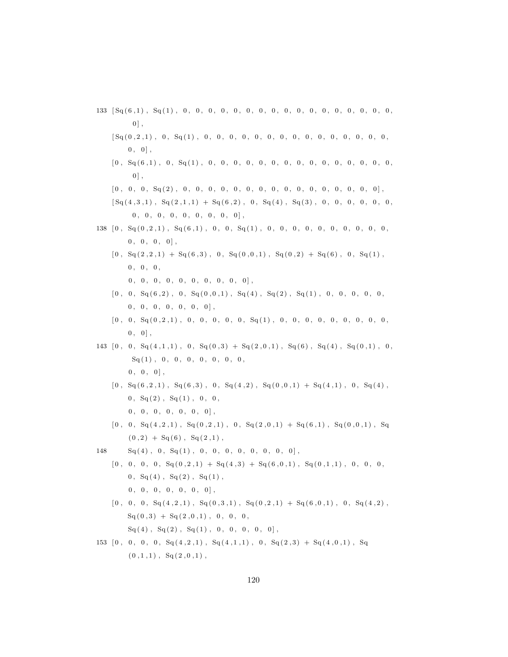$133 \quad \lceil \text{Sq}(6,1) \rceil, \quad \text{Sq}(1) \rceil, \quad 0 \rceil, \quad 0 \rceil, \quad 0 \rceil, \quad 0 \rceil, \quad 0 \rceil, \quad 0 \rceil, \quad 0 \rceil, \quad 0 \rceil, \quad 0 \rceil, \quad 0 \rceil, \quad 0 \rceil, \quad 0 \rceil, \quad 0 \rceil, \quad 0 \rceil, \quad 0 \rceil, \quad 0 \rceil, \quad 0 \rceil, \quad 0 \rceil, \quad 0 \rceil, \quad 0 \rceil, \quad 0 \rceil, \quad 0 \rceil, \quad 0 \rceil, \quad$  $0$ ],  $[\, {\rm Sq}\, ( \, 0 \, , \, 2 \, , \, 1 \, ) \,\, , \,\,\, \, 0 \,\, , \,\,\, {\rm Sq}\, ( \, 1 \, ) \,\, , \,\,\, \, 0 \,\, , \,\,\, \, 0 \,\, , \,\,\, \, 0 \,\, , \,\,\, \, 0 \,\, , \,\,\, \, 0 \,\, , \,\,\, \, 0 \,\, , \,\,\, \, 0 \,\, , \,\,\, \, 0 \,\, , \,\,\, \, 0 \,\, , \,\,\, \, 0 \,\, , \,\,\, \, 0 \,\, , \,\,\, \, 0 \,\, , \,\,\, \, 0 \,\$  $0, 0$ , [ 0 , Sq ( 6 , 1 ) , 0 , Sq ( 1 ) , 0 , 0 , 0 , 0 , 0 , 0 , 0 , 0 , 0 , 0 , 0 , 0 , 0 , 0 , 0 ,  $0$ ], [ 0 , 0 , 0 , Sq ( 2 ) , 0 , 0 , 0 , 0 , 0 , 0 , 0 , 0 , 0 , 0 , 0 , 0 , 0 , 0 , 0 , 0 ] ,  $[\operatorname{Sq}(4,3,1), \operatorname{Sq}(2,1,1) + \operatorname{Sq}(6,2), 0, \operatorname{Sq}(4), \operatorname{Sq}(3), 0, 0, 0, 0, 0, 0]$  $0, 0, 0, 0, 0, 0, 0, 0, 0, 0]$ 138 [ 0 , Sq ( 0 , 2 , 1 ) , Sq ( 6 , 1 ) , 0 , 0 , Sq ( 1 ) , 0 , 0 , 0 , 0 , 0 , 0 , 0 , 0 , 0 , 0 ,  $0, 0, 0, 0$ ],  $[ \,0\,,\;\; {\rm Sq} \,( \,2\,, 2\,, 1)\; +\; {\rm Sq} \,( \,6\,, 3)\;, \;\; 0\,,\;\; {\rm Sq} \,( \,0\,, 0\,, 1)\;, \;\; {\rm Sq} \,( \,0\,, 2)\; +\; {\rm Sq} \,( \,6\,) \;, \;\; 0\,,\;\; {\rm Sq} \,( \,1)\;,$  $0, 0, 0,$ 0 , 0 , 0 , 0 , 0 , 0 , 0 , 0 , 0 , 0 ] ,  $[ \,0\,,\;\;0\,,\;\; {\rm Sq} \, (6\,,2)\;, \;\;0\,,\;\; {\rm Sq} \, (0\,,0\,,1)\;, \;\; {\rm Sq} \, (4)\;, \;\; {\rm Sq} \, (2)\;, \;\; {\rm Sq} \, (1)\;, \;\;0\,,\;\;0\,,\;\;0\,,\;\;0\,, \;\;0\,,$  $0, 0, 0, 0, 0, 0, 0]$ , [ 0 , 0 , Sq ( 0 , 2 , 1 ) , 0 , 0 , 0 , 0 , 0 , Sq ( 1 ) , 0 , 0 , 0 , 0 , 0 , 0 , 0 , 0 , 0 ,  $0, 0$ , 143  $[0, 0, Sq(4,1,1), 0, Sq(0,3) + Sq(2,0,1), Sq(6), Sq(4), Sq(0,1), 0,$  $Sq(1)$ , 0, 0, 0, 0, 0, 0, 0,  $0, 0, 0$ ,  $[0, \, S_q(6, 2, 1), \, S_q(6, 3), \, 0, \, S_q(4, 2), \, S_q(0, 0, 1) + S_q(4, 1), \, 0, \, S_q(4),$  $0, \, Sq(2), Sq(1), 0, 0,$  $0, 0, 0, 0, 0, 0, 0]$  $[0, 0, S<sub>q</sub>(4, 2, 1), S<sub>q</sub>(0, 2, 1), 0, S<sub>q</sub>(2, 0, 1) + S<sub>q</sub>(6, 1), S<sub>q</sub>(0, 0, 1), S<sub>q</sub>(0, 0, 1)]$  $(0,2) + Sq(6), Sq(2,1),$  $148$   $\text{Sq}(4)$ , 0,  $\text{Sq}(1)$ , 0, 0, 0, 0, 0, 0, 0, 0],  $[0, 0, 0, 0, S<sub>q</sub>(0, 2, 1) + S<sub>q</sub>(4, 3) + S<sub>q</sub>(6, 0, 1), S<sub>q</sub>(0, 1, 1), 0, 0, 0,$  $0, Sq(4), Sq(2), Sq(1),$  $0, 0, 0, 0, 0, 0, 0]$  $[0, 0, 0, S<sub>q</sub>(4, 2, 1), S<sub>q</sub>(0, 3, 1), S<sub>q</sub>(0, 2, 1) + S<sub>q</sub>(6, 0, 1), 0, S<sub>q</sub>(4, 2),$  $Sq(0,3) + Sq(2,0,1), 0, 0, 0,$  $Sq(4)$ ,  $Sq(2)$ ,  $Sq(1)$ , 0, 0, 0, 0, 0], 153  $[0, 0, 0, 0, Sq(4,2,1), Sq(4,1,1), 0, Sq(2,3) + Sq(4,0,1), Sq$  $(0, 1, 1)$ ,  $Sq(2, 0, 1)$ ,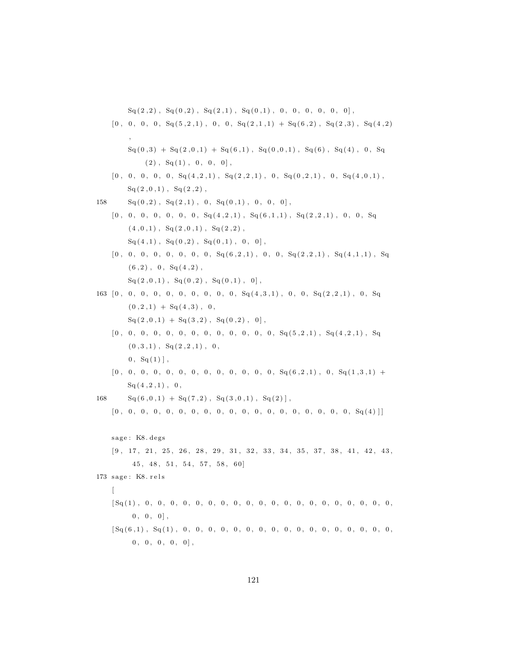${\rm Sq}\, (\, 2 \, , \, 2 \, ) \,\, , \,\, \,{\rm Sq}\, (\, 0 \, , \, 2 \, ) \,\, , \,\, \,{\rm Sq}\, (\, 2 \, , \, 1 \, ) \,\, , \,\, \,{\rm Sq}\, (\, 0 \, , \, 1 \, ) \,\, , \,\, \, 0 \, , \,\, \, 0 \, , \,\, \, 0 \, , \,\, \, 0 \, , \,\, \, 0 \, , \,\, \, 0 \, , \,\, \, 0 \, , \,\, \, 0 \, , \,\, \, 0 \, , \,\, \, 0 \, , \,\, \, 0 \, , \,\,$ 

[ 0 , 0 , 0 , 0 , Sq ( 5 , 2 , 1 ) , 0 , 0 , Sq ( 2 , 1 , 1 ) + Sq ( 6 , 2 ) , Sq ( 2 , 3 ) , Sq ( 4 , 2 ) , Sq ( 0 , 3 ) + Sq ( 2 , 0 , 1 ) + Sq ( 6 , 1 ) , Sq ( 0 , 0 , 1 ) , Sq ( 6 ) , Sq ( 4 ) , 0 , Sq ( 2 ) , Sq ( 1 ) , 0 , 0 , 0 ] , [ 0 , 0 , 0 , 0 , 0 , Sq ( 4 , 2 , 1 ) , Sq ( 2 , 2 , 1 ) , 0 , Sq ( 0 , 2 , 1 ) , 0 , Sq ( 4 , 0 , 1 ) , Sq ( 2 , 0 , 1 ) , Sq ( 2 , 2 ) , 158 Sq ( 0 , 2 ) , Sq ( 2 , 1 ) , 0 , Sq ( 0 , 1 ) , 0 , 0 , 0 ] , [ 0 , 0 , 0 , 0 , 0 , 0 , 0 , Sq ( 4 , 2 , 1 ) , Sq ( 6 , 1 , 1 ) , Sq ( 2 , 2 , 1 ) , 0 , 0 , Sq ( 4 , 0 , 1 ) , Sq ( 2 , 0 , 1 ) , Sq ( 2 , 2 ) , Sq ( 4 , 1 ) , Sq ( 0 , 2 ) , Sq ( 0 , 1 ) , 0 , 0 ] , [ 0 , 0 , 0 , 0 , 0 , 0 , 0 , 0 , Sq ( 6 , 2 , 1 ) , 0 , 0 , Sq ( 2 , 2 , 1 ) , Sq ( 4 , 1 , 1 ) , Sq ( 6 , 2 ) , 0 , Sq ( 4 , 2 ) , Sq ( 2 , 0 , 1 ) , Sq ( 0 , 2 ) , Sq ( 0 , 1 ) , 0 ] , 163 [ 0 , 0 , 0 , 0 , 0 , 0 , 0 , 0 , 0 , 0 , Sq ( 4 , 3 , 1 ) , 0 , 0 , Sq ( 2 , 2 , 1 ) , 0 , Sq ( 0 , 2 , 1 ) + Sq ( 4 , 3 ) , 0 , Sq ( 2 , 0 , 1 ) + Sq ( 3 , 2 ) , Sq ( 0 , 2 ) , 0 ] , [ 0 , 0 , 0 , 0 , 0 , 0 , 0 , 0 , 0 , 0 , 0 , 0 , 0 , Sq ( 5 , 2 , 1 ) , Sq ( 4 , 2 , 1 ) , Sq ( 0 , 3 , 1 ) , Sq ( 2 , 2 , 1 ) , 0 , 0 , Sq ( 1 ) ] , [ 0 , 0 , 0 , 0 , 0 , 0 , 0 , 0 , 0 , 0 , 0 , 0 , 0 , Sq ( 6 , 2 , 1 ) , 0 , Sq ( 1 , 3 , 1 ) + Sq ( 4 , 2 , 1 ) , 0 , 168 Sq ( 6 , 0 , 1 ) + Sq ( 7 , 2 ) , Sq ( 3 , 0 , 1 ) , Sq ( 2 ) ] , [ 0 , 0 , 0 , 0 , 0 , 0 , 0 , 0 , 0 , 0 , 0 , 0 , 0 , 0 , 0 , 0 , 0 , 0 , 0 , Sq ( 4 ) ] ] s a g e : K8. de g s [ 9 , 1 7 , 2 1 , 2 5 , 2 6 , 2 8 , 2 9 , 3 1 , 3 2 , 3 3 , 3 4 , 3 5 , 3 7 , 3 8 , 4 1 , 4 2 , 4 3 , 4 5 , 4 8 , 5 1 , 5 4 , 5 7 , 5 8 , 6 0] 173 s a g e : K8. r e l s [ [ Sq ( 1 ) , 0 , 0 , 0 , 0 , 0 , 0 , 0 , 0 , 0 , 0 , 0 , 0 , 0 , 0 , 0 , 0 , 0 , 0 , 0 , 0 , 0 , 0 , 0 ] , [ Sq ( 6 , 1 ) , Sq ( 1 ) , 0 , 0 , 0 , 0 , 0 , 0 , 0 , 0 , 0 , 0 , 0 , 0 , 0 , 0 , 0 , 0 , 0 , 0 , 0 , 0 , 0 , 0 ] ,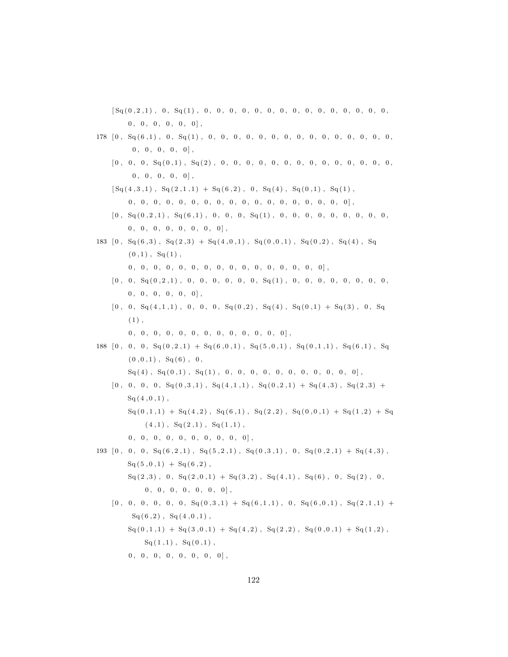[ Sq ( 0 , 2 , 1 ) , 0 , Sq ( 1 ) , 0 , 0 , 0 , 0 , 0 , 0 , 0 , 0 , 0 , 0 , 0 , 0 , 0 , 0 , 0 ,  $\begin{bmatrix} 0 \ , \ 0 \ , \ 0 \ , \ 0 \ , \ 0 \ , \ 0 \ , \ 0 \ , \ 0 \ \end{bmatrix},$ 

- 178 [ 0 , Sq ( 6 , 1 ) , 0 , Sq ( 1 ) , 0 , 0 , 0 , 0 , 0 , 0 , 0 , 0 , 0 , 0 , 0 , 0 , 0 , 0 , 0 ,  $0, 0, 0, 0, 0]$ ,
	- [ 0 , 0 , 0 , Sq ( 0 , 1 ) , Sq ( 2 ) , 0 , 0 , 0 , 0 , 0 , 0 , 0 , 0 , 0 , 0 , 0 , 0 , 0 , 0 ,  $0, 0, 0, 0, 0]$ ,

 $[\text{Sq}(4,3,1), \text{Sq}(2,1,1) + \text{Sq}(6,2), 0, \text{Sq}(4), \text{Sq}(0,1), \text{Sq}(1),$ 

- 0 , 0 , 0 , 0 , 0 , 0 , 0 , 0 , 0 , 0 , 0 , 0 , 0 , 0 , 0 , 0 , 0 , 0 ] ,
- [ 0 , Sq ( 0 , 2 , 1 ) , Sq ( 6 , 1 ) , 0 , 0 , 0 , Sq ( 1 ) , 0 , 0 , 0 , 0 , 0 , 0 , 0 , 0 , 0 ,  $0, 0, 0, 0, 0, 0, 0, 0, 0]$

183  $[0, Sq(6,3), Sq(2,3) + Sq(4,0,1), Sq(0,0,1), Sq(0,2), Sq(4), Sq$  $(0,1)$ ,  $Sq(1)$ , 0 , 0 , 0 , 0 , 0 , 0 , 0 , 0 , 0 , 0 , 0 , 0 , 0 , 0 , 0 , 0 ] ,

- $[ \hskip-6.5pt [ 0 \, , \hskip 6.5pt 0 \, , \hskip 6.5pt \end{array} \hskip-6.5pt \begin{array}{l} \hskip-6.5pt \text{\rm G} \hskip-6.5pt \text{\rm G} \hskip-6.5pt \text{\rm G} \hskip-6.5pt \text{\rm G} \hskip-6.5pt \text{\rm G} \hskip-6.5pt \text{\rm G} \hskip-6.5pt \text{\rm G} \hskip-6.5pt \text{\rm G} \hskip-6.5pt \text{\rm G} \hskip-6.5pt \text{\rm G} \hskip-6.5pt \text{\rm G} \hskip-6.5pt \text$  $\begin{array}{cccc} 0 \,, & 0 \,, & 0 \,, & 0 \,, & 0 \,, & 0 \end{array} \, , \quad \begin{array}{cccc} \end{array} \, .$
- $[0, 0, Sq(4,1,1), 0, 0, 0, Sq(0,2), Sq(4), Sq(0,1) + Sq(3), 0, Sq(4)]$  $(1)$ ,
	- 0 , 0 , 0 , 0 , 0 , 0 , 0 , 0 , 0 , 0 , 0 , 0 , 0 ] ,
- 188  $[0, 0, 0, S<sub>q</sub>(0, 2, 1) + S<sub>q</sub>(6, 0, 1), S<sub>q</sub>(5, 0, 1), S<sub>q</sub>(0, 1, 1), S<sub>q</sub>(6, 1), S<sub>q</sub>(6, 1, 1)]$  $(0, 0, 1)$ , Sq $(6)$ , 0,
	- $Sq(4)$ ,  $Sq(0,1)$ ,  $Sq(1)$ , 0, 0, 0, 0, 0, 0, 0, 0, 0, 0, 0],
	- $[0, 0, 0, 0, S<sub>q</sub>(0, 3, 1), S<sub>q</sub>(4, 1, 1), S<sub>q</sub>(0, 2, 1) + S<sub>q</sub>(4, 3), S<sub>q</sub>(2, 3) +$  $Sq(4, 0, 1)$ ,
		- $Sq(0,1,1) + Sq(4,2)$ ,  $Sq(6,1)$ ,  $Sq(2,2)$ ,  $Sq(0,0,1) + Sq(1,2) + Sq$  $(4,1)$ ,  $Sq(2,1)$ ,  $Sq(1,1)$ ,
		- $0, 0, 0, 0, 0, 0, 0, 0, 0, 0, 0]$
- 193  $[0, 0, 0, S_q(6, 2, 1), S_q(5, 2, 1), S_q(0, 3, 1), 0, S_q(0, 2, 1) + S_q(4, 3),$  $Sq(5,0,1) + Sq(6,2)$ ,  $Sq(2,3)$ , 0,  $Sq(2,0,1) + Sq(3,2)$ ,  $Sq(4,1)$ ,  $Sq(6)$ , 0,  $Sq(2)$ , 0,  $0, 0, 0, 0, 0, 0, 0, 0$

 $[0, 0, 0, 0, 0, 0, 0, \text{Sq}(0,3,1) + \text{Sq}(6,1,1), 0, \text{Sq}(6,0,1), \text{Sq}(2,1,1) +$  $Sq(6,2), Sq(4,0,1),$  $Sq(0,1,1) + Sq(3,0,1) + Sq(4,2)$ ,  $Sq(2,2)$ ,  $Sq(0,0,1) + Sq(1,2)$ ,  $Sq(1,1), Sq(0,1),$  $0, 0, 0, 0, 0, 0, 0, 0, 0]$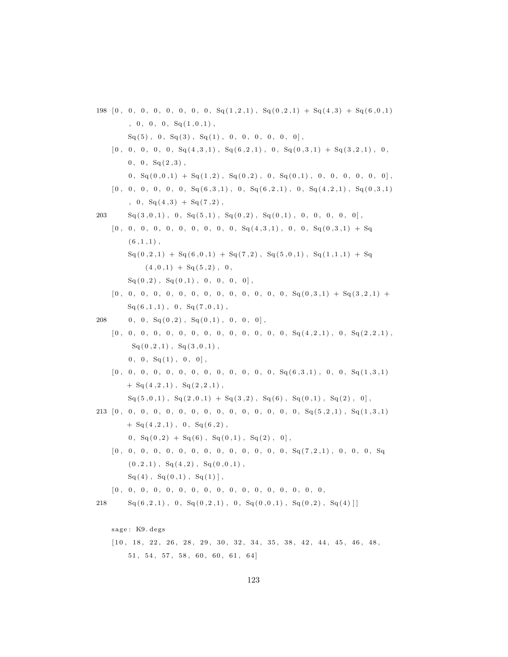- 198  $[0, 0, 0, 0, 0, 0, 0, 0, 0, S<sub>q</sub>(1, 2, 1), S<sub>q</sub>(0, 2, 1) + S<sub>q</sub>(4, 3) + S<sub>q</sub>(6, 0, 1)$ , 0, 0, 0,  $Sq(1,0,1)$ ,  $Sq(5)$ , 0,  $Sq(3)$ ,  $Sq(1)$ , 0, 0, 0, 0, 0, 0],  $[0\,,\phantom{0}0,\phantom{0}0,\phantom{0}0,\phantom{0}0,\phantom{0}Sq(4\,,3\,,1)\phantom{,},\phantom{S}Sq(6\,,2\,,1)\phantom{,},\phantom{S}0,\phantom{S}Sq(0\,,3\,,1)\phantom{,}+\phantom{S}Sq(3\,,2\,,1)\phantom{,},\phantom{S}0\,,$  $0, 0, Sq(2,3)$ ,  $0, \, S_q(0,0,1) + S_q(1,2), \, S_q(0,2), \, 0, \, S_q(0,1), \, 0, \, 0, \, 0, \, 0, \, 0, \, 0]$  $[0, 0, 0, 0, 0, 0, 0, \text{Sq}(6,3,1), 0, \text{Sq}(6,2,1), 0, \text{Sq}(4,2,1), \text{Sq}(0,3,1)]$  $, 0, Sq(4,3) + Sq(7,2)$  $203 \text{ }$   $\text{Sq}(3,0,1)$ , 0,  $\text{Sq}(5,1)$ ,  $\text{Sq}(0,2)$ ,  $\text{Sq}(0,1)$ , 0, 0, 0, 0, 0],  $[0, 0, 0, 0, 0, 0, 0, 0, 0, 0, 0, 0, \text{Sq}(4,3,1), 0, 0, \text{Sq}(0,3,1) + \text{Sq}(0,3,1)$  $(6, 1, 1)$ ,  ${\bf Sq} \, ( \, 0 \, , 2 \, , 1 \, )\,\, + \,\, {\bf Sq} \, ( \, 6 \, , 0 \, , 1 \, )\,\, + \,\, {\bf Sq} \, ( \, 7 \, , 2 \, )\,\, , \,\, \,{\bf Sq} \, ( \, 5 \, , 0 \, , 1 \, )\,\, , \,\, \,{\bf Sq} \, ( \, 1 \, , 1 \, , 1 \, )\,\, + \,\, {\bf Sq}$  $(4, 0, 1) + Sq(5, 2), 0,$  ${\rm Sq}\, (\,0\ , 2\,) \ , \ {\rm Sq}\, (\,0\ , 1\,) \ , \ \ 0\ , \ \ 0\ , \ \ 0\ , \ \ 0\, ] \ ,$ [ 0 , 0 , 0 , 0 , 0 , 0 , 0 , 0 , 0 , 0 , 0 , 0 , 0 , 0 , Sq ( 0 , 3 , 1 ) + Sq ( 3 , 2 , 1 ) +  $Sq(6,1,1)$ , 0,  $Sq(7,0,1)$ , 208 0, 0,  $Sq(0,2)$ ,  $Sq(0,1)$ , 0, 0, 0],  $[ \,0\,,\;\;0\,,\;\;0\,,\;\;0\,,\;\;0\,,\;\;0\,,\;\;0\,,\;\;0\,,\;\;0\,,\;\;0\,,\;\;0\,,\;\;0\,,\;\;0\,,\;\;0\,,\;\;S q \, ( \,4\,, \,2\,, \,1\,) \,\,,\;\;0\,,\;\;S q \, ( \,2\,, \,2\,, \,1\,) \,\,,$  $Sq(0, 2, 1), Sq(3, 0, 1),$  $0, 0, S<sub>q</sub>(1), 0, 0$ , [ 0 , 0 , 0 , 0 , 0 , 0 , 0 , 0 , 0 , 0 , 0 , 0 , 0 , Sq ( 6 , 3 , 1 ) , 0 , 0 , Sq ( 1 , 3 , 1 )  $+ Sq(4,2,1)$ ,  $Sq(2,2,1)$ ,  $Sq(5,0,1)$ ,  $Sq(2,0,1) + Sq(3,2)$ ,  $Sq(6)$ ,  $Sq(0,1)$ ,  $Sq(2)$ , 0], 213 [ 0 , 0 , 0 , 0 , 0 , 0 , 0 , 0 , 0 , 0 , 0 , 0 , 0 , 0 , 0 , Sq ( 5 , 2 , 1 ) , Sq ( 1 , 3 , 1 )  $+$  Sq  $(4, 2, 1)$ , 0, Sq  $(6, 2)$ ,  $0, \, Sq(0,2) + Sq(6), \, Sq(0,1), Sq(2), 0],$ [ 0 , 0 , 0 , 0 , 0 , 0 , 0 , 0 , 0 , 0 , 0 , 0 , 0 , 0 , Sq ( 7 , 2 , 1 ) , 0 , 0 , 0 , Sq  $(0, 2, 1)$ ,  $Sq(4,2)$ ,  $Sq(0,0,1)$ ,  $Sq(4)$ ,  $Sq(0,1)$ ,  $Sq(1)$ , [ 0 , 0 , 0 , 0 , 0 , 0 , 0 , 0 , 0 , 0 , 0 , 0 , 0 , 0 , 0 , 0 , 0 ,  $218$   $\text{Sq}(6,2,1)$ , 0,  $\text{Sq}(0,2,1)$ , 0,  $\text{Sq}(0,0,1)$ ,  $\text{Sq}(0,2)$ ,  $\text{Sq}(4)$ sage: K9. degs
	- $[10, 18, 22, 26, 28, 29, 30, 32, 34, 35, 38, 42, 44, 45, 46, 48,$  $51, 54, 57, 58, 60, 60, 61, 64$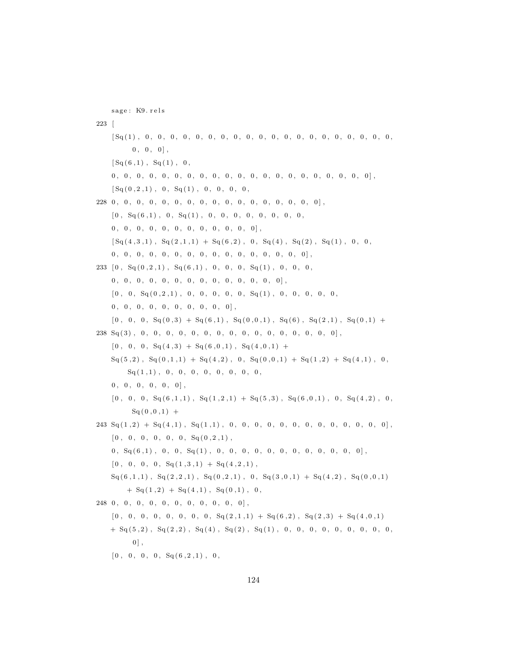sage: K9. rels 223 [ [ Sq ( 1 ) , 0 , 0 , 0 , 0 , 0 , 0 , 0 , 0 , 0 , 0 , 0 , 0 , 0 , 0 , 0 , 0 , 0 , 0 , 0 , 0 ,  $0, 0, 0$ ,  $[Sq(6,1), Sq(1), 0,$ 0 , 0 , 0 , 0 , 0 , 0 , 0 , 0 , 0 , 0 , 0 , 0 , 0 , 0 , 0 , 0 , 0 , 0 , 0 , 0 , 0 ] , [ Sq ( 0 , 2 , 1 ) , 0 , Sq ( 1 ) , 0 , 0 , 0 , 0 , 228 0 , 0 , 0 , 0 , 0 , 0 , 0 , 0 , 0 , 0 , 0 , 0 , 0 , 0 , 0 , 0 , 0 ] ,  $[0, Sq(6,1), 0, Sq(1), 0, 0, 0, 0, 0, 0, 0, 0, 0, 0]$  $0, 0, 0, 0, 0, 0, 0, 0, 0, 0, 0, 0, 0]$ ,  $[Sq(4,3,1), Sq(2,1,1) + Sq(6,2), 0, Sq(4), Sq(2), Sq(1), 0, 0,$ 0 , 0 , 0 , 0 , 0 , 0 , 0 , 0 , 0 , 0 , 0 , 0 , 0 , 0 , 0 , 0 ] , 233 [ 0 , Sq ( 0 , 2 , 1 ) , Sq ( 6 , 1 ) , 0 , 0 , 0 , Sq ( 1 ) , 0 , 0 , 0 , 0 , 0 , 0 , 0 , 0 , 0 , 0 , 0 , 0 , 0 , 0 , 0 , 0 , 0 ] , [ 0 , 0 , Sq ( 0 , 2 , 1 ) , 0 , 0 , 0 , 0 , 0 , Sq ( 1 ) , 0 , 0 , 0 , 0 , 0 ,  $0, 0, 0, 0, 0, 0, 0, 0, 0, 0, 0]$  $[0, 0, 0, S<sub>q</sub>(0,3) + S<sub>q</sub>(6,1), S<sub>q</sub>(0,0,1), S<sub>q</sub>(6), S<sub>q</sub>(2,1), S<sub>q</sub>(0,1) +$  $238\ \ \mathrm{Sq}\left( 3 \right) \, ,\ \ 0\, ,\ \ 0\, ,\ \ 0\, ,\ \ 0\, ,\ \ 0\, ,\ \ 0\, ,\ \ 0\, ,\ \ 0\, ,\ \ 0\, ,\ \ 0\, ,\ \ 0\, ,\ \ 0\, ,\ \ 0\, ,\ \ 0\, ,\ \ 0\, ,\ \ 0\, ,\ \ 0\, ,\ \ 0\, ,\ \ 0\, ,\ \ 0\, ,\ \ 0\, ,\ \ 0\, ,\ \ 0\, ,\ \ 0\, ,\ \ 0\, ,\ \ 0\, ,\ \ 0\, ,\ \ 0\, ,\ \ 0$  $[0\;,\;\;0\;,\;\;0,\;\;{\rm Sq}\left(\,4\;,3\,\right)\;+\;{\rm Sq}\left(\,6\;,\,0\;,\,1\,\right)\;,\;\;{\rm Sq}\left(\,4\;,\,0\;,\,1\,\right)\;+\;$  $\text{Sq}(5,2), \ \text{Sq}(0,1,1) + \text{Sq}(4,2), \ 0, \ \text{Sq}(0,0,1) + \text{Sq}(1,2) + \text{Sq}(4,1), \ 0,$  $Sq(1,1)$ , 0, 0, 0, 0, 0, 0, 0, 0, 0,  $0, 0, 0, 0, 0, 0]$ ,  $[0, 0, 0, S_q(6,1,1), S_q(1,2,1) + S_q(5,3), S_q(6,0,1), 0, S_q(4,2), 0,$  $Sq(0,0,1) +$ 243 Sq ( 1 , 2 ) + Sq ( 4 , 1 ) , Sq ( 1 , 1 ) , 0 , 0 , 0 , 0 , 0 , 0 , 0 , 0 , 0 , 0 , 0 , 0 , 0 ] ,  $[0, 0, 0, 0, 0, 0, 0, S<sub>q</sub>(0, 2, 1)$ , 0 , Sq ( 6 , 1 ) , 0 , 0 , Sq ( 1 ) , 0 , 0 , 0 , 0 , 0 , 0 , 0 , 0 , 0 , 0 , 0 , 0 ] ,  $[0, 0, 0, 0, S<sub>q</sub>(1, 3, 1) + S<sub>q</sub>(4, 2, 1)$ ,  $\text{Sq}(6,1,1)$ ,  $\text{Sq}(2,2,1)$ ,  $\text{Sq}(0,2,1)$ , 0,  $\text{Sq}(3,0,1)$  +  $\text{Sq}(4,2)$ ,  $\text{Sq}(0,0,1)$  $+ Sq(1,2) + Sq(4,1)$ ,  $Sq(0,1)$ , 0,  $248$  0, 0, 0, 0, 0, 0, 0, 0, 0, 0, 0],  $[0, 0, 0, 0, 0, 0, 0, 0, 0, 0, 5q(2,1,1) + Sq(6,2), Sq(2,3) + Sq(4,0,1)]$  $+ Sq(5,2)$ ,  $Sq(2,2)$ ,  $Sq(4)$ ,  $Sq(2)$ ,  $Sq(1)$ , 0, 0, 0, 0, 0, 0, 0, 0, 0, 0, 0,  $0$ ],  $[0, 0, 0, 0, S<sub>q</sub>(6, 2, 1), 0,$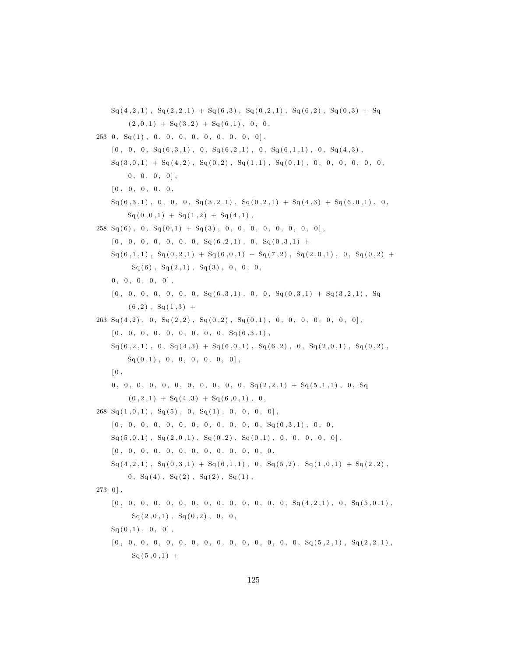$Sq(4,2,1)$ ,  $Sq(2,2,1) + Sq(6,3)$ ,  $Sq(0,2,1)$ ,  $Sq(6,2)$ ,  $Sq(0,3) + Sq$  $( 2\, , 0\, , 1 )\,\, + \,\, {\mathop{\mathrm{Sq}}\nolimits} ( \, 3\, , 2 )\,\, + \,\, {\mathop{\mathrm{Sq}}\nolimits} \, ( \, 6\, , 1 )\,\, , \,\,\, 0\, , \,\,\, 0\, ,$  $253$  0,  $Sq(1)$ , 0, 0, 0, 0, 0, 0, 0, 0, 0],  $[ \,0\ , \;\; 0\ , \;\; 0 , \;\; {\rm Sq \,} (6\ , 3\ , 1 )\ , \;\; 0 \,, \;\; {\rm Sq \,} (6\ , 2\ , 1 )\ , \;\; 0 \,, \;\; {\rm Sq \,} (6\ , 1\ , 1 )\ , \;\; 0 \,, \;\; {\rm Sq \,} (4\ , 3 )\ ,$  $Sq(3,0,1) + Sq(4,2), Sq(0,2), Sq(1,1), Sq(0,1), 0, 0, 0, 0, 0, 0, 0, 0, 0)$  $0, 0, 0, 0$ , [ 0 , 0 , 0 , 0 , 0 ,  $\text{Sq}(6,3,1)$ , 0, 0, 0,  $\text{Sq}(3,2,1)$ ,  $\text{Sq}(0,2,1) + \text{Sq}(4,3) + \text{Sq}(6,0,1)$ , 0,  $Sq(0,0,1) + Sq(1,2) + Sq(4,1)$  $258 \text{ Sq}(6)$ , 0,  $\text{Sq}(0,1) + \text{Sq}(3)$ , 0, 0, 0, 0, 0, 0, 0, 0],  $[0, 0, 0, 0, 0, 0, 0, 0, S<sub>q</sub>(6, 2, 1), 0, S<sub>q</sub>(0, 3, 1) +$  $Sq (6,1,1)$ ,  $Sq (0,2,1) + Sq (6,0,1) + Sq (7,2)$ ,  $Sq (2,0,1)$ , 0,  $Sq (0,2) +$  $Sq(6)$ ,  $Sq(2,1)$ ,  $Sq(3)$ , 0, 0, 0,  $0, 0, 0, 0, 0]$ ,  $[0, 0, 0, 0, 0, 0, 0, 0, S<sub>q</sub>(6, 3, 1), 0, 0, S<sub>q</sub>(0, 3, 1) + S<sub>q</sub>(3, 2, 1), S<sub>q</sub>]$  $(6, 2)$ , Sq $(1, 3)$  +  $263 \text{ Sq}(4,2)$ , 0,  $\text{Sq}(2,2)$ ,  $\text{Sq}(0,2)$ ,  $\text{Sq}(0,1)$ , 0, 0, 0, 0, 0, 0, 0, 0  $[ \,0\ ,\quad 0\ ,\quad 0\ ,\quad 0\ ,\quad 0\ ,\quad 0\ ,\quad 0\ ,\quad 0\ ,\quad 0\ ,\quad Sq\, (\,6\ ,3\ ,1)\ ,$  $Sq(6, 2, 1), 0, Sq(4, 3) + Sq(6, 0, 1), Sq(6, 2), 0, Sq(2, 0, 1), Sq(0, 2),$  $Sq( 0,1)$ , 0, 0, 0, 0, 0, 0],  $\begin{bmatrix} 0 \end{bmatrix}$  $0, 0, 0, 0, 0, 0, 0, 0, 0, 0, 0, 0, 0, \frac{sq(2,2,1) + sq(5,1,1), 0, sq(1,1)}{sq(2,2,1)}$  $(0, 2, 1) + Sq(4, 3) + Sq(6, 0, 1), 0,$  $268 \text{ Sq}(1,0,1)$ ,  $\text{Sq}(5)$ , 0,  $\text{Sq}(1)$ , 0, 0, 0, 0], [ 0 , 0 , 0 , 0 , 0 , 0 , 0 , 0 , 0 , 0 , 0 , 0 , Sq ( 0 , 3 , 1 ) , 0 , 0 ,  $Sq(5, 0, 1), Sq(2, 0, 1), Sq(0, 2), Sq(0, 1), 0, 0, 0, 0, 0],$ [ 0 , 0 , 0 , 0 , 0 , 0 , 0 , 0 , 0 , 0 , 0 , 0 , 0 ,  $\text{Sq}(4,2,1)$ ,  $\text{Sq}(0,3,1) + \text{Sq}(6,1,1)$ , 0,  $\text{Sq}(5,2)$ ,  $\text{Sq}(1,0,1) + \text{Sq}(2,2)$ ,  $0, Sq(4), Sq(2), Sq(2), Sq(1),$  $273$  0  $]$ , [ 0 , 0 , 0 , 0 , 0 , 0 , 0 , 0 , 0 , 0 , 0 , 0 , 0 , 0 , Sq ( 4 , 2 , 1 ) , 0 , Sq ( 5 , 0 , 1 ) ,  $Sq(2,0,1), Sq(0,2), 0, 0,$  $Sq(0,1), 0, 0$ , [ 0 , 0 , 0 , 0 , 0 , 0 , 0 , 0 , 0 , 0 , 0 , 0 , 0 , 0 , 0 , Sq ( 5 , 2 , 1 ) , Sq ( 2 , 2 , 1 ) ,  $Sq(5,0,1) +$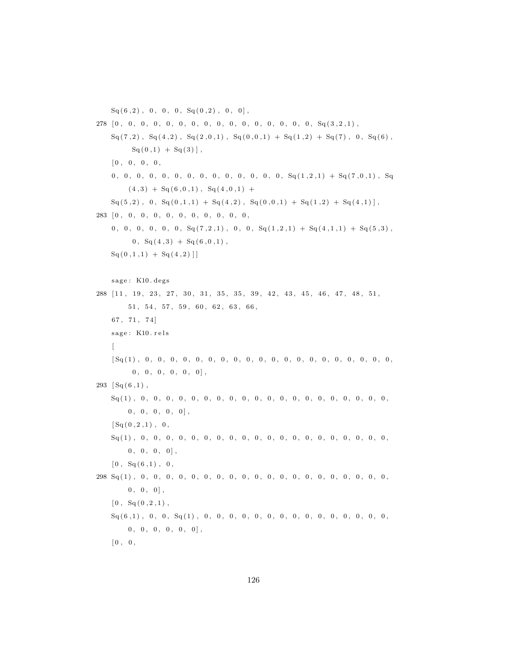$Sq(6,2)$ , 0, 0, 0,  $Sq(0,2)$ , 0, 0],

278 [ 0 , 0 , 0 , 0 , 0 , 0 , 0 , 0 , 0 , 0 , 0 , 0 , 0 , 0 , 0 , 0 , Sq ( 3 , 2 , 1 ) ,  $Sq(7,2)$ ,  $Sq(4,2)$ ,  $Sq(2,0,1)$ ,  $Sq(0,0,1) + Sq(1,2) + Sq(7)$ , 0,  $Sq(6)$ ,  $Sq( 0,1 ) + Sq( 3 ) ]$ ,  $[0, 0, 0, 0, 0,$ 0 , 0 , 0 , 0 , 0 , 0 , 0 , 0 , 0 , 0 , 0 , 0 , 0 , 0 , Sq ( 1 , 2 , 1 ) + Sq ( 7 , 0 , 1 ) , Sq  $(4,3) + Sq(6,0,1), Sq(4,0,1) +$  $Sq(5,2)$ , 0,  $Sq(0,1,1) + Sq(4,2)$ ,  $Sq(0,0,1) + Sq(1,2) + Sq(4,1)$ , 283 [ 0 , 0 , 0 , 0 , 0 , 0 , 0 , 0 , 0 , 0 , 0 ,  $0, 0, 0, 0, 0, 0, 0, \mathbb{S}q(7,2,1), 0, 0, \mathbb{S}q(1,2,1) + \mathbb{S}q(4,1,1) + \mathbb{S}q(5,3)$ ,  $0, \, Sq(4,3) + Sq(6,0,1)$ ,  $Sq(0,1,1) + Sq(4,2)$ ] sage: K10. degs 288 [11, 19, 23, 27, 30, 31, 35, 35, 39, 42, 43, 45, 46, 47, 48, 51,  $51, 54, 57, 59, 60, 62, 63, 66,$ 67, 71, 74] sage: K10. rels  $\lceil$ [ Sq ( 1 ) , 0 , 0 , 0 , 0 , 0 , 0 , 0 , 0 , 0 , 0 , 0 , 0 , 0 , 0 , 0 , 0 , 0 , 0 , 0 , 0 ,  $0, 0, 0, 0, 0, 0]$  $293 \left[ \text{Sq}(6,1) \right],$ Sq ( 1 ) , 0 , 0 , 0 , 0 , 0 , 0 , 0 , 0 , 0 , 0 , 0 , 0 , 0 , 0 , 0 , 0 , 0 , 0 , 0 , 0 ,  $0, 0, 0, 0, 0]$ ,  $[Sq(0, 2, 1), 0,$ Sq ( 1 ) , 0 , 0 , 0 , 0 , 0 , 0 , 0 , 0 , 0 , 0 , 0 , 0 , 0 , 0 , 0 , 0 , 0 , 0 , 0 , 0 ,  $0, 0, 0, 0$ ,  $[0, Sq(6,1), 0,$ 298 Sq ( 1 ) , 0 , 0 , 0 , 0 , 0 , 0 , 0 , 0 , 0 , 0 , 0 , 0 , 0 , 0 , 0 , 0 , 0 , 0 , 0 , 0 ,  $0, 0, 0$ ,  $[0, \, Sq(0, 2, 1),$ Sq ( 6 , 1 ) , 0 , 0 , Sq ( 1 ) , 0 , 0 , 0 , 0 , 0 , 0 , 0 , 0 , 0 , 0 , 0 , 0 , 0 , 0 , 0 ,  $0, 0, 0, 0, 0, 0]$ ,  $[0, 0, 0, 0]$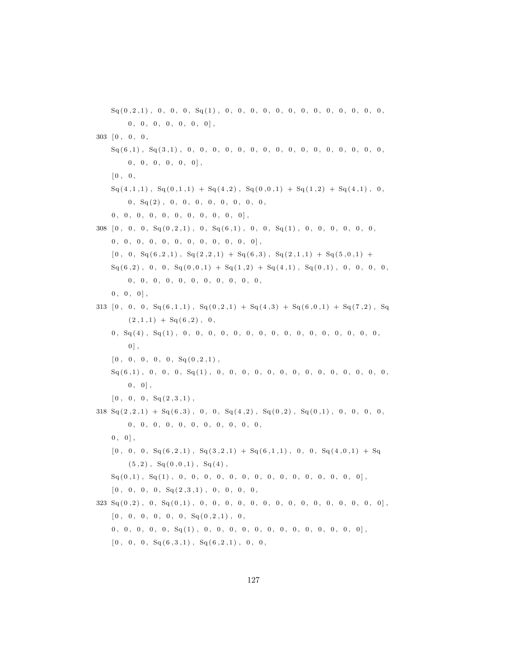Sq ( 0 , 2 , 1 ) , 0 , 0 , 0 , Sq ( 1 ) , 0 , 0 , 0 , 0 , 0 , 0 , 0 , 0 , 0 , 0 , 0 , 0 , 0 ,  $0, 0, 0, 0, 0, 0, 0, 0$  $303 \quad [0, 0, 0,$ Sq ( 6 , 1 ) , Sq ( 3 , 1 ) , 0 , 0 , 0 , 0 , 0 , 0 , 0 , 0 , 0 , 0 , 0 , 0 , 0 , 0 , 0 , 0 ,  $0, 0, 0, 0, 0, 0$ ,  $[0, 0,$  $\operatorname{Sq}(4,1,1)$ ,  $\operatorname{Sq}(0,1,1) + \operatorname{Sq}(4,2)$ ,  $\operatorname{Sq}(0,0,1) + \operatorname{Sq}(1,2) + \operatorname{Sq}(4,1)$ , 0, 0 , Sq ( 2 ) , 0 , 0 , 0 , 0 , 0 , 0 , 0 , 0 ,  $0, 0, 0, 0, 0, 0, 0, 0, 0, 0, 0, 0]$  $308 [0, 0, 0, Sq(0, 2, 1), 0, Sq(6, 1), 0, 0, Sq(1), 0, 0, 0, 0, 0, 0, 0, 0]$  $0, 0, 0, 0, 0, 0, 0, 0, 0, 0, 0, 0, 0]$  $[ \,0\ , \;\; 0\ , \;\; Sq \left( \,6\ , 2\ , 1\,\right) \ , \;\; Sq \left( \,2\ , 2\ , 1\,\right) \; + \; Sq \left( \,6\ , 3\,\right) \ , \;\; Sq \left( \,2\ , 1\ , 1\,\right) \; + \; Sq \left( \,5\ , 0\ , 1\right) \; + \;$  $Sq(6,2), 0, 0, Sq(0,0,1) + Sq(1,2) + Sq(4,1), Sq(0,1), 0, 0, 0, 0,$  $0, 0, 0, 0, 0, 0, 0, 0, 0, 0, 0, 0,$  $0, 0, 0$ , 313  $[0, 0, 0, S<sub>q</sub>(6, 1, 1), S<sub>q</sub>(0, 2, 1) + S<sub>q</sub>(4, 3) + S<sub>q</sub>(6, 0, 1) + S<sub>q</sub>(7, 2), S<sub>q</sub>$  $(2,1,1) + Sq(6,2), 0,$  $0\,,\,~{\rm Sq}\,(4)\,\,,\,~{\rm Sq}\,(1)\,\,,\,\,~0\,,\,~0\,,\,~0\,,\,~0\,,\,~0\,,\,~0\,,\,~0\,,\,~0\,,\,~0\,,\,~0\,,\,~0\,,\,~0\,,\,~0\,,\,0\,,$  $0$ ],  $[0, 0, 0, 0, 0, S<sub>q</sub>(0, 2, 1)$ , Sq ( 6 , 1 ) , 0 , 0 , 0 , Sq ( 1 ) , 0 , 0 , 0 , 0 , 0 , 0 , 0 , 0 , 0 , 0 , 0 , 0 , 0 , 0 ,  $0, 0$ ,  $[0, 0, 0, S<sub>q</sub>(2, 3, 1)$ ,  $318 \text{ Sq}(2,2,1) + \text{Sq}(6,3)$ , 0, 0,  $\text{Sq}(4,2)$ ,  $\text{Sq}(0,2)$ ,  $\text{Sq}(0,1)$ , 0, 0, 0, 0, 0,  $0, 0, 0, 0, 0, 0, 0, 0, 0, 0, 0, 0, 0,$  $0, 0$ ,  $[0\,,\phantom{a}0\,,\phantom{a}0\,,\phantom{a}Sq(6\,,2\,,1)\phantom{,},\phantom{a}Sq(3\,,2\,,1)\phantom{,}+\phantom{a}Sq(6\,,1\,,1)\phantom{,},\phantom{a}0\,,\phantom{a}Sq(4\,,0\,,1)\phantom{,}+\phantom{a}Sq$  $(5,2)$ , Sq $(0,0,1)$ , Sq $(4)$ , Sq ( 0 , 1 ) , Sq ( 1 ) , 0 , 0 , 0 , 0 , 0 , 0 , 0 , 0 , 0 , 0 , 0 , 0 , 0 , 0 , 0 ] , [ 0 , 0 , 0 , 0 , Sq ( 2 , 3 , 1 ) , 0 , 0 , 0 , 0 , 323 Sq ( 0 , 2 ) , 0 , Sq ( 0 , 1 ) , 0 , 0 , 0 , 0 , 0 , 0 , 0 , 0 , 0 , 0 , 0 , 0 , 0 , 0 , 0 ] ,  $[0, 0, 0, 0, 0, 0, 0, S<sub>q</sub>(0, 2, 1), 0,$  $0, 0, 0, 0, 0, 0, \text{Sq}(1), 0, 0, 0, 0, 0, 0, 0, 0, 0, 0, 0, 0, 0]$  $[0, 0, 0, S<sub>q</sub>(6, 3, 1), S<sub>q</sub>(6, 2, 1), 0, 0,$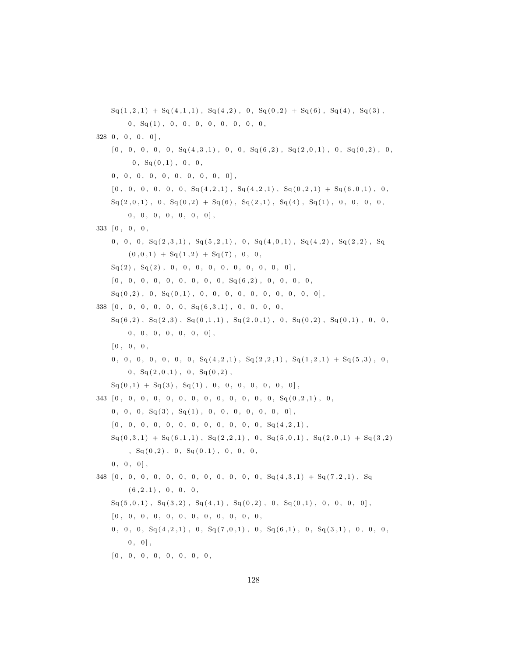$\text{Sq}(1,2,1) + \text{Sq}(4,1,1)$ ,  $\text{Sq}(4,2)$ ,  $0$ ,  $\text{Sq}(0,2) + \text{Sq}(6)$ ,  $\text{Sq}(4)$ ,  $\text{Sq}(3)$ ,  $0, S<sub>q</sub>(1), 0, 0, 0, 0, 0, 0, 0, 0, 0,$  $328 \t0, 0, 0, 0, 0$  $[0\,,\phantom{-}0\,,\phantom{-}0\,,\phantom{-}0\,,\phantom{-}0\,,\phantom{-}0\,,\phantom{-}8q(4\,,3\,,1)\,\,,\phantom{-}0\,,\phantom{-}0\,,\phantom{-}8q(6\,,2)\,\,,\phantom{-}8q(2\,,0\,,1)\,\,,\phantom{-}0\,,\phantom{-}8q(0\,,2)\,\,,\phantom{-}0\,,$  $0, S<sub>q</sub>(0,1), 0, 0,$  $0, 0, 0, 0, 0, 0, 0, 0, 0, 0, 0]$  $[0, 0, 0, 0, 0, 0, 0, \text{Sq}(4, 2, 1), \text{Sq}(4, 2, 1), \text{Sq}(0, 2, 1) + \text{Sq}(6, 0, 1), 0,$  $\text{Sq}(2,0,1)$ , 0,  $\text{Sq}(0,2)$  +  $\text{Sq}(6)$ ,  $\text{Sq}(2,1)$ ,  $\text{Sq}(4)$ ,  $\text{Sq}(1)$ , 0, 0, 0, 0,  $0, 0, 0, 0, 0, 0, 0]$ 333 [ 0 , 0 , 0 ,  $0\,,\;\; 0\,,\;\; 0\,,\;\; \mathrm{Sq}\left( \,2\,,3\,,1 \right)\,,\;\;\mathrm{Sq}\left( \,5\,,2\,,1 \right)\,,\;\; 0\,,\;\;\mathrm{Sq}\left( \,4\,,0\,,1 \right)\,,\;\;\mathrm{Sq}\left( \,4\,,2 \right)\,,\;\;\mathrm{Sq}\left( \,2\,,2 \right)\,,\;\;\mathrm{Sq}\left( \,3\,,2 \right)\,,$  $(0, 0, 1) + Sq(1, 2) + Sq(7), 0, 0,$  $Sq(2)$ ,  $Sq(2)$ , 0, 0, 0, 0, 0, 0, 0, 0, 0, 0],  $[ \,0\,,\hspace{0.2cm}0\,,\hspace{0.2cm}0\,,\hspace{0.2cm}0\,,\hspace{0.2cm}0\,,\hspace{0.2cm}0\,,\hspace{0.2cm}0\,,\hspace{0.2cm}0\,,\hspace{0.2cm}0\,,\hspace{0.2cm}0\,,\hspace{0.2cm}0\,,\hspace{0.2cm}0\,,\hspace{0.2cm}0\,,\hspace{0.2cm}0\,,\hspace{0.2cm}0\,,\hspace{0.2cm}0\,,\hspace{0.2cm}0\,,\hspace{0.2cm}0\,,\hspace{0.2cm}0$  $Sq(0,2)$ , 0,  $Sq(0,1)$ , 0, 0, 0, 0, 0, 0, 0, 0, 0, 0], 338 [ 0 , 0 , 0 , 0 , 0 , 0 , Sq ( 6 , 3 , 1 ) , 0 , 0 , 0 , 0 ,  $Sq(6,2), Sq(2,3), Sq(0,1,1), Sq(2,0,1), 0, Sq(0,2), Sq(0,1), 0, 0,$  $0, 0, 0, 0, 0, 0, 0]$  $[0, 0, 0, 0,$  $0, 0, 0, 0, 0, 0, 0, 0, \text{sq}(4, 2, 1), \text{Sq}(2, 2, 1), \text{Sq}(1, 2, 1) + \text{Sq}(5, 3), 0,$  $0, \, Sq(2,0,1), 0, Sq(0,2),$  $Sq(0,1) + Sq(3), Sq(1), 0, 0, 0, 0, 0, 0, 0]$ 343 [ 0 , 0 , 0 , 0 , 0 , 0 , 0 , 0 , 0 , 0 , 0 , 0 , 0 , Sq ( 0 , 2 , 1 ) , 0 ,  $0, 0, 0, S<sub>q</sub>(3), S<sub>q</sub>(1), 0, 0, 0, 0, 0, 0, 0]$ , [ 0 , 0 , 0 , 0 , 0 , 0 , 0 , 0 , 0 , 0 , 0 , 0 , Sq ( 4 , 2 , 1 ) ,  $\text{Sq}(0,3,1) + \text{Sq}(6,1,1)$ ,  $\text{Sq}(2,2,1)$ , 0,  $\text{Sq}(5,0,1)$ ,  $\text{Sq}(2,0,1) + \text{Sq}(3,2)$  $, Sq(0,2) , 0, Sq(0,1) , 0, 0, 0,$  $0, 0, 0$ , 348 [ 0 , 0 , 0 , 0 , 0 , 0 , 0 , 0 , 0 , 0 , 0 , 0 , Sq ( 4 , 3 , 1 ) + Sq ( 7 , 2 , 1 ) , Sq  $(6, 2, 1)$ , 0, 0, 0,  $Sq(5, 0, 1)$ ,  $Sq(3, 2)$ ,  $Sq(4, 1)$ ,  $Sq(0, 2)$ , 0,  $Sq(0, 1)$ , 0, 0, 0, 0], [ 0 , 0 , 0 , 0 , 0 , 0 , 0 , 0 , 0 , 0 , 0 , 0 ,  $0, 0, 0, S<sub>q</sub>(4, 2, 1), 0, S<sub>q</sub>(7, 0, 1), 0, S<sub>q</sub>(6, 1), 0, S<sub>q</sub>(3, 1), 0, 0, 0,$  $0, 0$ , [ 0 , 0 , 0 , 0 , 0 , 0 , 0 , 0 ,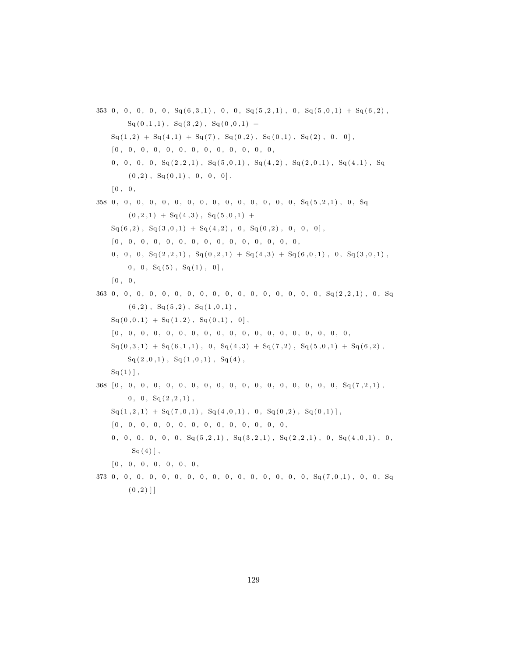$353 \, 0, 0, 0, 0, 0, \overline{Sq(6,3,1)}, 0, 0, \overline{Sq(5,2,1)}, 0, \overline{Sq(5,0,1)} + \overline{Sq(6,2)},$  $Sq(0,1,1)$ ,  $Sq(3,2)$ ,  $Sq(0,0,1)$  +  $Sq(1,2) + Sq(4,1) + Sq(7), Sq(0,2), Sq(0,1), Sq(2), 0, 0],$ [ 0 , 0 , 0 , 0 , 0 , 0 , 0 , 0 , 0 , 0 , 0 , 0 , 0 , 0, 0, 0, 0,  $S_{q}(2,2,1)$ ,  $S_{q}(5,0,1)$ ,  $S_{q}(4,2)$ ,  $S_{q}(2,0,1)$ ,  $S_{q}(4,1)$ ,  $S_{q}$  $(0, 2)$ ,  $Sq(0,1)$ , 0, 0, 0],  $[0, 0,$ 358 0 , 0 , 0 , 0 , 0 , 0 , 0 , 0 , 0 , 0 , 0 , 0 , 0 , 0 , 0 , Sq ( 5 , 2 , 1 ) , 0 , Sq  $(0, 2, 1) + Sq(4, 3), Sq(5, 0, 1) +$  $Sq (6,2)$ ,  $Sq (3,0,1) + Sq (4,2)$ , 0,  $Sq (0,2)$ , 0, 0, 0], [ 0 , 0 , 0 , 0 , 0 , 0 , 0 , 0 , 0 , 0 , 0 , 0 , 0 , 0 , 0 ,  $0\,,\;\; 0\,,\;\; 0\,,\;\; \mathrm{Sq}\left( \,2\,,2\,,1 \right)\,,\;\;\mathrm{Sq}\left( \,0\,,2\,,1 \right)\;+\; \mathrm{Sq}\left( \,4\,,3 \right)\;+\; \mathrm{Sq}\left( \,6\,,0\,,1 \right)\,,\;\; 0\,,\;\;\mathrm{Sq}\left( \,3\,,0\,,1 \right)\,,$  $0, 0, S<sub>q</sub>(5), S<sub>q</sub>(1), 0],$  $[0, 0,$  $363\ \ 0\,,\ \ 0\,,\ \ 0\,,\ \ 0\,,\ \ 0\,,\ \ 0\,,\ \ 0\,,\ \ 0\,,\ \ 0\,,\ \ 0\,,\ \ 0\,,\ \ 0\,,\ \ 0\,,\ \ 0\,,\ \ 0\,,\ \ 0\,,\ \ 0\,,\ \ \mathop{\mathrm{Sq}}\nolimits\left(2\,,2\,,1\right)\,,\ \ 0\,,\ \ \mathop{\mathrm{Sq}}\nolimits\left(2\,,2\,,1\right)\,,\ \ 0\,,\ \ \mathop{\mathrm{Sq}}\nolimits\left(2\,,2\,,1\right)\,,\ \ 0\,,\ \ \mathop{\mathrm{Sq}}\nol$  $(6, 2)$ ,  $Sq(5, 2)$ ,  $Sq(1, 0, 1)$ ,  $Sq ( 0, 0, 1 ) + Sq ( 1, 2 ) , Sq ( 0, 1 ) , 0 ],$  $[ \hskip-6.5pt [ 0 \, , \hskip 6.5pt 0 \, , \hskip 6.5pt 0 \, , \hskip 6.5pt 0 \, , \hskip 6.5pt 0 \, , \hskip 6.5pt 0 \, , \hskip 6.5pt 0 \, , \hskip 6.5pt 0 \, , \hskip 6.5pt 0 \, , \hskip 6.5pt 0 \, , \hskip 6.5pt 0 \, , \hskip 6.5pt 0 \, , \hskip 6.5pt 0 \, , \hskip 6.5pt 0 \, , \hskip 6.5pt 0 \, , \hskip 6.5pt 0 \, , \hskip 6.5pt 0$  $Sq( 0, 3, 1 ) + Sq( 6, 1, 1 )$ ,  $0, Sq( 4, 3 ) + Sq( 7, 2 )$ ,  $Sq( 5, 0, 1 ) + Sq( 6, 2 )$ ,  $Sq(2,0,1), Sq(1,0,1), Sq(4),$  $Sq(1)$ , 368 [ 0 , 0 , 0 , 0 , 0 , 0 , 0 , 0 , 0 , 0 , 0 , 0 , 0 , 0 , 0 , 0 , 0 , 0 , Sq ( 7 , 2 , 1 ) ,  $0, 0, S<sub>q</sub>(2, 2, 1)$ ,  $Sq(1,2,1) + Sq(7,0,1), Sq(4,0,1), 0, Sq(0,2), Sq(0,1)],$ [ 0 , 0 , 0 , 0 , 0 , 0 , 0 , 0 , 0 , 0 , 0 , 0 , 0 , 0 , 0, 0, 0, 0, 0,  $S_q(5,2,1)$ ,  $S_q(3,2,1)$ ,  $S_q(2,2,1)$ , 0,  $S_q(4,0,1)$ , 0,  $Sq(4)$ , [ 0 , 0 , 0 , 0 , 0 , 0 , 0 ,

373 0 , 0 , 0 , 0 , 0 , 0 , 0 , 0 , 0 , 0 , 0 , 0 , 0 , 0 , 0 , 0 , Sq ( 7 , 0 , 1 ) , 0 , 0 , Sq  $(0, 2)$ ]